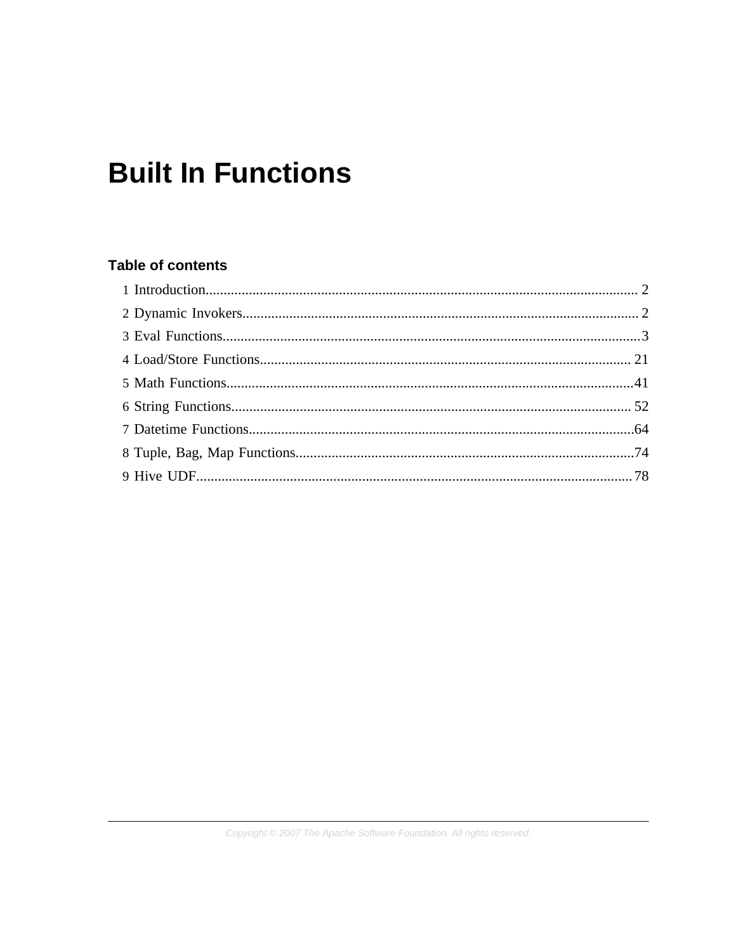# **Built In Functions**

# **Table of contents**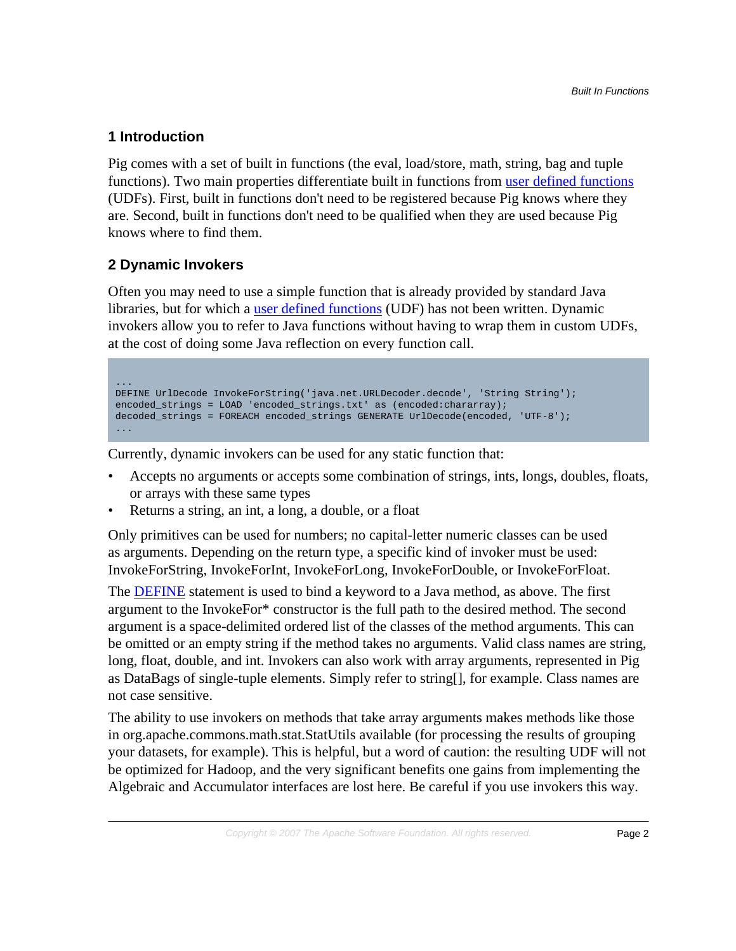# <span id="page-1-0"></span>**1 Introduction**

Pig comes with a set of built in functions (the eval, load/store, math, string, bag and tuple functions). Two main properties differentiate built in functions from [user defined functions](udf.html) (UDFs). First, built in functions don't need to be registered because Pig knows where they are. Second, built in functions don't need to be qualified when they are used because Pig knows where to find them.

# <span id="page-1-1"></span>**2 Dynamic Invokers**

Often you may need to use a simple function that is already provided by standard Java libraries, but for which a [user defined functions](udf.html) (UDF) has not been written. Dynamic invokers allow you to refer to Java functions without having to wrap them in custom UDFs, at the cost of doing some Java reflection on every function call.

```
...
DEFINE UrlDecode InvokeForString('java.net.URLDecoder.decode', 'String String'); 
encoded_strings = LOAD 'encoded_strings.txt' as (encoded:chararray);
decoded_strings = FOREACH encoded_strings GENERATE UrlDecode(encoded, 'UTF-8'); 
...
```
Currently, dynamic invokers can be used for any static function that:

- Accepts no arguments or accepts some combination of strings, ints, longs, doubles, floats, or arrays with these same types
- Returns a string, an int, a long, a double, or a float

Only primitives can be used for numbers; no capital-letter numeric classes can be used as arguments. Depending on the return type, a specific kind of invoker must be used: InvokeForString, InvokeForInt, InvokeForLong, InvokeForDouble, or InvokeForFloat.

The [DEFINE](basic.html#define) statement is used to bind a keyword to a Java method, as above. The first argument to the InvokeFor\* constructor is the full path to the desired method. The second argument is a space-delimited ordered list of the classes of the method arguments. This can be omitted or an empty string if the method takes no arguments. Valid class names are string, long, float, double, and int. Invokers can also work with array arguments, represented in Pig as DataBags of single-tuple elements. Simply refer to string[], for example. Class names are not case sensitive.

The ability to use invokers on methods that take array arguments makes methods like those in org.apache.commons.math.stat.StatUtils available (for processing the results of grouping your datasets, for example). This is helpful, but a word of caution: the resulting UDF will not be optimized for Hadoop, and the very significant benefits one gains from implementing the Algebraic and Accumulator interfaces are lost here. Be careful if you use invokers this way.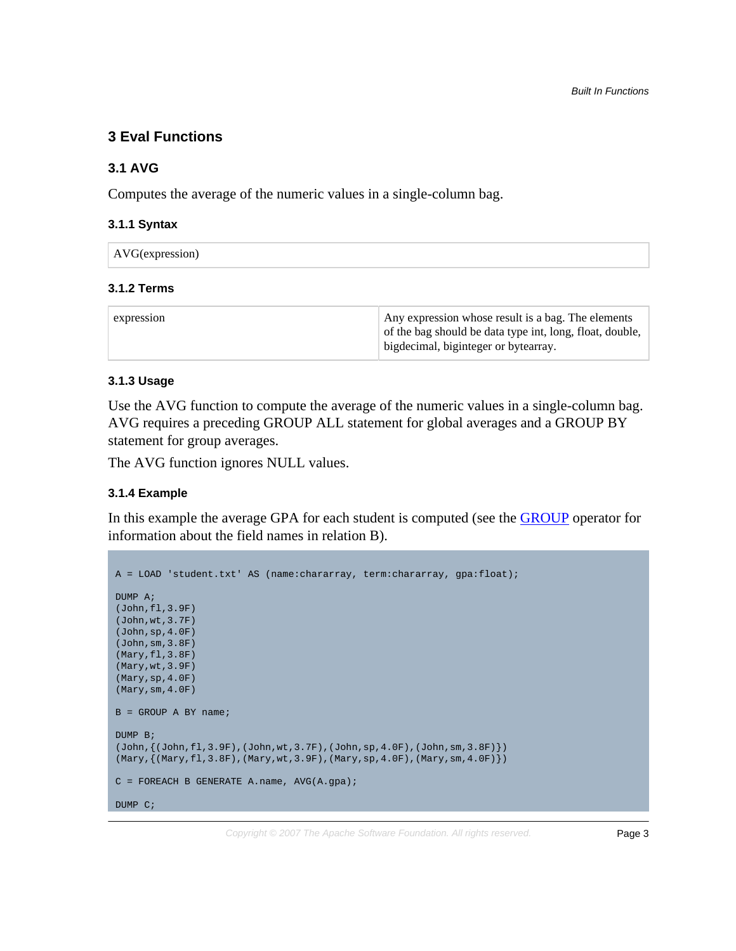# <span id="page-2-0"></span>**3 Eval Functions**

# **3.1 AVG**

Computes the average of the numeric values in a single-column bag.

# **3.1.1 Syntax**

| AVG(expression) |
|-----------------|
|-----------------|

# **3.1.2 Terms**

| of the bag should be data type int, long, float, double,<br>bigdecimal, biginteger or bytearray. |
|--------------------------------------------------------------------------------------------------|
|--------------------------------------------------------------------------------------------------|

# **3.1.3 Usage**

Use the AVG function to compute the average of the numeric values in a single-column bag. AVG requires a preceding GROUP ALL statement for global averages and a GROUP BY statement for group averages.

The AVG function ignores NULL values.

# **3.1.4 Example**

In this example the average GPA for each student is computed (see the **GROUP** operator for information about the field names in relation B).

```
A = LOAD 'student.txt' AS (name:chararray, term:chararray, gpa:float);
DUMP A;
(John,fl,3.9F)
(John,wt,3.7F)
(John,sp,4.0F)
(John,sm,3.8F)
(Mary,fl,3.8F)
(Mary,wt,3.9F)
(Mary,sp,4.0F)
(Mary,sm,4.0F)
B = GROUP A BY name;
DUMP B;
(\texttt{John},\{(\texttt{John},\texttt{fl},3.9F),(\texttt{John},\texttt{wt},3.7F),(\texttt{John},\texttt{sp},4.0F),(\texttt{John},\texttt{sm},3.8F)\})(Mary, {(Mary, fl, 3.8F), (Mary, wt, 3.9F), (Mary, sp, 4.0F), (Mary, sm, 4.0F)}C = FOREACH B GENERATE A.name, AVG(A.gpa);DUMP C;
```
Copyright  $\odot$  2007 The Apache Software Foundation. All rights reserved. **Page 3**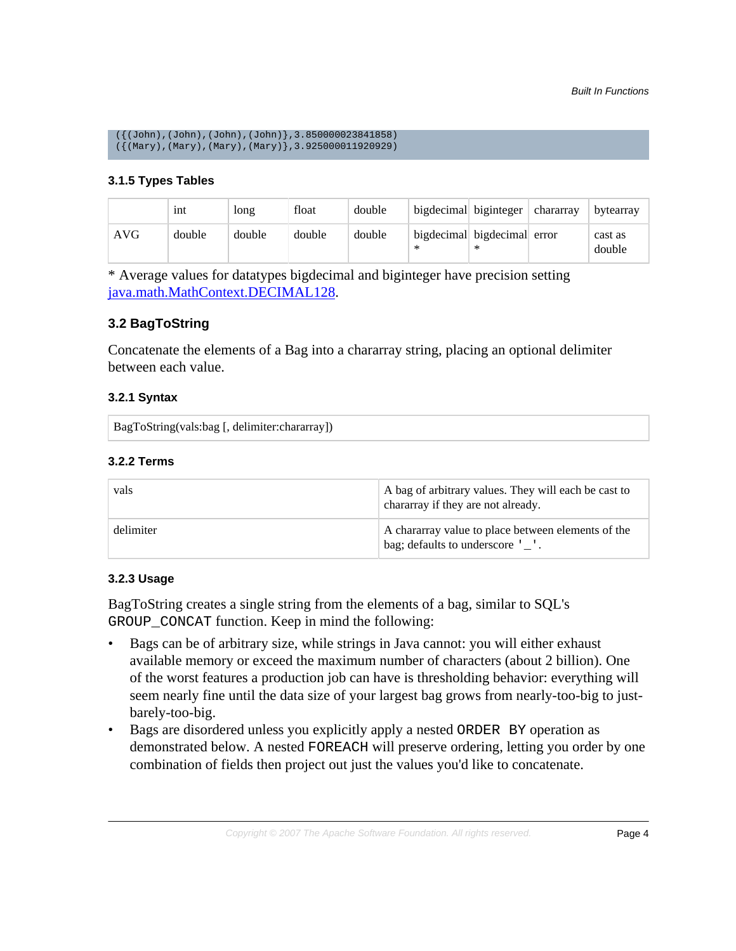```
(\{(\text{John})\},(\text{John})\},(\text{John})\},(\text{John})\},3.850000023841858)
({(Mary),(Mary),(Mary),(Mary)},3.925000011920929)
```
# **3.1.5 Types Tables**

|     | 1nt    | long   | float  | double |                                       | bigdecimal biginteger | ∣ chararray | bytearray         |
|-----|--------|--------|--------|--------|---------------------------------------|-----------------------|-------------|-------------------|
| AVG | double | double | double | double | bigdecimal bigdecimal error<br>$\ast$ | ∗                     |             | cast as<br>double |

\* Average values for datatypes bigdecimal and biginteger have precision setting [java.math.MathContext.DECIMAL128.](http://docs.oracle.com/javase/7/docs/api/java/math/MathContext.html#DECIMAL128)

# **3.2 BagToString**

Concatenate the elements of a Bag into a chararray string, placing an optional delimiter between each value.

# **3.2.1 Syntax**

BagToString(vals:bag [, delimiter:chararray])

# **3.2.2 Terms**

| vals      | A bag of arbitrary values. They will each be cast to<br>chararray if they are not already. |
|-----------|--------------------------------------------------------------------------------------------|
| delimiter | A chararray value to place between elements of the<br>bag; defaults to underscore '_'.     |

# **3.2.3 Usage**

BagToString creates a single string from the elements of a bag, similar to SQL's GROUP CONCAT function. Keep in mind the following:

- Bags can be of arbitrary size, while strings in Java cannot: you will either exhaust available memory or exceed the maximum number of characters (about 2 billion). One of the worst features a production job can have is thresholding behavior: everything will seem nearly fine until the data size of your largest bag grows from nearly-too-big to justbarely-too-big.
- Bags are disordered unless you explicitly apply a nested ORDER BY operation as demonstrated below. A nested FOREACH will preserve ordering, letting you order by one combination of fields then project out just the values you'd like to concatenate.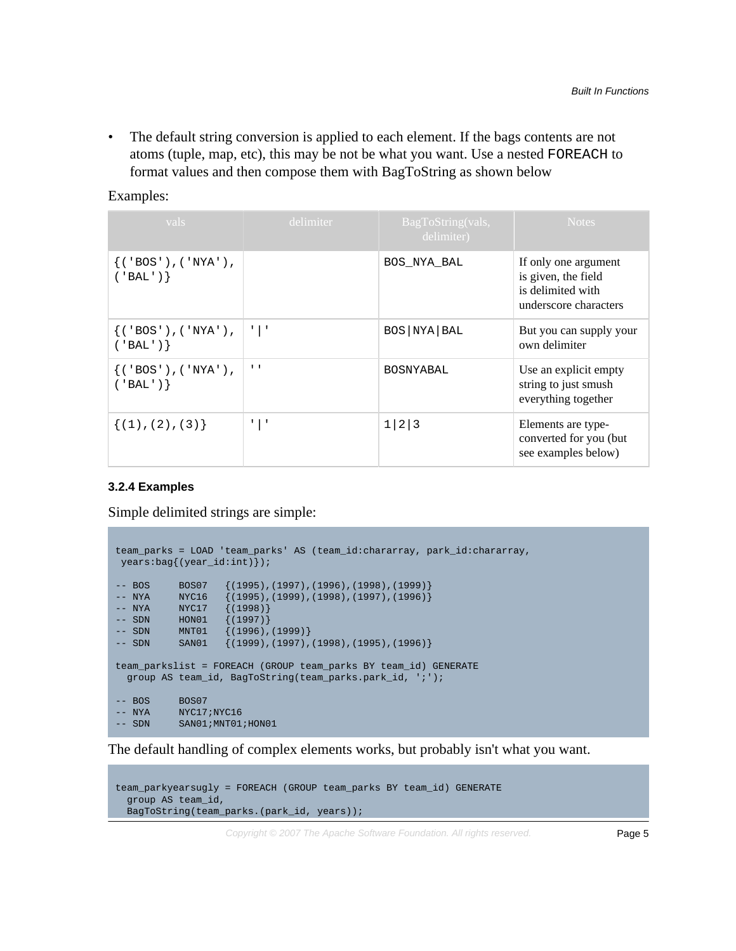• The default string conversion is applied to each element. If the bags contents are not atoms (tuple, map, etc), this may be not be what you want. Use a nested FOREACH to format values and then compose them with BagToString as shown below

Examples:

| vals                                       | delimiter                 | BagToString(vals,<br>delimiter) | <b>Notes</b>                                                                              |
|--------------------------------------------|---------------------------|---------------------------------|-------------------------------------------------------------------------------------------|
| ${ ( 'BOS'), ( 'NYA') }$ ,<br>$('BAL')$ }  |                           | BOS NYA BAL                     | If only one argument<br>is given, the field<br>is delimited with<br>underscore characters |
| ${ ( 'BOS'), ( 'NYA') }$ ,<br>$('BAL')$ }  | $\mathbb{Z}$ $\mathbb{Z}$ | BOS NYA BAL                     | But you can supply your<br>own delimiter                                                  |
| ${ ( 'BOS') , ( 'NYA') , }$<br>$('BAL')$ } | $\mathbf{I}$              | <b>BOSNYABAL</b>                | Use an explicit empty<br>string to just smush<br>everything together                      |
| $\{(1), (2), (3)\}$                        | $\mathbf{L}$<br>Τ.        | 1 2 3                           | Elements are type-<br>converted for you (but)<br>see examples below)                      |

#### **3.2.4 Examples**

Simple delimited strings are simple:

```
team_parks = LOAD 'team_parks' AS (team_id:chararray, park_id:chararray,
 years:bag{(year_id:int)});
-- BOS BOS07 {(1995),(1997),(1996),(1998),(1999)}
-- NYA NYC16 {(1995),(1999),(1998),(1997),(1996)}
-- NYA NYC17 {(1998)}
-- SDN HON01 {(1997)}
-- SDN MNT01 \{(1996), (1999)\}\-- SDN SAN01 {(1999),(1997),(1998),(1995),(1996)}
team_parkslist = FOREACH (GROUP team_parks BY team_id) GENERATE
  group AS team_id, BagToString(team_parks.park_id, ';');
-- BOS BOS07
-- NYA NYC17;NYC16
-- SDN SAN01; MNT01; HON01
```
The default handling of complex elements works, but probably isn't what you want.

```
team_parkyearsugly = FOREACH (GROUP team_parks BY team_id) GENERATE
  group AS team_id,
  BagToString(team_parks.(park_id, years));
```
Copyright  $\odot$  2007 The Apache Software Foundation. All rights reserved. **Page 5**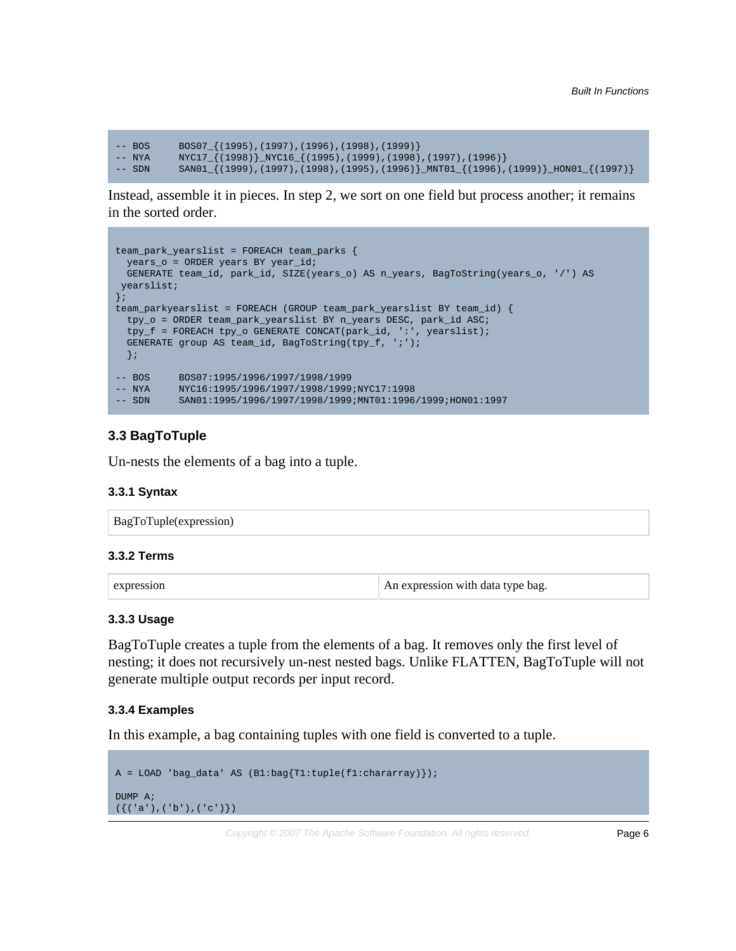```
-- BOS BOS07_{(1995),(1997),(1996),(1998),(1999)}
-- NYA NYC17_{(1998)}_NYC16_{(1995),(1999),(1998),(1997),(1996)}
          SAND1_{1}(1999),(1997),(1998),(1995),(1996)}_MNT01_\{(1996),(1999)}_HON01_\{(1997)\}
```
Instead, assemble it in pieces. In step 2, we sort on one field but process another; it remains in the sorted order.

```
team_park_yearslist = FOREACH team_parks {
  years_o = ORDER years BY year_id;
  GENERATE team_id, park_id, SIZE(years_o) AS n_years, BagToString(years_o, '/') AS
 yearslist;
\overline{\}team_parkyearslist = FOREACH (GROUP team_park_yearslist BY team_id) {
  tpy_o = ORDER team_park_yearslist BY n_years DESC, park_id ASC;
  tpy_f = FOREACH tpy_o GENERATE CONCAT(park_id, ':', yearslist);
  GENERATE group AS team_id, BagToString(tpy_f, ';');
  };
-- BOS BOS07:1995/1996/1997/1998/1999
-- NYA NYC16:1995/1996/1997/1998/1999;NYC17:1998
-- SDN SAN01:1995/1996/1997/1998/1999;MNT01:1996/1999;HON01:1997
```
# **3.3 BagToTuple**

Un-nests the elements of a bag into a tuple.

#### **3.3.1 Syntax**

| BagToTuple(expression) |
|------------------------|
|------------------------|

# **3.3.2 Terms**

| expression |  |
|------------|--|
|            |  |

An expression with data type bag.

#### **3.3.3 Usage**

BagToTuple creates a tuple from the elements of a bag. It removes only the first level of nesting; it does not recursively un-nest nested bags. Unlike FLATTEN, BagToTuple will not generate multiple output records per input record.

#### **3.3.4 Examples**

In this example, a bag containing tuples with one field is converted to a tuple.

```
A = LOAD 'bag_data' AS (B1:bag{T1:tuple(f1:chararray)});
DUMP A;
({( 'a')},({ 'b'}) ,({ 'c'})})
```
Copyright  $\odot$  2007 The Apache Software Foundation. All rights reserved. **Page 6**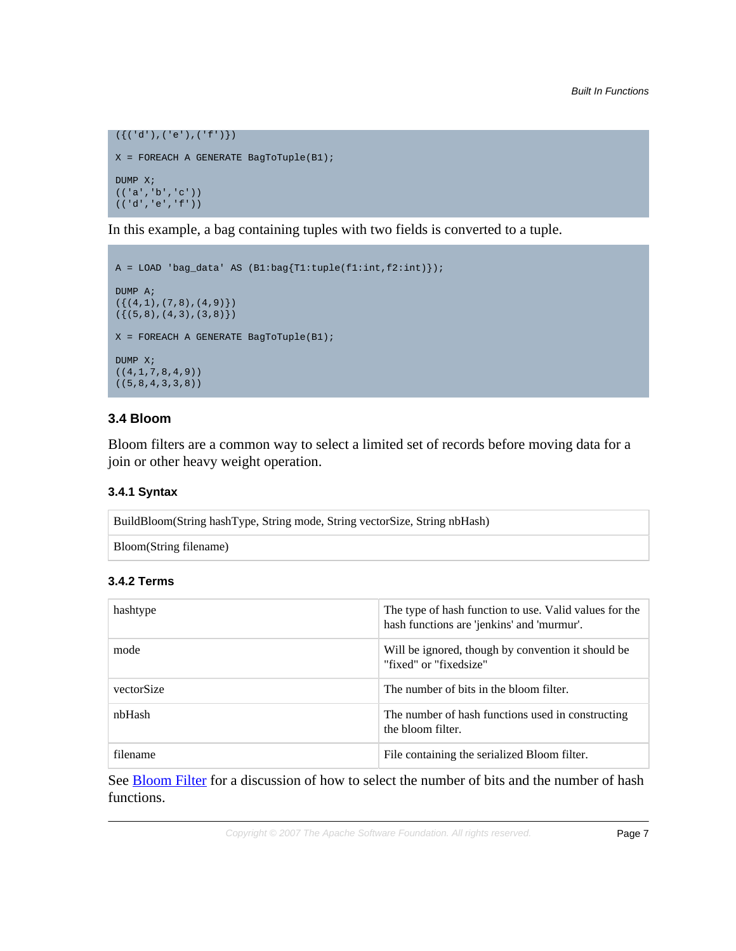```
({ ( 'd') , ( 'e') , ( 'f') })X = FOREACH A GENERATE BagToTuple(B1);
DUMP X;
(('a','b','c'))
(('d','e','f'))
```
In this example, a bag containing tuples with two fields is converted to a tuple.

```
A = LOAD 'bag_data' AS (B1:bag{T1:tuple(f1:int,f2:int)});
DUMP A;
(\{(4,1),(7,8),(4,9)\})({ (5,8), (4,3), (3,8)}X = FOREACH A GENERATE BagToTuple(B1);
DUMP X;
((4,1,7,8,4,9))((5,8,4,3,3,8))
```
# **3.4 Bloom**

Bloom filters are a common way to select a limited set of records before moving data for a join or other heavy weight operation.

# **3.4.1 Syntax**

| BuildBloom(String hashType, String mode, String vectorSize, String nbHash) |  |
|----------------------------------------------------------------------------|--|
| Bloom(String filename)                                                     |  |

# **3.4.2 Terms**

| hashtype   | The type of hash function to use. Valid values for the<br>hash functions are 'jenkins' and 'murmur'. |
|------------|------------------------------------------------------------------------------------------------------|
| mode       | Will be ignored, though by convention it should be<br>"fixed" or "fixedsize"                         |
| vectorSize | The number of bits in the bloom filter.                                                              |
| nbHash     | The number of hash functions used in constructing<br>the bloom filter.                               |
| filename   | File containing the serialized Bloom filter.                                                         |

See **Bloom Filter** for a discussion of how to select the number of bits and the number of hash functions.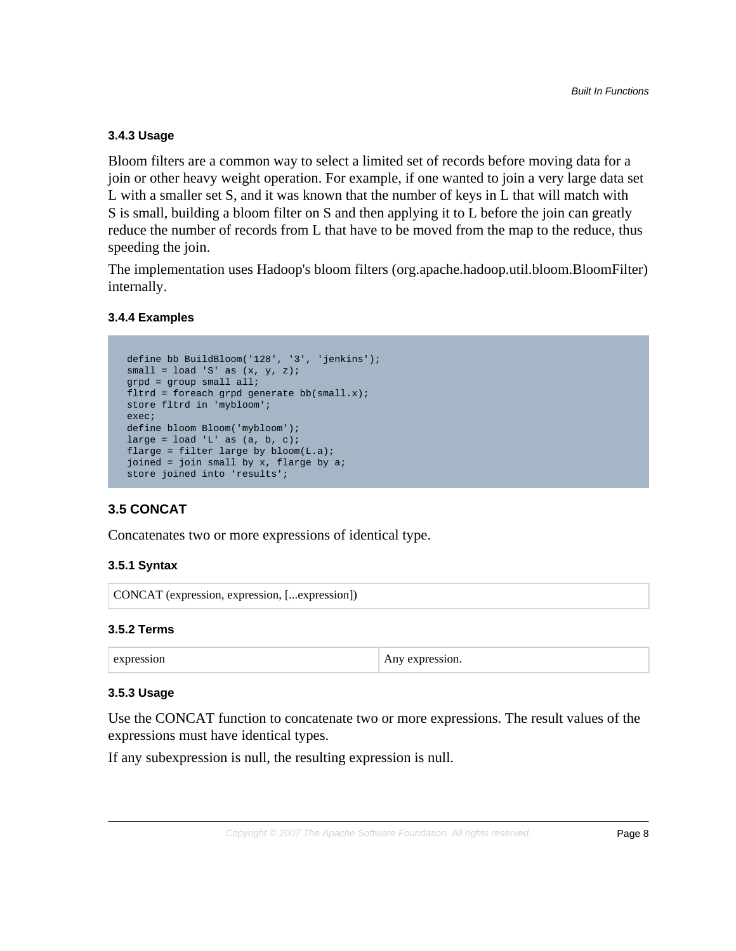# **3.4.3 Usage**

Bloom filters are a common way to select a limited set of records before moving data for a join or other heavy weight operation. For example, if one wanted to join a very large data set L with a smaller set S, and it was known that the number of keys in L that will match with S is small, building a bloom filter on S and then applying it to L before the join can greatly reduce the number of records from L that have to be moved from the map to the reduce, thus speeding the join.

The implementation uses Hadoop's bloom filters (org.apache.hadoop.util.bloom.BloomFilter) internally.

# **3.4.4 Examples**

```
 define bb BuildBloom('128', '3', 'jenkins');
small = load 'S' as (x, y, z);
 grpd = group small all;
fltrd = foreach qrpd qenerate bb(small.x);
 store fltrd in 'mybloom';
 exec;
 define bloom Bloom('mybloom');
large = load 'L' as (a, b, c);
flarge = filter large by bloom(L.a); joined = join small by x, flarge by a;
 store joined into 'results';
```
# **3.5 CONCAT**

Concatenates two or more expressions of identical type.

# **3.5.1 Syntax**

CONCAT (expression, expression, [...expression])

# **3.5.2 Terms**

# **3.5.3 Usage**

Use the CONCAT function to concatenate two or more expressions. The result values of the expressions must have identical types.

If any subexpression is null, the resulting expression is null.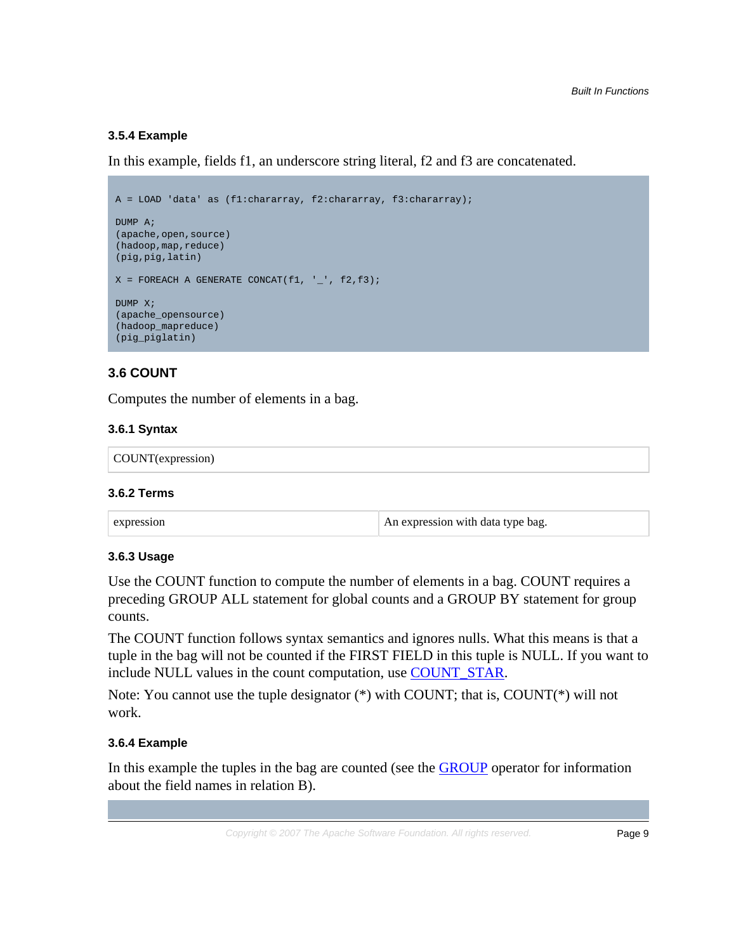# **3.5.4 Example**

In this example, fields f1, an underscore string literal, f2 and f3 are concatenated.

```
A = LOAD 'data' as (f1:chararray, f2:chararray, f3:chararray);
DUMP A;
(apache,open,source)
(hadoop,map,reduce)
(pig,pig,latin)
X = FOREACH A GENERATE CONCAT(f1, '_', f2,f3);
DUMP X;
(apache_opensource)
(hadoop_mapreduce)
(pig_piglatin)
```
# <span id="page-8-0"></span>**3.6 COUNT**

Computes the number of elements in a bag.

#### **3.6.1 Syntax**

```
COUNT(expression)
```
#### **3.6.2 Terms**

#### **3.6.3 Usage**

Use the COUNT function to compute the number of elements in a bag. COUNT requires a preceding GROUP ALL statement for global counts and a GROUP BY statement for group counts.

The COUNT function follows syntax semantics and ignores nulls. What this means is that a tuple in the bag will not be counted if the FIRST FIELD in this tuple is NULL. If you want to include NULL values in the count computation, use [COUNT\\_STAR.](#page-9-0)

Note: You cannot use the tuple designator (\*) with COUNT; that is, COUNT(\*) will not work.

#### **3.6.4 Example**

In this example the tuples in the bag are counted (see the **GROUP** operator for information about the field names in relation B).

Copyright  $\odot$  2007 The Apache Software Foundation. All rights reserved. **Page 9**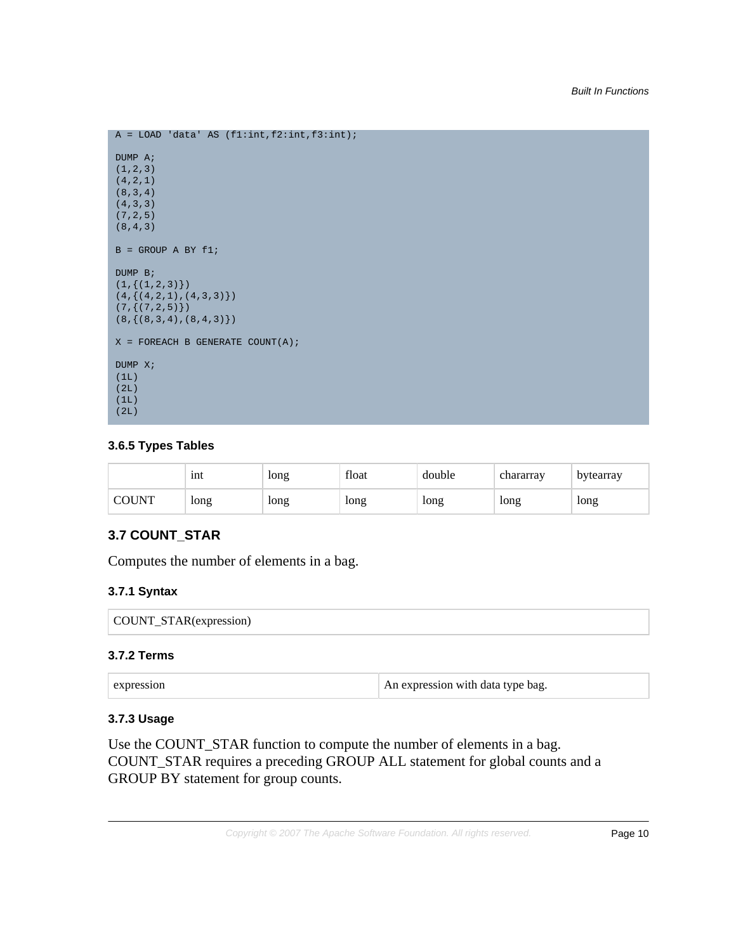```
A = LOAD 'data' AS (f1:int,f2:int,f3:int);
DUMP A;
(1,2,3)
(4,2,1)
(8,3,4)
(4,3,3)
(7,2,5)
(8,4,3)
B = GROUP A BY f1;
DUMP B;
(1,\{(1,2,3)\})(4, \{ (4, 2, 1), (4, 3, 3) \})(7, {(7, 2, 5)}(8, {(8,3,4), (8,4,3)}X = FOREACH B GENERATE COUNT(A);DUMP X;
(1L)
(2L)
(1L)
(2L)
```
# **3.6.5 Types Tables**

|              | 1nt  | long | float | double | chararray | bytearray |
|--------------|------|------|-------|--------|-----------|-----------|
| <b>COUNT</b> | long | long | long  | long   | long      | long      |

# <span id="page-9-0"></span>**3.7 COUNT\_STAR**

Computes the number of elements in a bag.

# **3.7.1 Syntax**

```
COUNT_STAR(expression)
```
# **3.7.2 Terms**

| An expression with data type bag. |
|-----------------------------------|
|                                   |

# **3.7.3 Usage**

Use the COUNT\_STAR function to compute the number of elements in a bag. COUNT\_STAR requires a preceding GROUP ALL statement for global counts and a GROUP BY statement for group counts.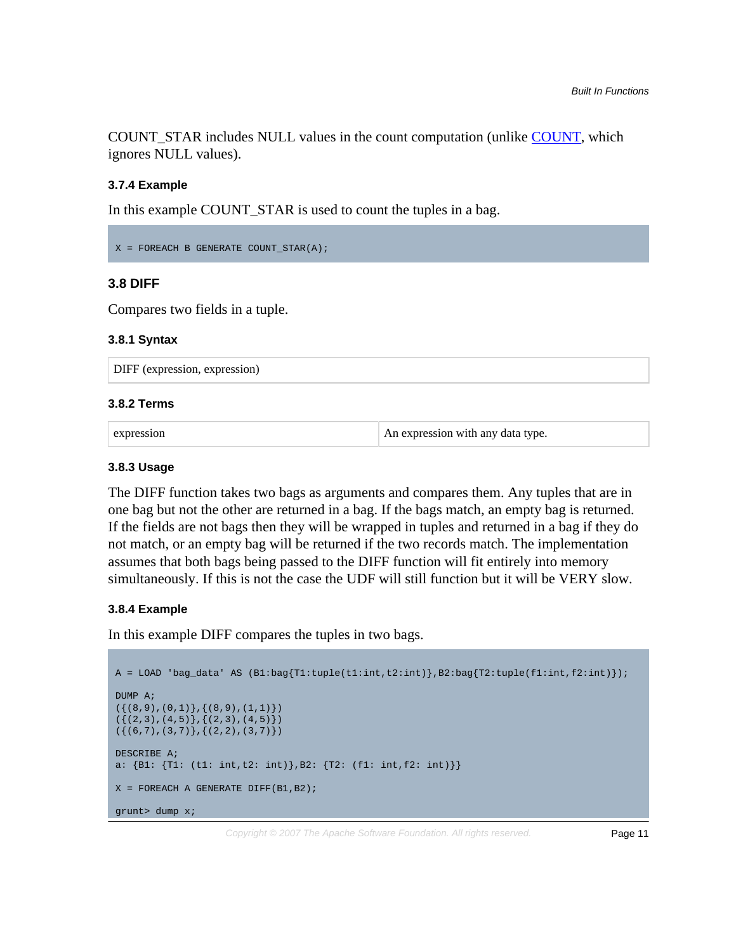COUNT\_STAR includes NULL values in the count computation (unlike [COUNT,](#page-8-0) which ignores NULL values).

#### **3.7.4 Example**

In this example COUNT\_STAR is used to count the tuples in a bag.

```
X = FOREACH B GENERATE COUNT_STAR(A);
```
# **3.8 DIFF**

Compares two fields in a tuple.

#### **3.8.1 Syntax**

DIFF (expression, expression)

#### **3.8.2 Terms**

expression An expression An expression with any data type.

#### **3.8.3 Usage**

The DIFF function takes two bags as arguments and compares them. Any tuples that are in one bag but not the other are returned in a bag. If the bags match, an empty bag is returned. If the fields are not bags then they will be wrapped in tuples and returned in a bag if they do not match, or an empty bag will be returned if the two records match. The implementation assumes that both bags being passed to the DIFF function will fit entirely into memory simultaneously. If this is not the case the UDF will still function but it will be VERY slow.

#### **3.8.4 Example**

In this example DIFF compares the tuples in two bags.

```
A = LOAD 'bag_data' AS (B1:bag{T1:tuple(t1:int,t2:int)},B2:bag{T2:tuple(f1:int,f2:int)});
DUMP A;
({(8,9),(0,1)},{(8,9),(1,1)})
({(2,3),(4,5)},({2,3),(4,5)})({(6,7),(3,7)};({2,2}),(3,7))DESCRIBE A;
a: {B1: {T1: (t1: int, t2: int)}, B2: {T2: (f1: int, f2: int)} }X = FOREACH A GENERATE DIFF(B1,B2);
grunt> dump x;
```
Copyright  $\odot$  2007 The Apache Software Foundation. All rights reserved. **Page 11**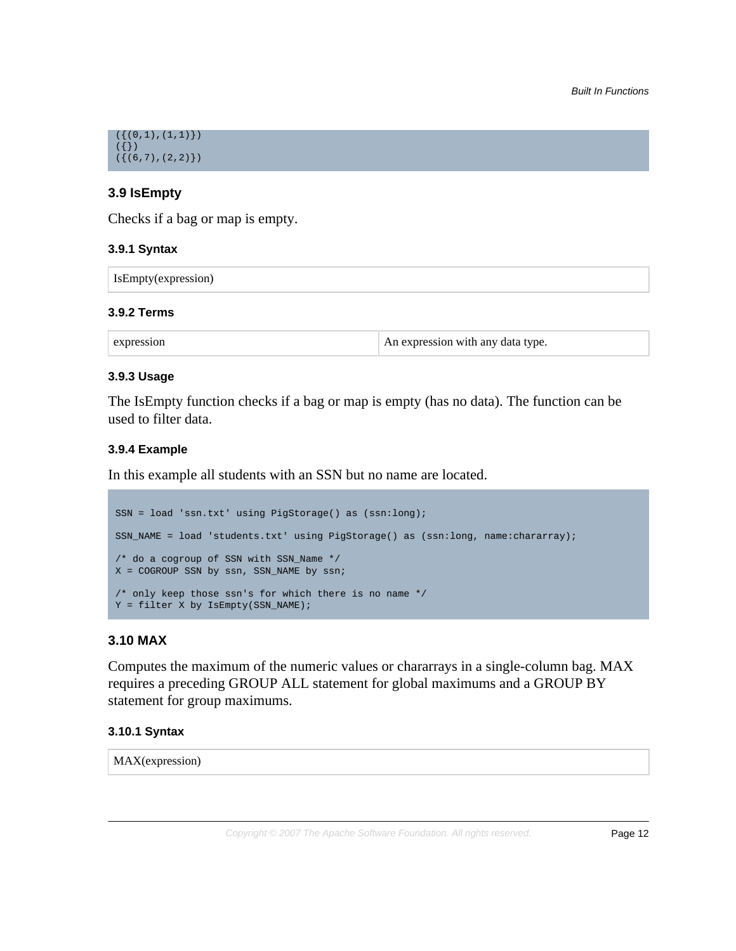

# **3.9 IsEmpty**

Checks if a bag or map is empty.

#### **3.9.1 Syntax**

| IsEmpty(expression) |  |
|---------------------|--|
|---------------------|--|

#### **3.9.2 Terms**

expression An expression An expression with any data type.

#### **3.9.3 Usage**

The IsEmpty function checks if a bag or map is empty (has no data). The function can be used to filter data.

# **3.9.4 Example**

In this example all students with an SSN but no name are located.

```
SSN = load 'ssn.txt' using PigStorage() as (ssn:long);
SSN_NAME = load 'students.txt' using PigStorage() as (ssn:long, name:chararray);
/* do a cogroup of SSN with SSN_Name */
X = COGROUP SSN by ssn, SSN_NAME by ssn;
/* only keep those ssn's for which there is no name */
Y = filter X by IsEmpty(SSN_NAME);
```
# **3.10 MAX**

Computes the maximum of the numeric values or chararrays in a single-column bag. MAX requires a preceding GROUP ALL statement for global maximums and a GROUP BY statement for group maximums.

#### **3.10.1 Syntax**

MAX(expression)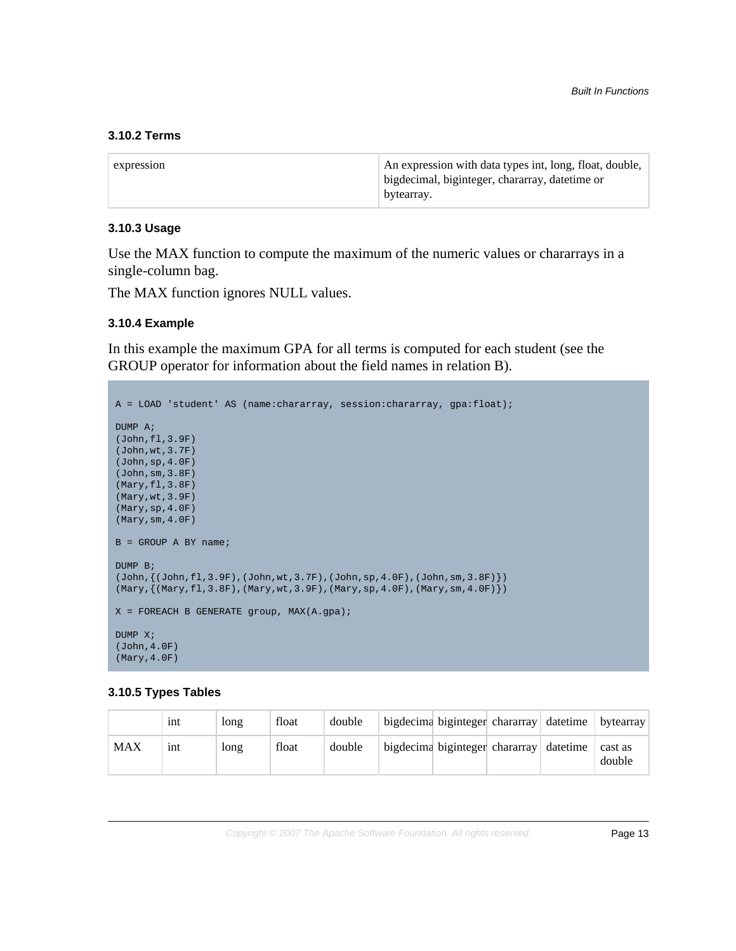#### **3.10.2 Terms**

| expression | An expression with data types int, long, float, double,<br>bigdecimal, biginteger, chararray, datetime or |
|------------|-----------------------------------------------------------------------------------------------------------|
|            | bytearray.                                                                                                |

#### **3.10.3 Usage**

Use the MAX function to compute the maximum of the numeric values or chararrays in a single-column bag.

The MAX function ignores NULL values.

#### **3.10.4 Example**

In this example the maximum GPA for all terms is computed for each student (see the GROUP operator for information about the field names in relation B).

```
A = LOAD 'student' AS (name:chararray, session:chararray, gpa:float);
DUMP A;
(John,fl,3.9F)
(John,wt,3.7F)
(John,sp,4.0F)
(John,sm,3.8F)
(Mary,fl,3.8F)
(Mary,wt,3.9F)
(Mary,sp,4.0F)
(Mary,sm,4.0F)
B = GROUP A BY name;
DUMP B;
(John, { (John, fl, 3.9F) }, (John, wt, 3.7F) , (John, sp, 4.0F) , (John, sm, 3.8F) \})(Mary, {(Mary, f1, 3.8F), (Mary, wt, 3.9F), (Mary, sp, 4.0F), (Mary, sm, 4.0F)}X = FOREACH B GENERATE group, MAX(A.gpa);DUMP X;
(John,4.0F)
(Mary,4.0F)
```
#### **3.10.5 Types Tables**

|            | 1nt | long | float | double | bigdecima biginteger chararray datetime |  | bytearray         |
|------------|-----|------|-------|--------|-----------------------------------------|--|-------------------|
| <b>MAX</b> | 1nt | long | float | double | bigdecima biginteger chararray datetime |  | cast as<br>double |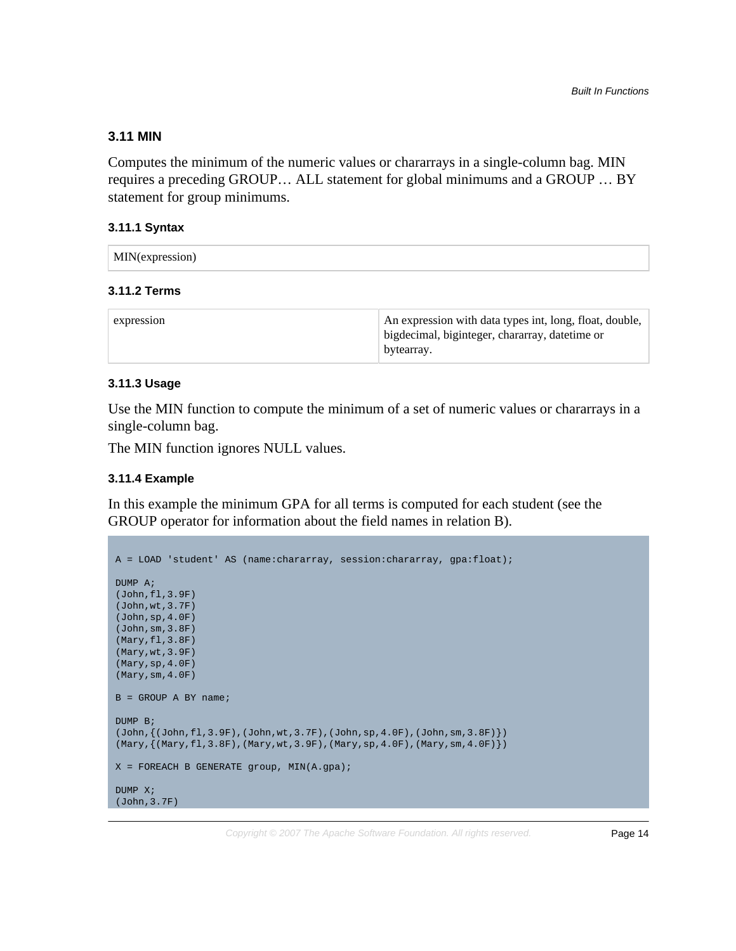#### **3.11 MIN**

Computes the minimum of the numeric values or chararrays in a single-column bag. MIN requires a preceding GROUP… ALL statement for global minimums and a GROUP … BY statement for group minimums.

#### **3.11.1 Syntax**

# **3.11.2 Terms**

| expression | An expression with data types int, long, float, double,<br>bigdecimal, biginteger, chararray, datetime or<br>bytearray. |
|------------|-------------------------------------------------------------------------------------------------------------------------|
|------------|-------------------------------------------------------------------------------------------------------------------------|

#### **3.11.3 Usage**

Use the MIN function to compute the minimum of a set of numeric values or chararrays in a single-column bag.

The MIN function ignores NULL values.

#### **3.11.4 Example**

In this example the minimum GPA for all terms is computed for each student (see the GROUP operator for information about the field names in relation B).

```
A = LOAD 'student' AS (name:chararray, session:chararray, gpa:float);
DUMP A;
(John,fl,3.9F)
(John,wt,3.7F)
(John,sp,4.0F)
(John,sm,3.8F)
(Mary,fl,3.8F)
(Mary,wt,3.9F)
(Mary,sp,4.0F)
(Mary,sm,4.0F)
B = GROUP A BY name;
DUMP B;
(John, { (John, f1, 3.9F), (John, wt, 3.7F), (John, sp, 4.0F), (John, sm, 3.8F) } )(Mary,{(Mary,fl,3.8F),(Mary,wt,3.9F),(Mary,sp,4.0F),(Mary,sm,4.0F)})
X = FOREACH B GENERATE group, MIN(A.gpa);
DUMP X;
(John,3.7F)
```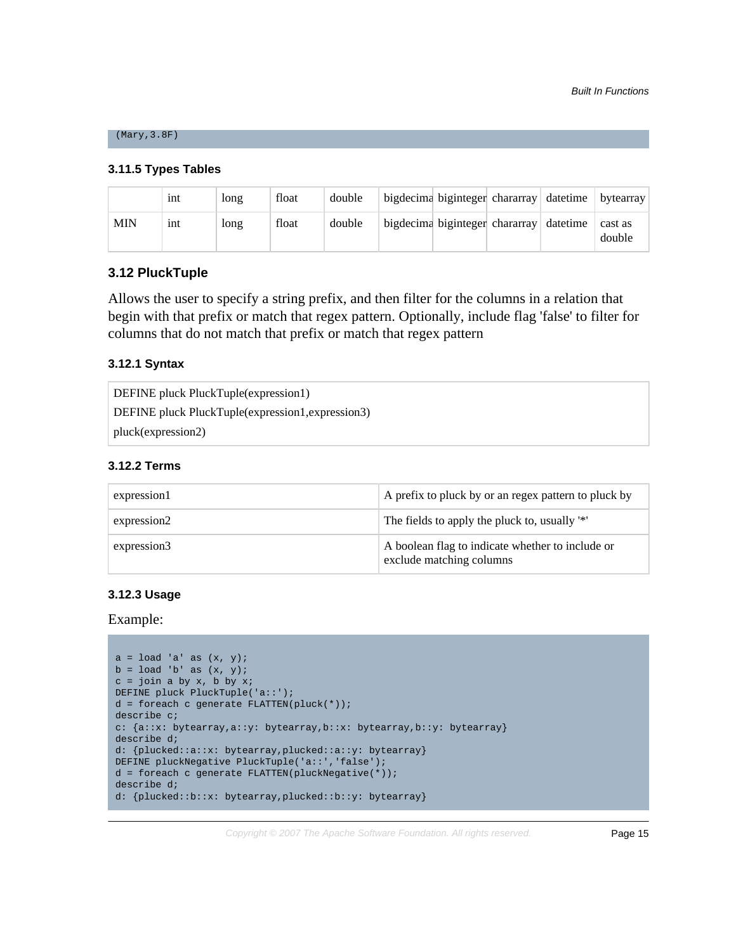#### (Mary,3.8F)

#### **3.11.5 Types Tables**

|            | 1nt | long | float | double | bigdecima biginteger chararray datetime bytearray |  |                   |
|------------|-----|------|-------|--------|---------------------------------------------------|--|-------------------|
| <b>MIN</b> | 1nt | long | float | double | bigdecima biginteger chararray datetime           |  | cast as<br>double |

#### **3.12 PluckTuple**

Allows the user to specify a string prefix, and then filter for the columns in a relation that begin with that prefix or match that regex pattern. Optionally, include flag 'false' to filter for columns that do not match that prefix or match that regex pattern

#### **3.12.1 Syntax**

| DEFINE pluck PluckTuple(expression1)              |  |
|---------------------------------------------------|--|
| DEFINE pluck PluckTuple(expression1, expression3) |  |
| pluck(expression2)                                |  |

#### **3.12.2 Terms**

| expression1 | A prefix to pluck by or an regex pattern to pluck by                         |
|-------------|------------------------------------------------------------------------------|
| expression2 | The fields to apply the pluck to, usually '*'                                |
| expression3 | A boolean flag to indicate whether to include or<br>exclude matching columns |

# **3.12.3 Usage**

Example:

```
a = load 'a' as (x, y);b = load 'b' as (x, y);
c = join a by x, b by x;DEFINE pluck PluckTuple('a::');
d = foreach c generate FLATTEN(pluck(*));
describe c;
c: {a::x: bytearray,a::y: bytearray,b::x: bytearray,b::y: bytearray}
describe d;
d: {plucked::a::x: bytearray,plucked::a::y: bytearray}
DEFINE pluckNegative PluckTuple('a::','false');
d = foreach c generate FLATTEN(pluckNegative(*));
describe d;
d: {plucked::b::x: bytearray,plucked::b::y: bytearray}
```
Copyright  $\odot$  2007 The Apache Software Foundation. All rights reserved. **Page 15**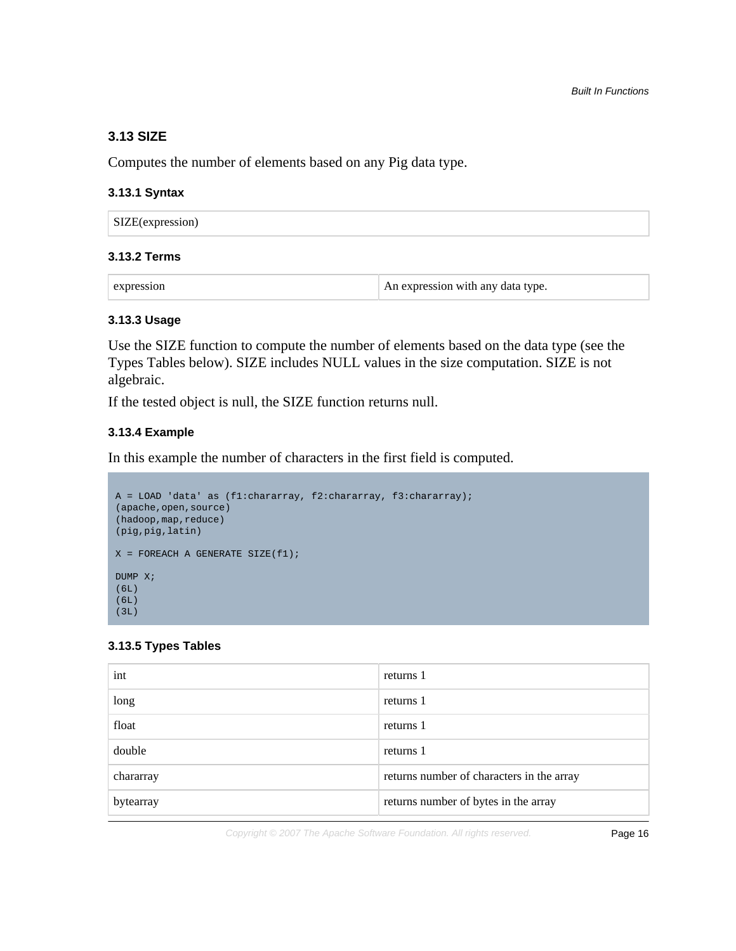# **3.13 SIZE**

Computes the number of elements based on any Pig data type.

#### **3.13.1 Syntax**

# **3.13.2 Terms**

| expression | An expression with any data type. |
|------------|-----------------------------------|
|------------|-----------------------------------|

#### **3.13.3 Usage**

Use the SIZE function to compute the number of elements based on the data type (see the Types Tables below). SIZE includes NULL values in the size computation. SIZE is not algebraic.

If the tested object is null, the SIZE function returns null.

#### **3.13.4 Example**

In this example the number of characters in the first field is computed.

```
A = LOAD 'data' as (f1:chararray, f2:chararray, f3:chararray);
(apache,open,source)
(hadoop,map,reduce)
(pig,pig,latin)
X = FOREACH A GENERATE SIZE(f1);
DUMP X;
(6L)
(6L)
(3L)
```
#### **3.13.5 Types Tables**

| int       | returns 1                                 |
|-----------|-------------------------------------------|
| long      | returns 1                                 |
| float     | returns 1                                 |
| double    | returns 1                                 |
| chararray | returns number of characters in the array |
| bytearray | returns number of bytes in the array      |

Copyright © 2007 The Apache Software Foundation. All rights reserved. Page 16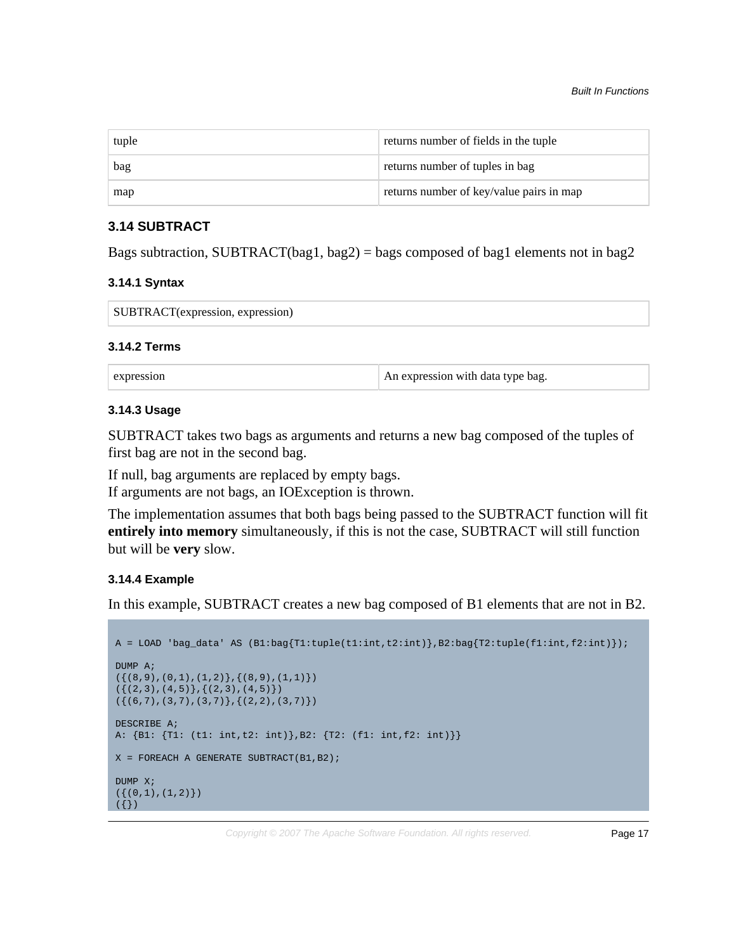| tuple | returns number of fields in the tuple    |
|-------|------------------------------------------|
| bag   | returns number of tuples in bag          |
| map   | returns number of key/value pairs in map |

# **3.14 SUBTRACT**

Bags subtraction, SUBTRACT(bag1, bag2) = bags composed of bag1 elements not in bag2

#### **3.14.1 Syntax**

| SUBTRACT(expression, expression) |  |
|----------------------------------|--|
|----------------------------------|--|

#### **3.14.2 Terms**

| expression | An expression with data type bag. |
|------------|-----------------------------------|
|            |                                   |

# **3.14.3 Usage**

SUBTRACT takes two bags as arguments and returns a new bag composed of the tuples of first bag are not in the second bag.

If null, bag arguments are replaced by empty bags.

If arguments are not bags, an IOException is thrown.

The implementation assumes that both bags being passed to the SUBTRACT function will fit **entirely into memory** simultaneously, if this is not the case, SUBTRACT will still function but will be **very** slow.

#### **3.14.4 Example**

In this example, SUBTRACT creates a new bag composed of B1 elements that are not in B2.

```
A = LOAD 'bag_data' AS (B1:bag{T1:tuple(t1:int,t2:int)},B2:bag{T2:tuple(f1:int,f2:int)});
DUMP A;
({ (8,9), (0,1), (1,2)}, {(8,9), (1,1)}({(2,3),(4,5)},({2,3),(4,5)})({(6,7),(3,7),(3,7)};({2,2}),(3,7))DESCRIBE A;
A: {B1: {T1: (t1: int,t2: int)},B2: {T2: (f1: int,f2: int)}}
X = FOREACH A GENERATE SUBTRACT(B1, B2);
DUMP X;
({ (0,1), (1,2) })({})
```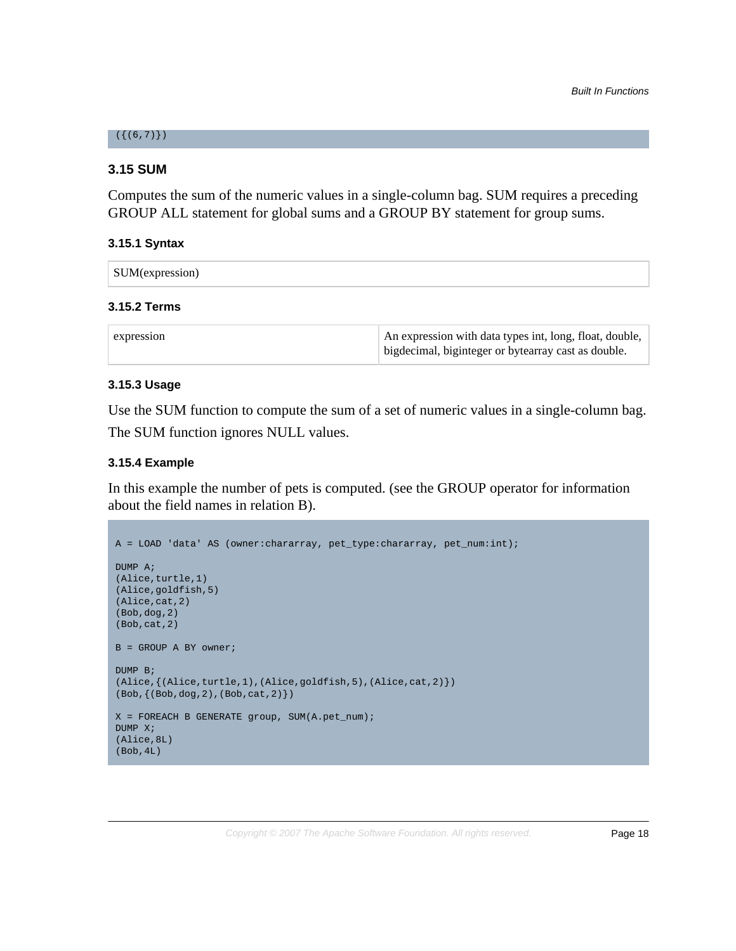#### $({ (6, 7)}$

#### **3.15 SUM**

Computes the sum of the numeric values in a single-column bag. SUM requires a preceding GROUP ALL statement for global sums and a GROUP BY statement for group sums.

#### **3.15.1 Syntax**

| SUM(expression) |
|-----------------|
|-----------------|

#### **3.15.2 Terms**

| expression | An expression with data types int, long, float, double, |
|------------|---------------------------------------------------------|
|            | bigdecimal, biginteger or bytearray cast as double.     |

#### **3.15.3 Usage**

Use the SUM function to compute the sum of a set of numeric values in a single-column bag. The SUM function ignores NULL values.

#### **3.15.4 Example**

In this example the number of pets is computed. (see the GROUP operator for information about the field names in relation B).

```
A = LOAD 'data' AS (owner:chararray, pet_type:chararray, pet_num:int);
DUMP A;
(Alice,turtle,1)
(Alice,goldfish,5)
(Alice,cat,2)
(Bob,dog,2)
(Bob,cat,2) 
B = GROUP A BY owner;
DUMP B;
(Alice,{(\texttt{Alice}, \texttt{turtle},1),(\texttt{Alice}, \texttt{goldfish},5),(\texttt{Alice}, \texttt{cat},2)}))
(Bob,{(Bob,dog,2),(Bob,cat,2)})
X = FOREACH B GENERATE group, SUM(A.pet num);
DUMP X;
(Alice,8L)
(Bob,4L)
```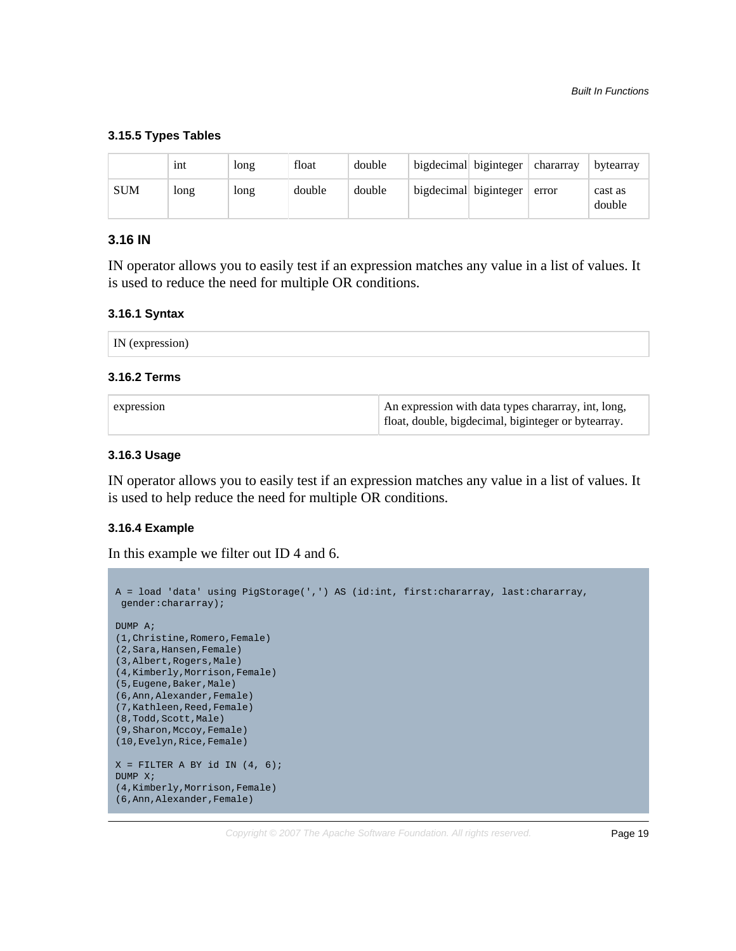#### **3.15.5 Types Tables**

|     | 1nt  | long | float  | double | bigdecimal biginteger $\vert$ chararray |                       |       | bytearray         |
|-----|------|------|--------|--------|-----------------------------------------|-----------------------|-------|-------------------|
| SUM | long | long | double | double |                                         | bigdecimal biginteger | error | cast as<br>double |

# **3.16 IN**

IN operator allows you to easily test if an expression matches any value in a list of values. It is used to reduce the need for multiple OR conditions.

#### **3.16.1 Syntax**

| IN<br>the contract of the contract of the contract of the contract of the contract of the contract of the contract of<br>2774240<br>. texpre<br>5881 O.U |  |  |
|----------------------------------------------------------------------------------------------------------------------------------------------------------|--|--|
|----------------------------------------------------------------------------------------------------------------------------------------------------------|--|--|

# **3.16.2 Terms**

| expression | An expression with data types chararray, int, long, |
|------------|-----------------------------------------------------|
|            | float, double, bigdecimal, biginteger or bytearray. |

# **3.16.3 Usage**

IN operator allows you to easily test if an expression matches any value in a list of values. It is used to help reduce the need for multiple OR conditions.

#### **3.16.4 Example**

In this example we filter out ID 4 and 6.

```
A = load 'data' using PigStorage(',') AS (id:int, first:chararray, last:chararray,
 gender:chararray);
DUMP A;
(1,Christine,Romero,Female)
(2,Sara,Hansen,Female)
(3,Albert,Rogers,Male)
(4,Kimberly,Morrison,Female)
(5,Eugene,Baker,Male)
(6,Ann,Alexander,Female)
(7,Kathleen,Reed,Female)
(8,Todd, Scott, Male)
(9,Sharon,Mccoy,Female)
(10,Evelyn,Rice,Female)
X = FILTER A BY id IN (4, 6);
DUMP X;
(4,Kimberly,Morrison,Female)
(6,Ann,Alexander,Female)
```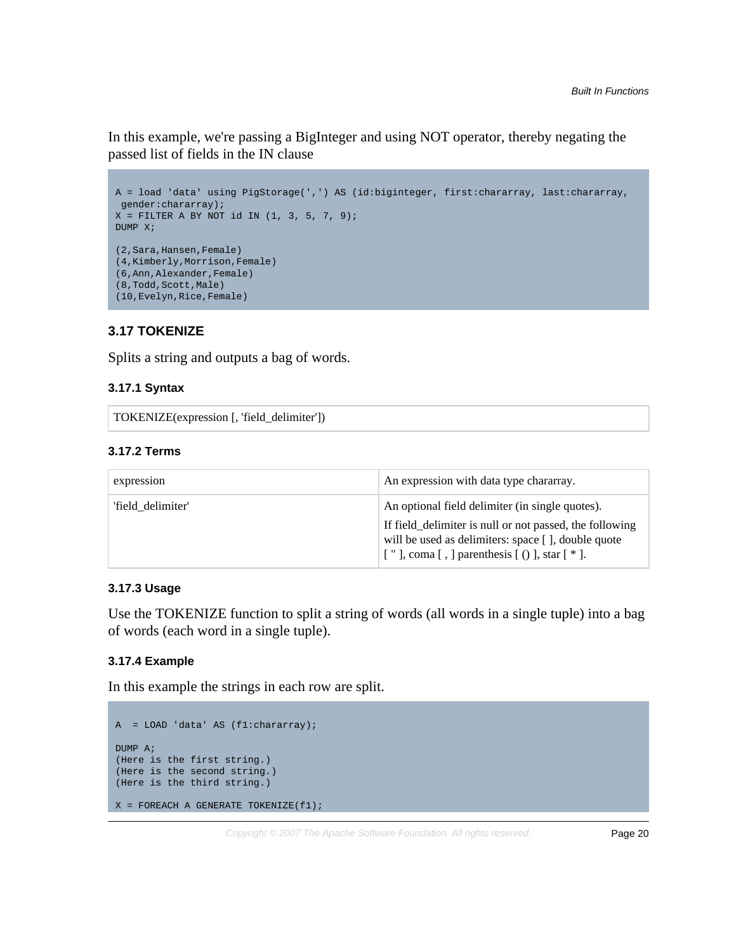In this example, we're passing a BigInteger and using NOT operator, thereby negating the passed list of fields in the IN clause

```
A = load 'data' using PigStorage(',') AS (id:biginteger, first:chararray, last:chararray,
 gender:chararray); 
X = FILTER A BY NOT id IN (1, 3, 5, 7, 9);
DUMP X;
(2,Sara,Hansen,Female)
(4,Kimberly,Morrison,Female)
(6,Ann,Alexander,Female)
(8,Todd, Scott, Male)
(10,Evelyn,Rice,Female)
```
# **3.17 TOKENIZE**

Splits a string and outputs a bag of words.

#### **3.17.1 Syntax**

TOKENIZE(expression [, 'field\_delimiter'])

#### **3.17.2 Terms**

| expression        | An expression with data type chararray.                                                                                                                             |
|-------------------|---------------------------------------------------------------------------------------------------------------------------------------------------------------------|
| 'field delimiter' | An optional field delimiter (in single quotes).                                                                                                                     |
|                   | If field delimiter is null or not passed, the following<br>will be used as delimiters: space [], double quote<br>$\vert$ ["], coma [, ] parenthesis [()], star [*]. |

# **3.17.3 Usage**

Use the TOKENIZE function to split a string of words (all words in a single tuple) into a bag of words (each word in a single tuple).

# **3.17.4 Example**

In this example the strings in each row are split.

```
A = LOAD 'data' AS (f1:chararray);
DUMP A;
(Here is the first string.)
(Here is the second string.)
(Here is the third string.)
X = FOREACH A GENERATE TOKENIZE(f1);
```
Copyright © 2007 The Apache Software Foundation. All rights reserved. Page 20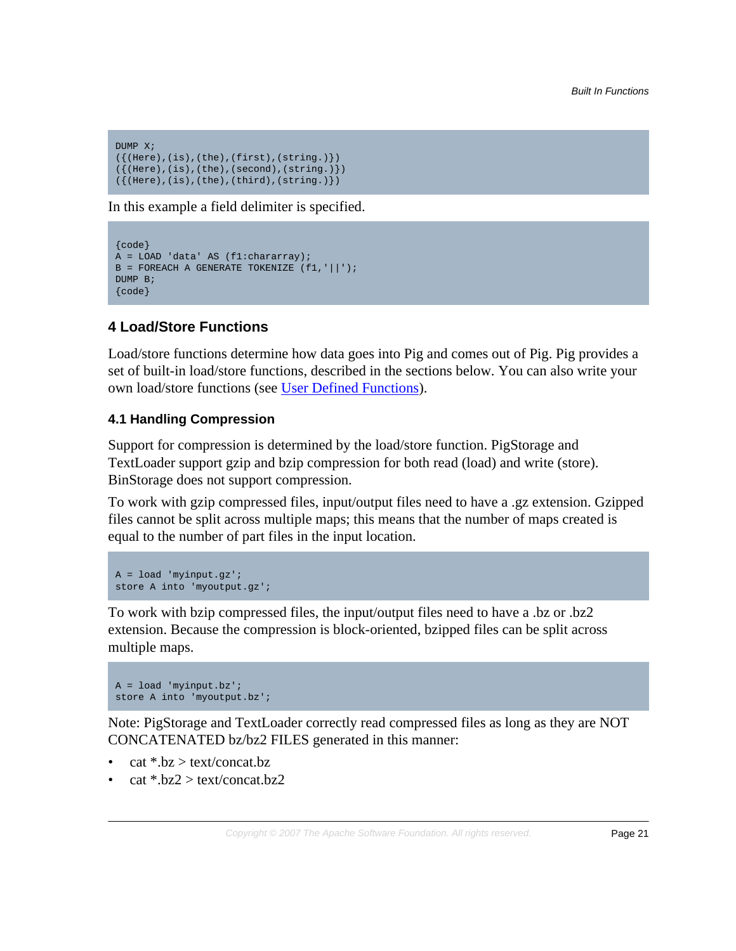```
DUMP X;
({{(Here),(is),(the),(first),(string.)})
({(Here), (is), (the), (second), (string.)})({(Here), (is), (the), (third), (string.)})
```
In this example a field delimiter is specified.

```
{code}
A = LOAD 'data' AS (f1:chararray);
B = FOREACH A GENERATE TOKENIZE (f1,'||');
DUMP B;
{code}
```
# <span id="page-20-0"></span>**4 Load/Store Functions**

Load/store functions determine how data goes into Pig and comes out of Pig. Pig provides a set of built-in load/store functions, described in the sections below. You can also write your own load/store functions (see [User Defined Functions\)](udf.html).

# <span id="page-20-1"></span>**4.1 Handling Compression**

Support for compression is determined by the load/store function. PigStorage and TextLoader support gzip and bzip compression for both read (load) and write (store). BinStorage does not support compression.

To work with gzip compressed files, input/output files need to have a .gz extension. Gzipped files cannot be split across multiple maps; this means that the number of maps created is equal to the number of part files in the input location.

```
A = load 'myinput.gz';
store A into 'myoutput.gz';
```
To work with bzip compressed files, the input/output files need to have a .bz or .bz2 extension. Because the compression is block-oriented, bzipped files can be split across multiple maps.

```
A = load 'myinput.bz';
store A into 'myoutput.bz';
```
Note: PigStorage and TextLoader correctly read compressed files as long as they are NOT CONCATENATED bz/bz2 FILES generated in this manner:

- $cat * .bz > text/concat.bz$
- $cat * .bz2 > text/concat.bz2$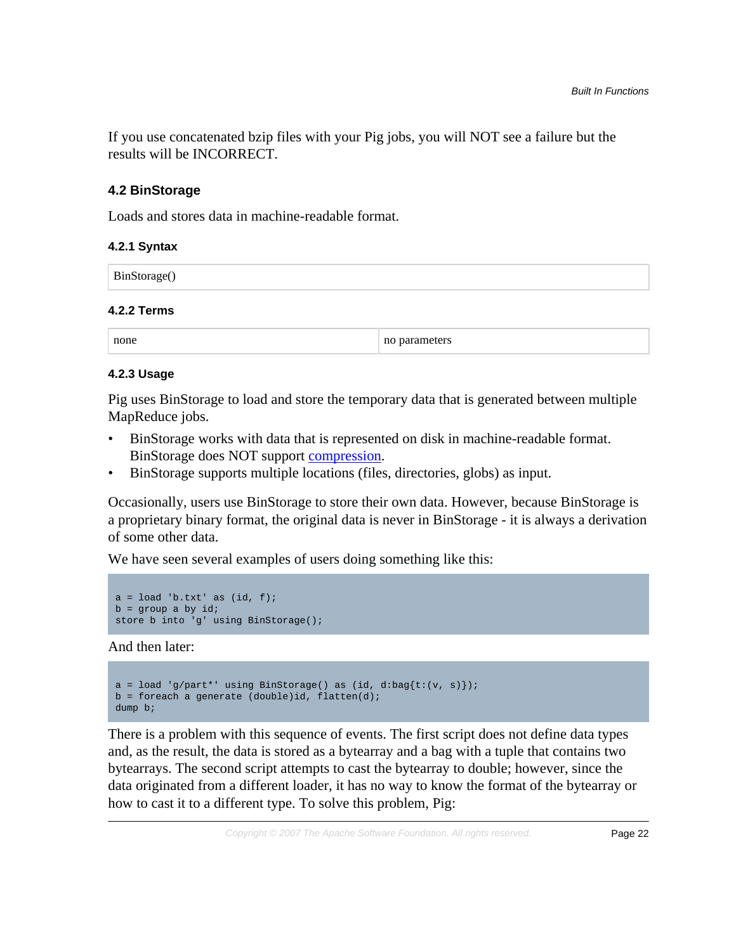If you use concatenated bzip files with your Pig jobs, you will NOT see a failure but the results will be INCORRECT.

# **4.2 BinStorage**

Loads and stores data in machine-readable format.

# **4.2.1 Syntax**

| BinStorage()       |  |  |
|--------------------|--|--|
| <b>4.2.2 Terms</b> |  |  |

none no parameters no parameters

# **4.2.3 Usage**

Pig uses BinStorage to load and store the temporary data that is generated between multiple MapReduce jobs.

- BinStorage works with data that is represented on disk in machine-readable format. BinStorage does NOT support [compression](#page-20-1).
- BinStorage supports multiple locations (files, directories, globs) as input.

Occasionally, users use BinStorage to store their own data. However, because BinStorage is a proprietary binary format, the original data is never in BinStorage - it is always a derivation of some other data.

We have seen several examples of users doing something like this:

```
a = load 'b.txt' as (id, f);
b = group a by id;store b into 'g' using BinStorage();
```
And then later:

```
a = load 'g/part'' using BinStorage() as (id, d:bag{t:(v, s)});
b = foreach a generate (double)id, flatten(d);
dump b;
```
There is a problem with this sequence of events. The first script does not define data types and, as the result, the data is stored as a bytearray and a bag with a tuple that contains two bytearrays. The second script attempts to cast the bytearray to double; however, since the data originated from a different loader, it has no way to know the format of the bytearray or how to cast it to a different type. To solve this problem, Pig: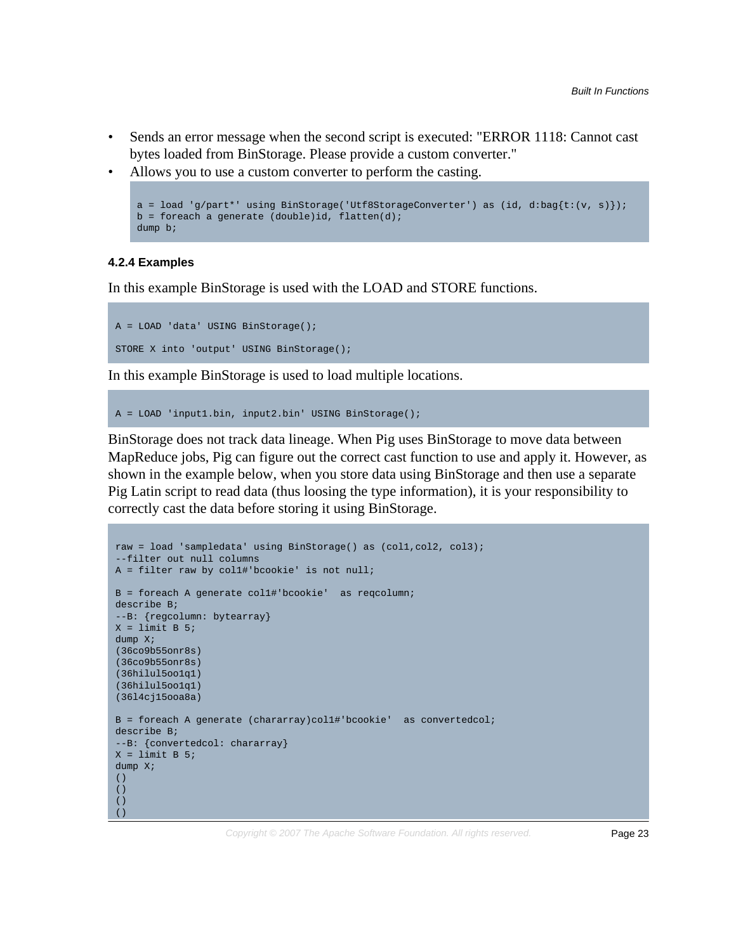- Sends an error message when the second script is executed: "ERROR 1118: Cannot cast bytes loaded from BinStorage. Please provide a custom converter."
- Allows you to use a custom converter to perform the casting.

```
a = load 'g/part*' using BinStorage('Utf8StorageConverter') as (id, d:bag{t:(v, s)});
b = foreach a generate (double)id, flatten(d);
dump b;
```
#### **4.2.4 Examples**

In this example BinStorage is used with the LOAD and STORE functions.

```
A = LOAD 'data' USING BinStorage();
STORE X into 'output' USING BinStorage();
```
In this example BinStorage is used to load multiple locations.

```
A = LOAD 'input1.bin, input2.bin' USING BinStorage();
```
BinStorage does not track data lineage. When Pig uses BinStorage to move data between MapReduce jobs, Pig can figure out the correct cast function to use and apply it. However, as shown in the example below, when you store data using BinStorage and then use a separate Pig Latin script to read data (thus loosing the type information), it is your responsibility to correctly cast the data before storing it using BinStorage.

```
raw = load 'sampledata' using BinStorage() as (col1,col2, col3);
--filter out null columns
A = filter raw by col1#'bcookie' is not null;
B = foreach A generate col1#'bcookie' as reqcolumn;
describe B;
--B: {regcolumn: bytearray}
X = limit B 5;
dump X;
(36co9b55onr8s)
(36co9b55onr8s)
(36hilul5oo1q1)
(36hilul5oo1q1)
(36l4cj15ooa8a)
B = foreach A generate (chararray)col1#'bcookie' as convertedcol;
describe B;
--B: {convertedcol: chararray}
X = limit B 5;
dump X; 
()
()
()
( )
```
Copyright © 2007 The Apache Software Foundation. All rights reserved. Page 23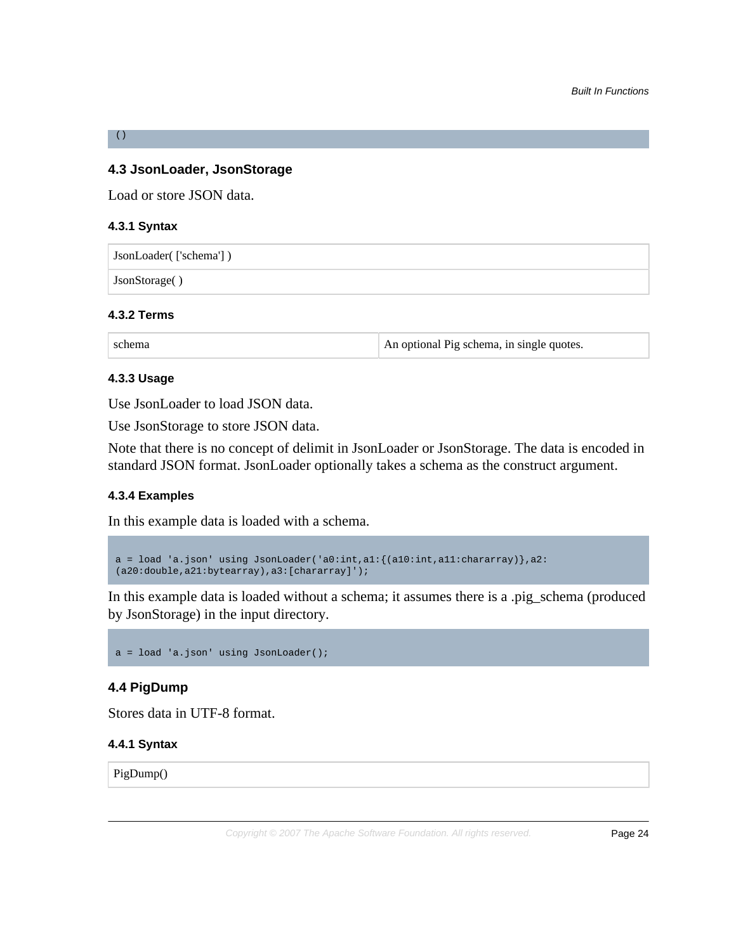# **4.3 JsonLoader, JsonStorage**

Load or store JSON data.

#### **4.3.1 Syntax**

()

JsonLoader( ['schema'] )

JsonStorage( )

#### **4.3.2 Terms**

schema An optional Pig schema, in single quotes.

#### **4.3.3 Usage**

Use JsonLoader to load JSON data.

Use JsonStorage to store JSON data.

Note that there is no concept of delimit in JsonLoader or JsonStorage. The data is encoded in standard JSON format. JsonLoader optionally takes a schema as the construct argument.

# **4.3.4 Examples**

In this example data is loaded with a schema.

a = load 'a.json' using JsonLoader('a0:int,a1:{(a10:int,a11:chararray)},a2: (a20:double,a21:bytearray),a3:[chararray]');

In this example data is loaded without a schema; it assumes there is a .pig\_schema (produced by JsonStorage) in the input directory.

```
a = load 'a.json' using JsonLoader();
```
# **4.4 PigDump**

Stores data in UTF-8 format.

#### **4.4.1 Syntax**

PigDump()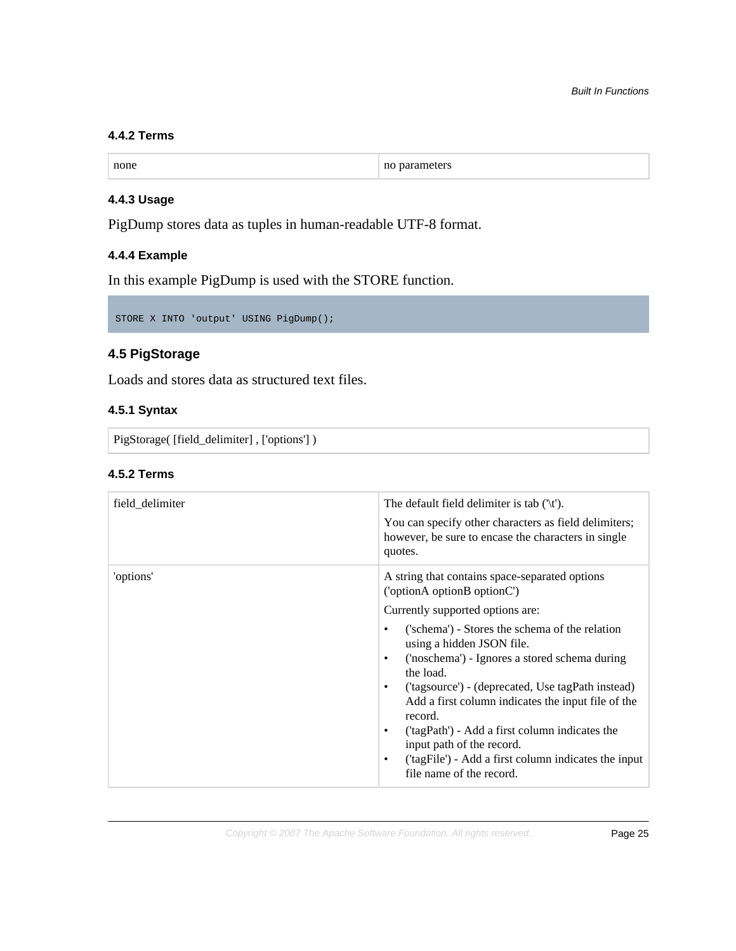# **4.4.2 Terms**

| none | ne<br>зашетету<br>. ти<br>. . |
|------|-------------------------------|
|      |                               |

# **4.4.3 Usage**

PigDump stores data as tuples in human-readable UTF-8 format.

# **4.4.4 Example**

In this example PigDump is used with the STORE function.

STORE X INTO 'output' USING PigDump();

# **4.5 PigStorage**

Loads and stores data as structured text files.

# **4.5.1 Syntax**

PigStorage( [field\_delimiter] , ['options'] )

#### **4.5.2 Terms**

| field_delimiter | The default field delimiter is tab $(\forall t')$ .<br>You can specify other characters as field delimiters;<br>however, be sure to encase the characters in single<br>quotes.                                                                                                                                                                                                                                                                                                                                                                                                                                           |
|-----------------|--------------------------------------------------------------------------------------------------------------------------------------------------------------------------------------------------------------------------------------------------------------------------------------------------------------------------------------------------------------------------------------------------------------------------------------------------------------------------------------------------------------------------------------------------------------------------------------------------------------------------|
| 'options'       | A string that contains space-separated options<br>('optionA optionB optionC')<br>Currently supported options are:<br>('schema') - Stores the schema of the relation<br>$\bullet$<br>using a hidden JSON file.<br>('noschema') - Ignores a stored schema during<br>$\bullet$<br>the load.<br>('tagsource') - (deprecated, Use tagPath instead)<br>$\bullet$<br>Add a first column indicates the input file of the<br>record.<br>('tagPath') - Add a first column indicates the<br>$\bullet$<br>input path of the record.<br>('tagFile') - Add a first column indicates the input<br>$\bullet$<br>file name of the record. |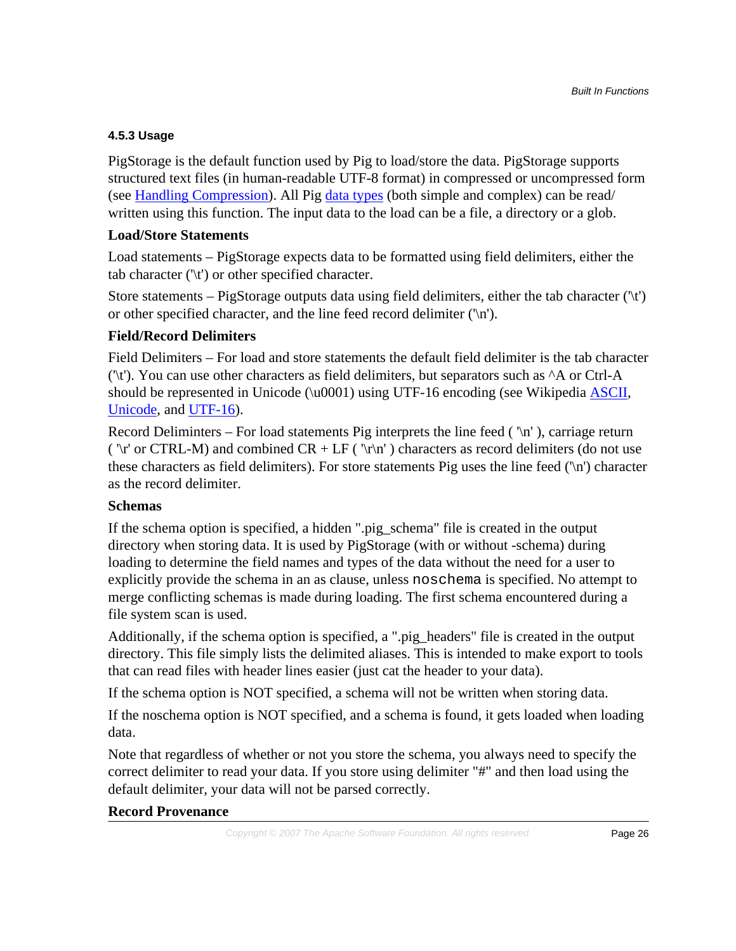# **4.5.3 Usage**

PigStorage is the default function used by Pig to load/store the data. PigStorage supports structured text files (in human-readable UTF-8 format) in compressed or uncompressed form (see [Handling Compression](#page-20-1)). All Pig [data types](basic.html#data-types) (both simple and complex) can be read/ written using this function. The input data to the load can be a file, a directory or a glob.

# **Load/Store Statements**

Load statements – PigStorage expects data to be formatted using field delimiters, either the tab character ('\t') or other specified character.

Store statements – PigStorage outputs data using field delimiters, either the tab character  $(\forall t')$ or other specified character, and the line feed record delimiter  $(\n\cdot\)n$ .

# **Field/Record Delimiters**

Field Delimiters – For load and store statements the default field delimiter is the tab character  $'$ t). You can use other characters as field delimiters, but separators such as  $^{\wedge}$ A or Ctrl-A should be represented in Unicode  $(\u0001)$  using UTF-16 encoding (see Wikipedia **[ASCII](http://en.wikipedia.org/wiki/ASCII)**, [Unicode,](http://en.wikipedia.org/wiki/Unicode) and [UTF-16\)](http://en.wikipedia.org/wiki/UTF-16).

Record Deliminters – For load statements Pig interprets the line feed  $(\n\pi)$ , carriage return ( $\lceil \rceil$ ' or CTRL-M) and combined CR + LF ( $\lceil \rceil$ ' ) characters as record delimiters (do not use these characters as field delimiters). For store statements Pig uses the line feed ('\n') character as the record delimiter.

# **Schemas**

If the schema option is specified, a hidden ".pig\_schema" file is created in the output directory when storing data. It is used by PigStorage (with or without -schema) during loading to determine the field names and types of the data without the need for a user to explicitly provide the schema in an as clause, unless noschema is specified. No attempt to merge conflicting schemas is made during loading. The first schema encountered during a file system scan is used.

Additionally, if the schema option is specified, a ".pig\_headers" file is created in the output directory. This file simply lists the delimited aliases. This is intended to make export to tools that can read files with header lines easier (just cat the header to your data).

If the schema option is NOT specified, a schema will not be written when storing data.

If the noschema option is NOT specified, and a schema is found, it gets loaded when loading data.

Note that regardless of whether or not you store the schema, you always need to specify the correct delimiter to read your data. If you store using delimiter "#" and then load using the default delimiter, your data will not be parsed correctly.

# **Record Provenance**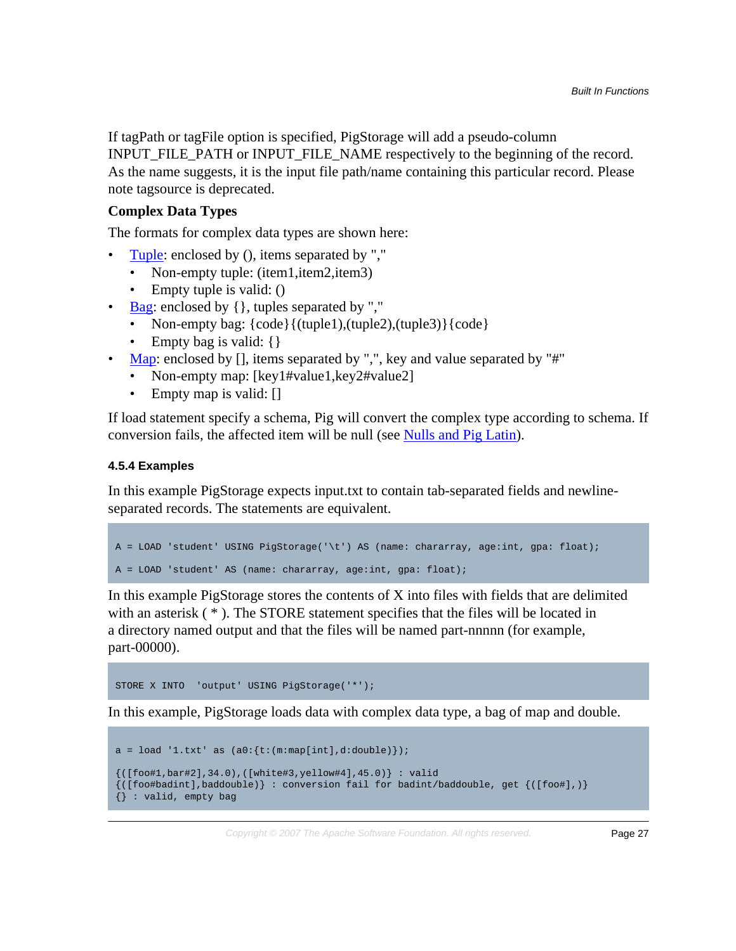If tagPath or tagFile option is specified, PigStorage will add a pseudo-column INPUT\_FILE\_PATH or INPUT\_FILE\_NAME respectively to the beginning of the record. As the name suggests, it is the input file path/name containing this particular record. Please note tagsource is deprecated.

# **Complex Data Types**

The formats for complex data types are shown here:

- [Tuple:](basic.html#tuple) enclosed by (), items separated by ","
	- Non-empty tuple: (item1, item2, item3)
	- Empty tuple is valid: ()
- [Bag](basic.html#bag): enclosed by { }, tuples separated by ","
	- Non-empty bag:  ${code}{(tuple1),(tuple2),(tuple3)}$  ${code}$
	- Empty bag is valid: {}
- [Map:](basic.html#map) enclosed by [], items separated by ",", key and value separated by "#"
	- Non-empty map: [key1#value1, key2#value2]
	- Empty map is valid: []

If load statement specify a schema, Pig will convert the complex type according to schema. If conversion fails, the affected item will be null (see [Nulls and Pig Latin\)](basic.html#nulls).

#### **4.5.4 Examples**

In this example PigStorage expects input.txt to contain tab-separated fields and newlineseparated records. The statements are equivalent.

```
A = LOAD 'student' USING PigStorage('\t') AS (name: chararray, age:int, gpa: float); 
A = LOAD 'student' AS (name: chararray, age:int, gpa: float);
```
In this example PigStorage stores the contents of X into files with fields that are delimited with an asterisk (\*). The STORE statement specifies that the files will be located in a directory named output and that the files will be named part-nnnnn (for example, part-00000).

STORE X INTO 'output' USING PigStorage('\*');

In this example, PigStorage loads data with complex data type, a bag of map and double.

```
a = load '1.txt' as (a0: {t:(m:map[int], d:double)});
{({[foot#1,bar#2],34.0),({[white#3,yellow#4],45.0)} : valid}}\{([foot] \lambda, \lambda) \}: conversion fail for badint/baddouble, get \{([foot] \lambda, \lambda) \}{} : valid, empty bag
```
Copyright © 2007 The Apache Software Foundation. All rights reserved. Page 27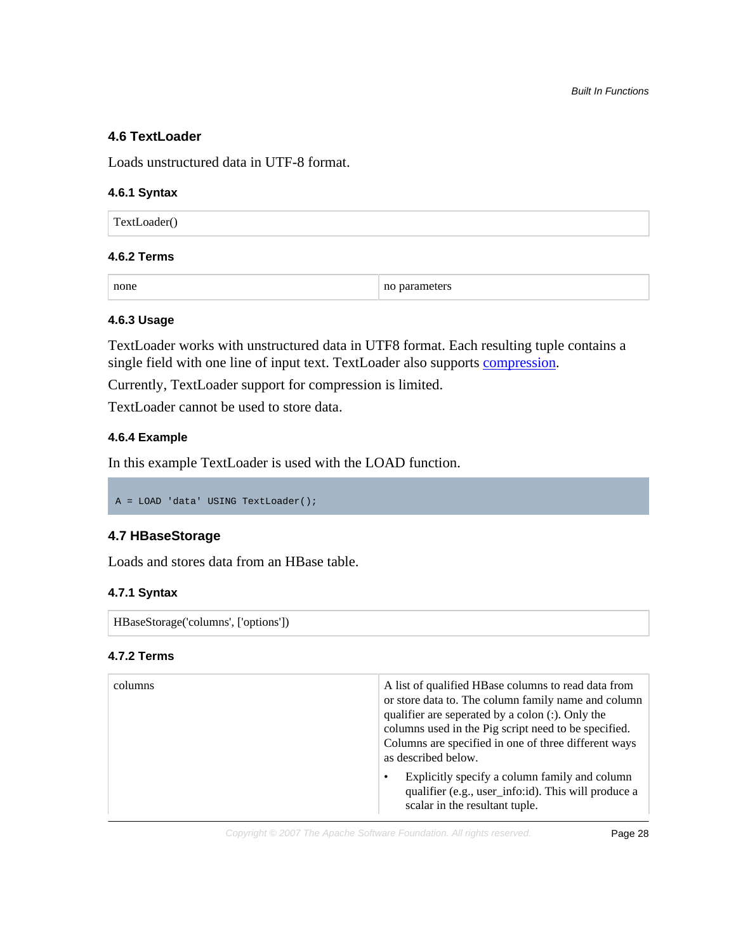# **4.6 TextLoader**

Loads unstructured data in UTF-8 format.

#### **4.6.1 Syntax**

TextLoader()

#### **4.6.2 Terms**

none no parameters no parameters

#### **4.6.3 Usage**

TextLoader works with unstructured data in UTF8 format. Each resulting tuple contains a single field with one line of input text. TextLoader also supports [compression.](#page-20-1)

Currently, TextLoader support for compression is limited.

TextLoader cannot be used to store data.

# **4.6.4 Example**

In this example TextLoader is used with the LOAD function.

A = LOAD 'data' USING TextLoader();

# **4.7 HBaseStorage**

Loads and stores data from an HBase table.

# **4.7.1 Syntax**

HBaseStorage('columns', ['options'])

#### **4.7.2 Terms**

| columns | A list of qualified HBase columns to read data from<br>or store data to. The column family name and column<br>qualifier are seperated by a colon (:). Only the<br>columns used in the Pig script need to be specified.<br>Columns are specified in one of three different ways<br>as described below. |  |
|---------|-------------------------------------------------------------------------------------------------------------------------------------------------------------------------------------------------------------------------------------------------------------------------------------------------------|--|
|         | Explicitly specify a column family and column<br>$\bullet$<br>qualifier (e.g., user_info:id). This will produce a<br>scalar in the resultant tuple.                                                                                                                                                   |  |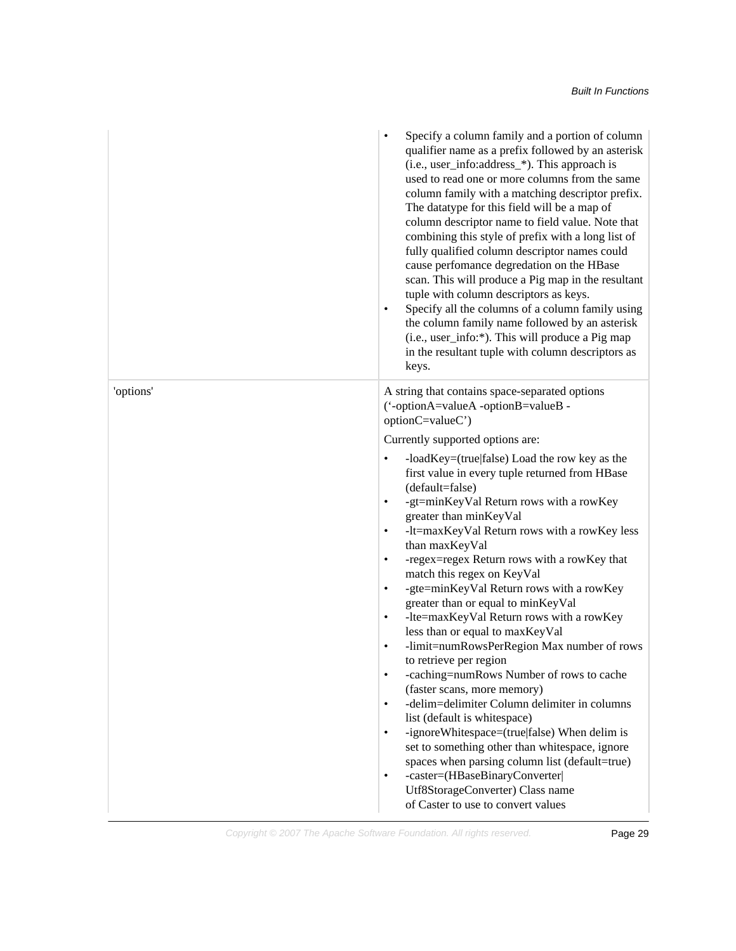|           | Specify a column family and a portion of column<br>qualifier name as a prefix followed by an asterisk<br>(i.e., user_info:address_*). This approach is<br>used to read one or more columns from the same<br>column family with a matching descriptor prefix.<br>The datatype for this field will be a map of<br>column descriptor name to field value. Note that<br>combining this style of prefix with a long list of<br>fully qualified column descriptor names could<br>cause perfomance degredation on the HBase<br>scan. This will produce a Pig map in the resultant<br>tuple with column descriptors as keys.<br>Specify all the columns of a column family using<br>٠<br>the column family name followed by an asterisk<br>(i.e., user_info:*). This will produce a Pig map<br>in the resultant tuple with column descriptors as<br>keys.                                                                                                                                                                                                                                                                                                 |
|-----------|---------------------------------------------------------------------------------------------------------------------------------------------------------------------------------------------------------------------------------------------------------------------------------------------------------------------------------------------------------------------------------------------------------------------------------------------------------------------------------------------------------------------------------------------------------------------------------------------------------------------------------------------------------------------------------------------------------------------------------------------------------------------------------------------------------------------------------------------------------------------------------------------------------------------------------------------------------------------------------------------------------------------------------------------------------------------------------------------------------------------------------------------------|
| 'options' | A string that contains space-separated options<br>('-optionA=valueA -optionB=valueB -<br>optionC=valueC')                                                                                                                                                                                                                                                                                                                                                                                                                                                                                                                                                                                                                                                                                                                                                                                                                                                                                                                                                                                                                                         |
|           | Currently supported options are:                                                                                                                                                                                                                                                                                                                                                                                                                                                                                                                                                                                                                                                                                                                                                                                                                                                                                                                                                                                                                                                                                                                  |
|           | -loadKey=(true false) Load the row key as the<br>٠<br>first value in every tuple returned from HBase<br>(default=false)<br>-gt=minKeyVal Return rows with a rowKey<br>$\bullet$<br>greater than minKeyVal<br>-lt=maxKeyVal Return rows with a rowKey less<br>$\bullet$<br>than maxKeyVal<br>-regex=regex Return rows with a rowKey that<br>$\bullet$<br>match this regex on KeyVal<br>-gte=minKeyVal Return rows with a rowKey<br>$\bullet$<br>greater than or equal to minKeyVal<br>-lte=maxKeyVal Return rows with a rowKey<br>$\bullet$<br>less than or equal to maxKeyVal<br>-limit=numRowsPerRegion Max number of rows<br>$\bullet$<br>to retrieve per region<br>-caching=numRows Number of rows to cache<br>$\bullet$<br>(faster scans, more memory)<br>-delim=delimiter Column delimiter in columns<br>$\bullet$<br>list (default is whitespace)<br>-ignoreWhitespace=(true false) When delim is<br>$\bullet$<br>set to something other than whitespace, ignore<br>spaces when parsing column list (default=true)<br>-caster=(HBaseBinaryConverter)<br>$\bullet$<br>Utf8StorageConverter) Class name<br>of Caster to use to convert values |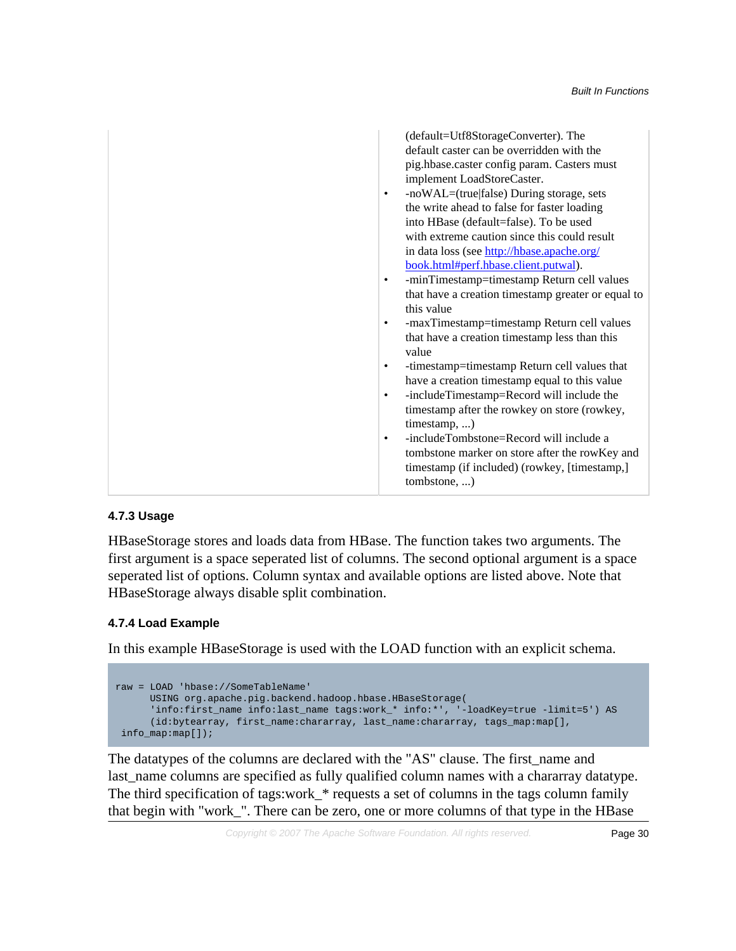| (default=Utf8StorageConverter). The                       |
|-----------------------------------------------------------|
| default caster can be overridden with the                 |
| pig.hbase.caster config param. Casters must               |
| implement LoadStoreCaster.                                |
| -noWAL=(true false) During storage, sets<br>٠             |
| the write ahead to false for faster loading               |
| into HBase (default=false). To be used                    |
| with extreme caution since this could result              |
| in data loss (see http://hbase.apache.org/                |
| book.html#perf.hbase.client.putwal).                      |
| -minTimestamp=timestamp Return cell values<br>٠           |
| that have a creation timestamp greater or equal to        |
| this value                                                |
| -maxTimestamp=timestamp Return cell values<br>٠           |
| that have a creation timestamp less than this<br>value    |
| -timestamp=timestamp Return cell values that<br>$\bullet$ |
| have a creation timestamp equal to this value             |
| -includeTimestamp=Record will include the<br>٠            |
| timestamp after the rowkey on store (rowkey,              |
| $time stamp, \ldots)$                                     |
| -includeTombstone=Record will include a<br>$\bullet$      |
| tombstone marker on store after the rowKey and            |
| timestamp (if included) (rowkey, [timestamp,]             |
| tombstone, )                                              |
|                                                           |

# **4.7.3 Usage**

HBaseStorage stores and loads data from HBase. The function takes two arguments. The first argument is a space seperated list of columns. The second optional argument is a space seperated list of options. Column syntax and available options are listed above. Note that HBaseStorage always disable split combination.

# **4.7.4 Load Example**

In this example HBaseStorage is used with the LOAD function with an explicit schema.

```
raw = LOAD 'hbase://SomeTableName'
      USING org.apache.pig.backend.hadoop.hbase.HBaseStorage(
       'info:first_name info:last_name tags:work_* info:*', '-loadKey=true -limit=5') AS
       (id:bytearray, first_name:chararray, last_name:chararray, tags_map:map[],
 info_map:map[]);
```
The datatypes of the columns are declared with the "AS" clause. The first\_name and last\_name columns are specified as fully qualified column names with a chararray datatype. The third specification of tags:work\_\* requests a set of columns in the tags column family that begin with "work\_". There can be zero, one or more columns of that type in the HBase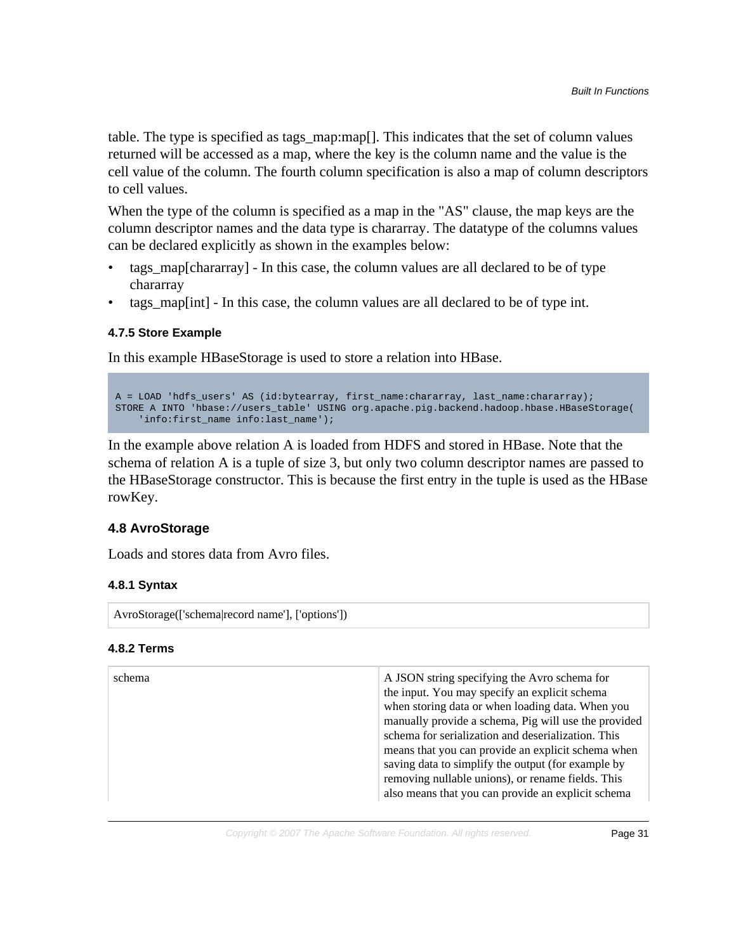table. The type is specified as tags\_map:map[]. This indicates that the set of column values returned will be accessed as a map, where the key is the column name and the value is the cell value of the column. The fourth column specification is also a map of column descriptors to cell values.

When the type of the column is specified as a map in the "AS" clause, the map keys are the column descriptor names and the data type is chararray. The datatype of the columns values can be declared explicitly as shown in the examples below:

- tags\_map[chararray] In this case, the column values are all declared to be of type chararray
- tags\_map[int] In this case, the column values are all declared to be of type int.

# **4.7.5 Store Example**

In this example HBaseStorage is used to store a relation into HBase.

```
A = LOAD 'hdfs_users' AS (id:bytearray, first_name:chararray, last_name:chararray);
STORE A INTO 'hbase://users_table' USING org.apache.pig.backend.hadoop.hbase.HBaseStorage(
     'info:first_name info:last_name');
```
In the example above relation A is loaded from HDFS and stored in HBase. Note that the schema of relation A is a tuple of size 3, but only two column descriptor names are passed to the HBaseStorage constructor. This is because the first entry in the tuple is used as the HBase rowKey.

# <span id="page-30-0"></span>**4.8 AvroStorage**

Loads and stores data from Avro files.

# **4.8.1 Syntax**

AvroStorage(['schema|record name'], ['options'])

#### **4.8.2 Terms**

| schema | A JSON string specifying the Avro schema for<br>the input. You may specify an explicit schema<br>when storing data or when loading data. When you<br>manually provide a schema, Pig will use the provided<br>schema for serialization and deserialization. This<br>means that you can provide an explicit schema when<br>saving data to simplify the output (for example by<br>removing nullable unions), or rename fields. This<br>also means that you can provide an explicit schema |
|--------|----------------------------------------------------------------------------------------------------------------------------------------------------------------------------------------------------------------------------------------------------------------------------------------------------------------------------------------------------------------------------------------------------------------------------------------------------------------------------------------|
|--------|----------------------------------------------------------------------------------------------------------------------------------------------------------------------------------------------------------------------------------------------------------------------------------------------------------------------------------------------------------------------------------------------------------------------------------------------------------------------------------------|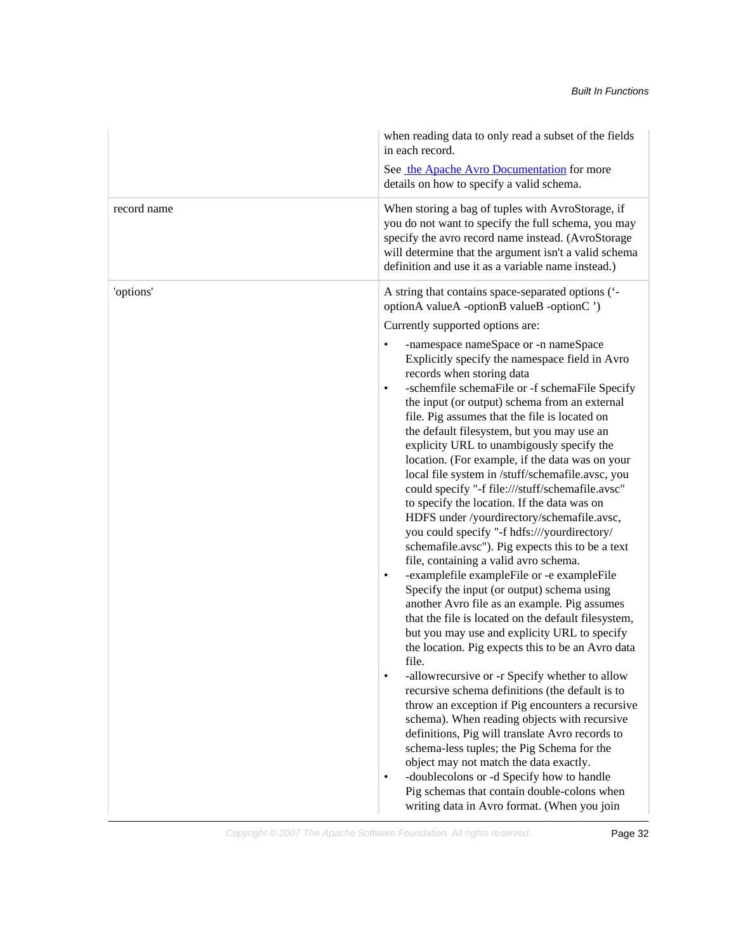|             | when reading data to only read a subset of the fields<br>in each record.                                                                                                                                                                                                                                                                                                                                                                                                                                                                                                                                                                                                                                                                                                                                                                                                                                                                                                                                                                                                                                               |
|-------------|------------------------------------------------------------------------------------------------------------------------------------------------------------------------------------------------------------------------------------------------------------------------------------------------------------------------------------------------------------------------------------------------------------------------------------------------------------------------------------------------------------------------------------------------------------------------------------------------------------------------------------------------------------------------------------------------------------------------------------------------------------------------------------------------------------------------------------------------------------------------------------------------------------------------------------------------------------------------------------------------------------------------------------------------------------------------------------------------------------------------|
|             | See the Apache Avro Documentation for more<br>details on how to specify a valid schema.                                                                                                                                                                                                                                                                                                                                                                                                                                                                                                                                                                                                                                                                                                                                                                                                                                                                                                                                                                                                                                |
| record name | When storing a bag of tuples with AvroStorage, if<br>you do not want to specify the full schema, you may<br>specify the avro record name instead. (AvroStorage<br>will determine that the argument isn't a valid schema<br>definition and use it as a variable name instead.)                                                                                                                                                                                                                                                                                                                                                                                                                                                                                                                                                                                                                                                                                                                                                                                                                                          |
| 'options'   | A string that contains space-separated options ('-<br>optionA valueA -optionB valueB -optionC ')<br>Currently supported options are:                                                                                                                                                                                                                                                                                                                                                                                                                                                                                                                                                                                                                                                                                                                                                                                                                                                                                                                                                                                   |
|             | -namespace nameSpace or -n nameSpace<br>$\bullet$<br>Explicitly specify the namespace field in Avro<br>records when storing data<br>-schemfile schemaFile or -f schemaFile Specify<br>$\bullet$<br>the input (or output) schema from an external<br>file. Pig assumes that the file is located on<br>the default filesystem, but you may use an<br>explicity URL to unambigously specify the<br>location. (For example, if the data was on your<br>local file system in /stuff/schemafile.avsc, you<br>could specify "-f file:///stuff/schemafile.avsc"<br>to specify the location. If the data was on<br>HDFS under /yourdirectory/schemafile.avsc,<br>you could specify "-f hdfs:///yourdirectory/<br>schemafile.avsc"). Pig expects this to be a text<br>file, containing a valid avro schema.<br>-examplefile exampleFile or -e exampleFile<br>$\bullet$<br>Specify the input (or output) schema using<br>another Avro file as an example. Pig assumes<br>that the file is located on the default filesystem,<br>but you may use and explicity URL to specify<br>the location. Pig expects this to be an Avro data |
|             | file.<br>-allowrecursive or -r Specify whether to allow<br>٠<br>recursive schema definitions (the default is to<br>throw an exception if Pig encounters a recursive<br>schema). When reading objects with recursive<br>definitions, Pig will translate Avro records to<br>schema-less tuples; the Pig Schema for the<br>object may not match the data exactly.                                                                                                                                                                                                                                                                                                                                                                                                                                                                                                                                                                                                                                                                                                                                                         |
|             | -doublecolons or -d Specify how to handle<br>٠<br>Pig schemas that contain double-colons when<br>writing data in Avro format. (When you join                                                                                                                                                                                                                                                                                                                                                                                                                                                                                                                                                                                                                                                                                                                                                                                                                                                                                                                                                                           |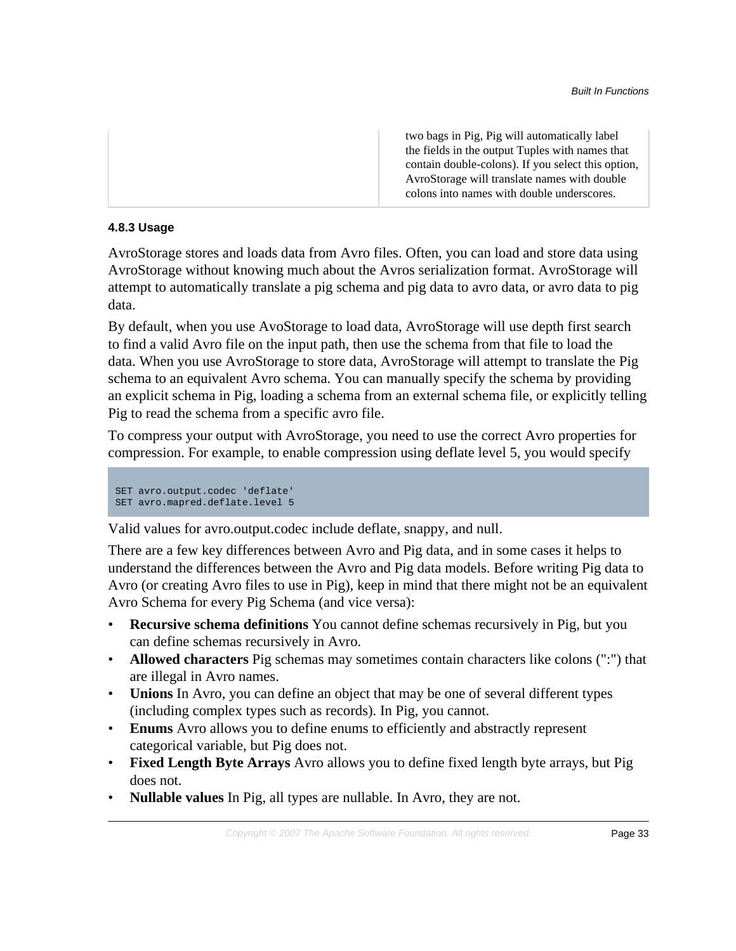two bags in Pig, Pig will automatically label the fields in the output Tuples with names that contain double-colons). If you select this option, AvroStorage will translate names with double colons into names with double underscores.

# **4.8.3 Usage**

AvroStorage stores and loads data from Avro files. Often, you can load and store data using AvroStorage without knowing much about the Avros serialization format. AvroStorage will attempt to automatically translate a pig schema and pig data to avro data, or avro data to pig data.

By default, when you use AvoStorage to load data, AvroStorage will use depth first search to find a valid Avro file on the input path, then use the schema from that file to load the data. When you use AvroStorage to store data, AvroStorage will attempt to translate the Pig schema to an equivalent Avro schema. You can manually specify the schema by providing an explicit schema in Pig, loading a schema from an external schema file, or explicitly telling Pig to read the schema from a specific avro file.

To compress your output with AvroStorage, you need to use the correct Avro properties for compression. For example, to enable compression using deflate level 5, you would specify

```
SET avro.output.codec 'deflate'
SET avro.mapred.deflate.level 5
```
Valid values for avro.output.codec include deflate, snappy, and null.

There are a few key differences between Avro and Pig data, and in some cases it helps to understand the differences between the Avro and Pig data models. Before writing Pig data to Avro (or creating Avro files to use in Pig), keep in mind that there might not be an equivalent Avro Schema for every Pig Schema (and vice versa):

- **Recursive schema definitions** You cannot define schemas recursively in Pig, but you can define schemas recursively in Avro.
- **Allowed characters** Pig schemas may sometimes contain characters like colons (":") that are illegal in Avro names.
- **Unions** In Avro, you can define an object that may be one of several different types (including complex types such as records). In Pig, you cannot.
- **Enums** Avro allows you to define enums to efficiently and abstractly represent categorical variable, but Pig does not.
- **Fixed Length Byte Arrays** Avro allows you to define fixed length byte arrays, but Pig does not.
- **Nullable values** In Pig, all types are nullable. In Avro, they are not.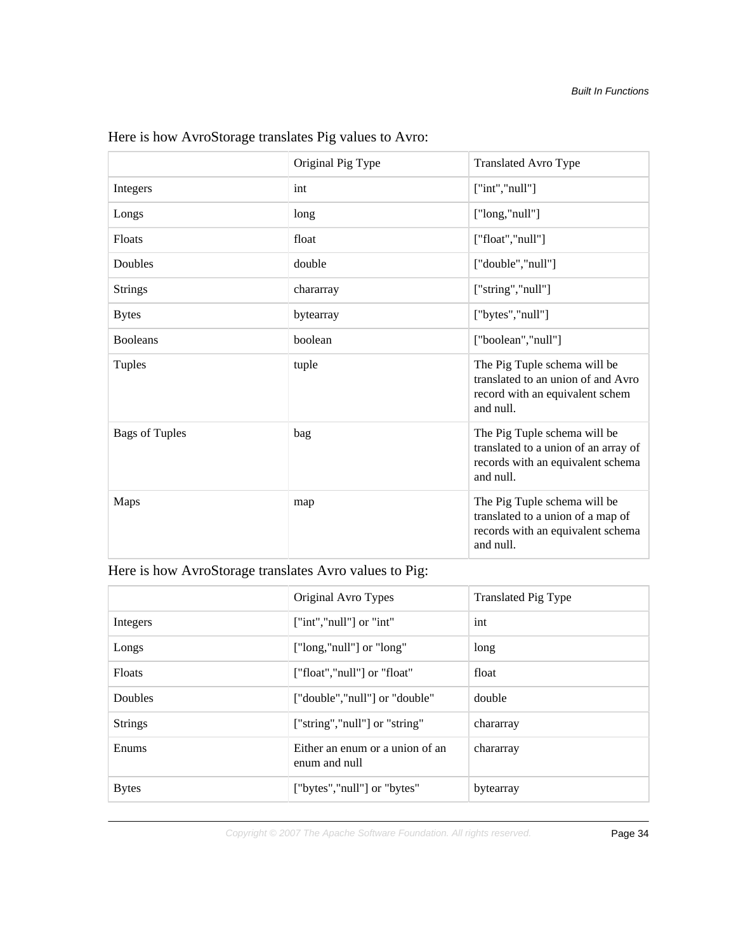|                       | Original Pig Type | <b>Translated Avro Type</b>                                                                                            |
|-----------------------|-------------------|------------------------------------------------------------------------------------------------------------------------|
| Integers              | int               | ['int", "null"]                                                                                                        |
| Longs                 | long              | ["long,"null"]                                                                                                         |
| Floats                | float             | ["float","null"]                                                                                                       |
| Doubles               | double            | ["double","null"]                                                                                                      |
| <b>Strings</b>        | chararray         | ["string","null"]                                                                                                      |
| <b>Bytes</b>          | bytearray         | ["bytes","null"]                                                                                                       |
| <b>Booleans</b>       | boolean           | ["boolean","null"]                                                                                                     |
| Tuples                | tuple             | The Pig Tuple schema will be<br>translated to an union of and Avro<br>record with an equivalent schem<br>and null.     |
| <b>Bags of Tuples</b> | bag               | The Pig Tuple schema will be<br>translated to a union of an array of<br>records with an equivalent schema<br>and null. |
| <b>Maps</b>           | map               | The Pig Tuple schema will be<br>translated to a union of a map of<br>records with an equivalent schema<br>and null.    |

Here is how AvroStorage translates Pig values to Avro:

Here is how AvroStorage translates Avro values to Pig:

|                | Original Avro Types                              | <b>Translated Pig Type</b> |
|----------------|--------------------------------------------------|----------------------------|
| Integers       | $\lceil$ "int","null" $\rceil$ or "int"          | int                        |
| Longs          | ["long,"null"] or "long"                         | long                       |
| <b>Floats</b>  | ["float","null"] or "float"                      | float                      |
| Doubles        | ["double","null"] or "double"                    | double                     |
| <b>Strings</b> | ["string","null"] or "string"                    | chararray                  |
| Enums          | Either an enum or a union of an<br>enum and null | chararray                  |
| <b>Bytes</b>   | ["bytes","null"] or "bytes"                      | bytearray                  |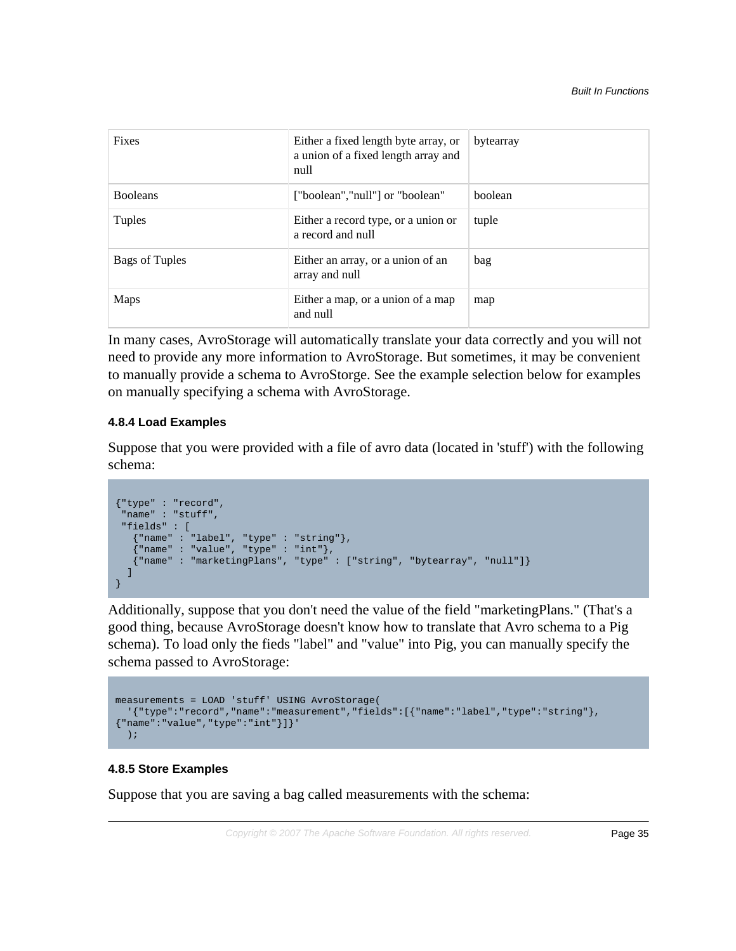| <b>Fixes</b>    | Either a fixed length byte array, or<br>a union of a fixed length array and<br>null | bytearray |
|-----------------|-------------------------------------------------------------------------------------|-----------|
| <b>Booleans</b> | ["boolean","null"] or "boolean"                                                     | boolean   |
| Tuples          | Either a record type, or a union or<br>a record and null                            | tuple     |
| Bags of Tuples  | Either an array, or a union of an<br>array and null                                 | bag       |
| Maps            | Either a map, or a union of a map<br>and null                                       | map       |

In many cases, AvroStorage will automatically translate your data correctly and you will not need to provide any more information to AvroStorage. But sometimes, it may be convenient to manually provide a schema to AvroStorge. See the example selection below for examples on manually specifying a schema with AvroStorage.

# **4.8.4 Load Examples**

Suppose that you were provided with a file of avro data (located in 'stuff') with the following schema:

```
{"type" : "record",
 "name" : "stuff",
  "fields" : [
 {"name" : "label", "type" : "string"}, 
 {"name" : "value", "type" : "int"},
    {"name" : "marketingPlans", "type" : ["string", "bytearray", "null"]}
  ]
}
```
Additionally, suppose that you don't need the value of the field "marketingPlans." (That's a good thing, because AvroStorage doesn't know how to translate that Avro schema to a Pig schema). To load only the fieds "label" and "value" into Pig, you can manually specify the schema passed to AvroStorage:

```
measurements = LOAD 'stuff' USING AvroStorage(
  '{"type":"record","name":"measurement","fields":[{"name":"label","type":"string"},
{"name":"value","type":"int"}]}'
   );
```
# **4.8.5 Store Examples**

Suppose that you are saving a bag called measurements with the schema: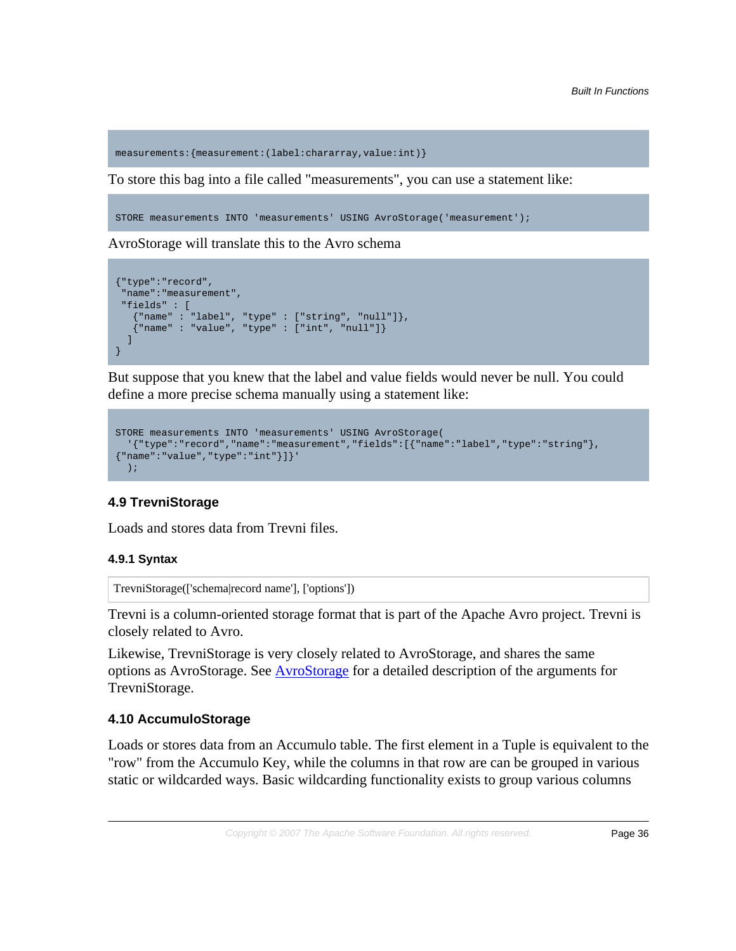measurements:{measurement:(label:chararray,value:int)}

To store this bag into a file called "measurements", you can use a statement like:

STORE measurements INTO 'measurements' USING AvroStorage('measurement');

AvroStorage will translate this to the Avro schema

```
{"type":"record", 
  "name":"measurement",
  "fields" : [
    {"name" : "label", "type" : ["string", "null"]}, 
    {"name" : "value", "type" : ["int", "null"]}
  ]
}
```
But suppose that you knew that the label and value fields would never be null. You could define a more precise schema manually using a statement like:

```
STORE measurements INTO 'measurements' USING AvroStorage(
  '{"type":"record","name":"measurement","fields":[{"name":"label","type":"string"},
{"name":"value","type":"int"}]}'
   );
```
# **4.9 TrevniStorage**

Loads and stores data from Trevni files.

#### **4.9.1 Syntax**

TrevniStorage(['schema|record name'], ['options'])

Trevni is a column-oriented storage format that is part of the Apache Avro project. Trevni is closely related to Avro.

Likewise, TrevniStorage is very closely related to AvroStorage, and shares the same options as AvroStorage. See [AvroStorage](#page-30-0) for a detailed description of the arguments for TrevniStorage.

#### **4.10 AccumuloStorage**

Loads or stores data from an Accumulo table. The first element in a Tuple is equivalent to the "row" from the Accumulo Key, while the columns in that row are can be grouped in various static or wildcarded ways. Basic wildcarding functionality exists to group various columns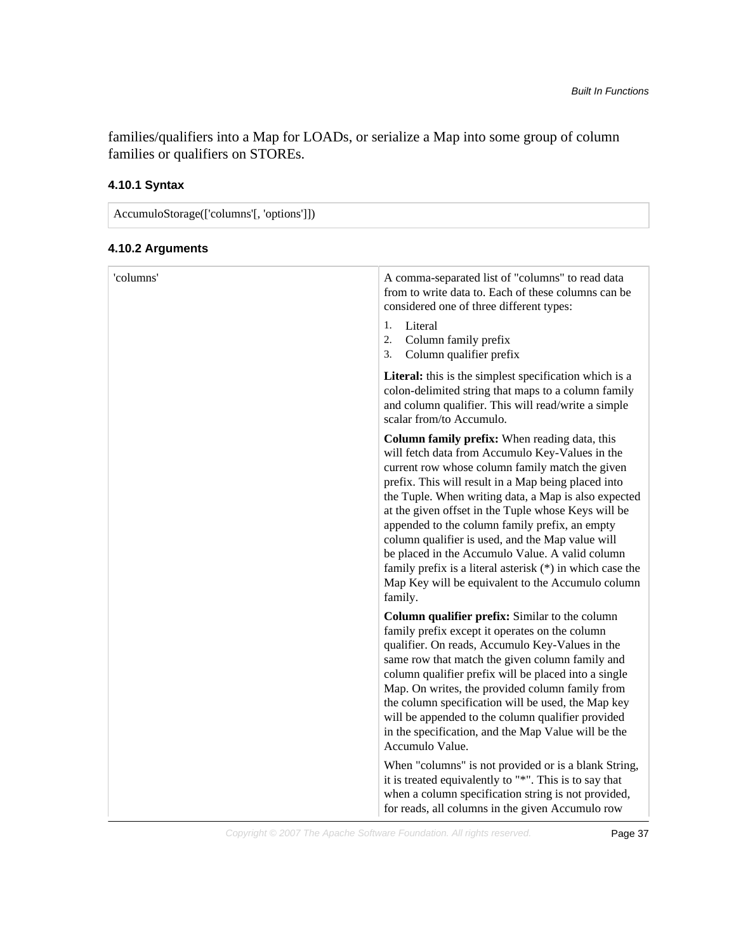families/qualifiers into a Map for LOADs, or serialize a Map into some group of column families or qualifiers on STOREs.

# **4.10.1 Syntax**

AccumuloStorage(['columns'[, 'options']]) **4.10.2 Arguments**

| 'columns' | A comma-separated list of "columns" to read data<br>from to write data to. Each of these columns can be<br>considered one of three different types:<br>1.<br>Literal<br>Column family prefix<br>2.<br>Column qualifier prefix<br>3.                                                                                                                                                                                                                                                                                                                                                                               |
|-----------|-------------------------------------------------------------------------------------------------------------------------------------------------------------------------------------------------------------------------------------------------------------------------------------------------------------------------------------------------------------------------------------------------------------------------------------------------------------------------------------------------------------------------------------------------------------------------------------------------------------------|
|           | Literal: this is the simplest specification which is a<br>colon-delimited string that maps to a column family<br>and column qualifier. This will read/write a simple<br>scalar from/to Accumulo.                                                                                                                                                                                                                                                                                                                                                                                                                  |
|           | Column family prefix: When reading data, this<br>will fetch data from Accumulo Key-Values in the<br>current row whose column family match the given<br>prefix. This will result in a Map being placed into<br>the Tuple. When writing data, a Map is also expected<br>at the given offset in the Tuple whose Keys will be<br>appended to the column family prefix, an empty<br>column qualifier is used, and the Map value will<br>be placed in the Accumulo Value. A valid column<br>family prefix is a literal asterisk $(*)$ in which case the<br>Map Key will be equivalent to the Accumulo column<br>family. |
|           | Column qualifier prefix: Similar to the column<br>family prefix except it operates on the column<br>qualifier. On reads, Accumulo Key-Values in the<br>same row that match the given column family and<br>column qualifier prefix will be placed into a single<br>Map. On writes, the provided column family from<br>the column specification will be used, the Map key<br>will be appended to the column qualifier provided<br>in the specification, and the Map Value will be the<br>Accumulo Value.                                                                                                            |
|           | When "columns" is not provided or is a blank String,<br>it is treated equivalently to "*". This is to say that<br>when a column specification string is not provided,<br>for reads, all columns in the given Accumulo row                                                                                                                                                                                                                                                                                                                                                                                         |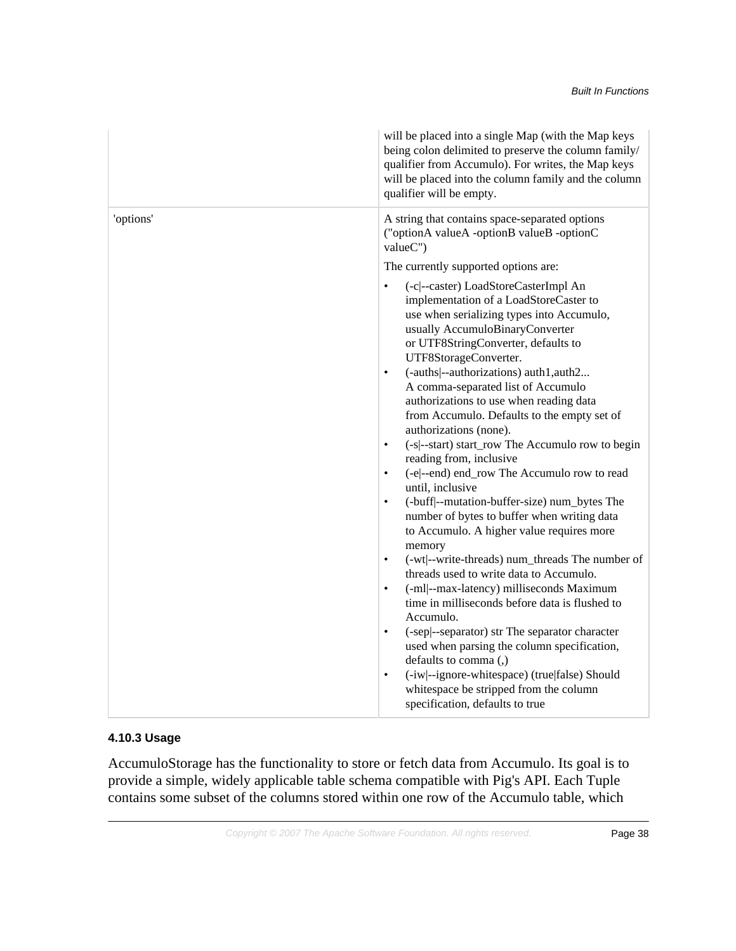|           | will be placed into a single Map (with the Map keys<br>being colon delimited to preserve the column family/<br>qualifier from Accumulo). For writes, the Map keys<br>will be placed into the column family and the column<br>qualifier will be empty. |
|-----------|-------------------------------------------------------------------------------------------------------------------------------------------------------------------------------------------------------------------------------------------------------|
| 'options' | A string that contains space-separated options<br>("optionA valueA -optionB valueB -optionC<br>valueC")                                                                                                                                               |
|           | The currently supported options are:                                                                                                                                                                                                                  |
|           | (-c --caster) LoadStoreCasterImpl An<br>$\bullet$<br>implementation of a LoadStoreCaster to<br>use when serializing types into Accumulo,<br>usually AccumuloBinaryConverter<br>or UTF8StringConverter, defaults to<br>UTF8StorageConverter.           |
|           | (-auths --authorizations) auth1,auth2<br>$\bullet$<br>A comma-separated list of Accumulo<br>authorizations to use when reading data<br>from Accumulo. Defaults to the empty set of<br>authorizations (none).                                          |
|           | (-s --start) start_row The Accumulo row to begin<br>$\bullet$                                                                                                                                                                                         |
|           | reading from, inclusive                                                                                                                                                                                                                               |
|           | (-e --end) end_row The Accumulo row to read<br>$\bullet$<br>until, inclusive                                                                                                                                                                          |
|           | (-buff --mutation-buffer-size) num_bytes The<br>$\bullet$<br>number of bytes to buffer when writing data<br>to Accumulo. A higher value requires more<br>memory                                                                                       |
|           | (-wt --write-threads) num_threads The number of<br>$\bullet$                                                                                                                                                                                          |
|           | threads used to write data to Accumulo.<br>(-ml --max-latency) milliseconds Maximum<br>$\bullet$                                                                                                                                                      |
|           | time in milliseconds before data is flushed to<br>Accumulo.                                                                                                                                                                                           |
|           | (-sep --separator) str The separator character<br>$\bullet$<br>used when parsing the column specification,<br>defaults to comma (,)                                                                                                                   |
|           | (-iw --ignore-whitespace) (true false) Should<br>$\bullet$<br>whitespace be stripped from the column<br>specification, defaults to true                                                                                                               |

# **4.10.3 Usage**

AccumuloStorage has the functionality to store or fetch data from Accumulo. Its goal is to provide a simple, widely applicable table schema compatible with Pig's API. Each Tuple contains some subset of the columns stored within one row of the Accumulo table, which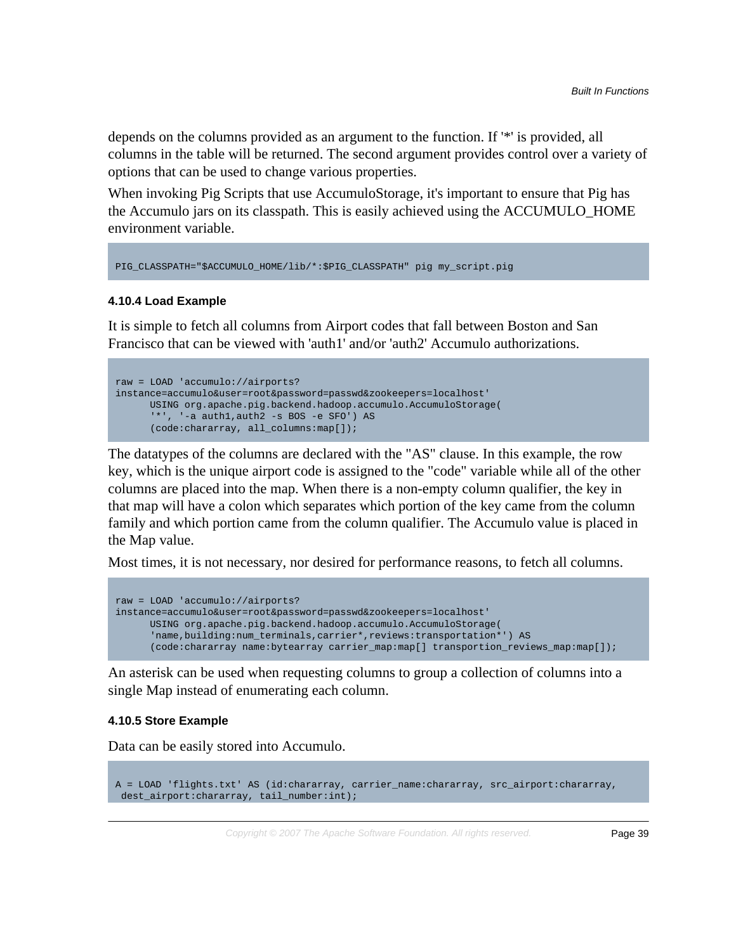depends on the columns provided as an argument to the function. If '\*' is provided, all columns in the table will be returned. The second argument provides control over a variety of options that can be used to change various properties.

When invoking Pig Scripts that use AccumuloStorage, it's important to ensure that Pig has the Accumulo jars on its classpath. This is easily achieved using the ACCUMULO\_HOME environment variable.

```
PIG_CLASSPATH="$ACCUMULO_HOME/lib/*:$PIG_CLASSPATH" pig my_script.pig
```
#### **4.10.4 Load Example**

It is simple to fetch all columns from Airport codes that fall between Boston and San Francisco that can be viewed with 'auth1' and/or 'auth2' Accumulo authorizations.

```
raw = LOAD 'accumulo://airports?
instance=accumulo&user=root&password=passwd&zookeepers=localhost'
      USING org.apache.pig.backend.hadoop.accumulo.AccumuloStorage(
       '*', '-a auth1,auth2 -s BOS -e SFO') AS
      (code:chararray, all_columns:map[]);
```
The datatypes of the columns are declared with the "AS" clause. In this example, the row key, which is the unique airport code is assigned to the "code" variable while all of the other columns are placed into the map. When there is a non-empty column qualifier, the key in that map will have a colon which separates which portion of the key came from the column family and which portion came from the column qualifier. The Accumulo value is placed in the Map value.

Most times, it is not necessary, nor desired for performance reasons, to fetch all columns.

```
raw = LOAD 'accumulo://airports?
instance=accumulo&user=root&password=passwd&zookeepers=localhost'
      USING org.apache.pig.backend.hadoop.accumulo.AccumuloStorage(
       'name,building:num_terminals,carrier*,reviews:transportation*') AS
      (code:chararray name:bytearray carrier_map:map[] transportion_reviews_map:map[]);
```
An asterisk can be used when requesting columns to group a collection of columns into a single Map instead of enumerating each column.

## **4.10.5 Store Example**

Data can be easily stored into Accumulo.

```
A = LOAD 'flights.txt' AS (id:chararray, carrier_name:chararray, src_airport:chararray,
 dest_airport:chararray, tail_number:int);
```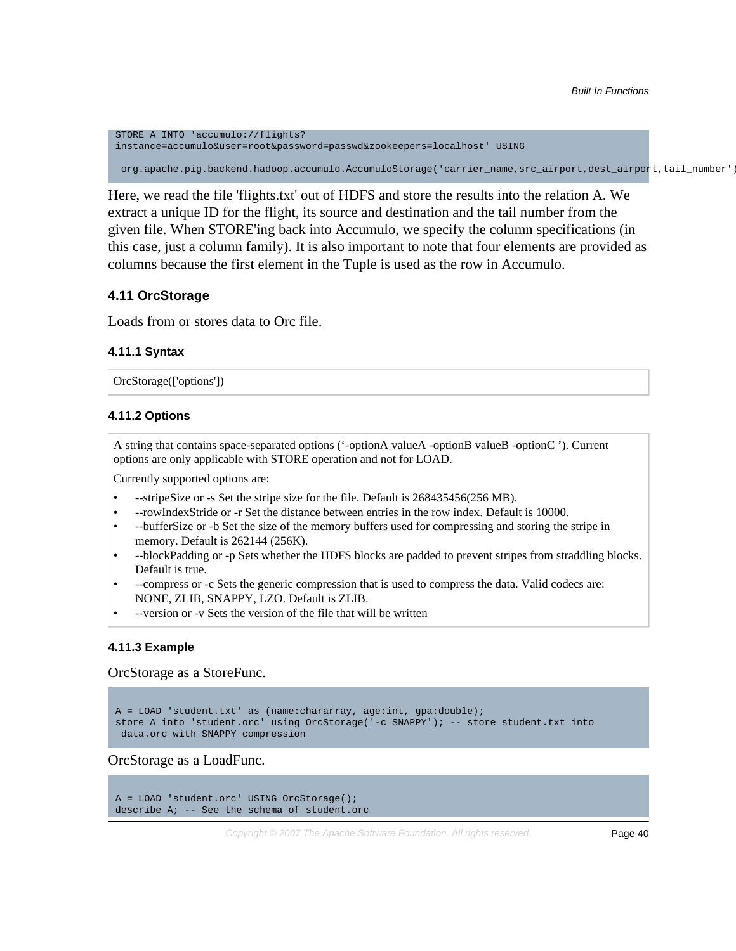STORE A INTO 'accumulo://flights? instance=accumulo&user=root&password=passwd&zookeepers=localhost' USING org.apache.pig.backend.hadoop.accumulo.AccumuloStorage('carrier\_name,src\_airport,dest\_airport,tail\_number');

Here, we read the file 'flights.txt' out of HDFS and store the results into the relation A. We extract a unique ID for the flight, its source and destination and the tail number from the given file. When STORE'ing back into Accumulo, we specify the column specifications (in this case, just a column family). It is also important to note that four elements are provided as columns because the first element in the Tuple is used as the row in Accumulo.

## **4.11 OrcStorage**

Loads from or stores data to Orc file.

#### **4.11.1 Syntax**

OrcStorage(['options'])

#### **4.11.2 Options**

A string that contains space-separated options ('-optionA valueA -optionB valueB -optionC '). Current options are only applicable with STORE operation and not for LOAD.

Currently supported options are:

- --stripeSize or -s Set the stripe size for the file. Default is 268435456(256 MB).
- --rowIndexStride or -r Set the distance between entries in the row index. Default is 10000.
- --bufferSize or -b Set the size of the memory buffers used for compressing and storing the stripe in memory. Default is 262144 (256K).
- --blockPadding or -p Sets whether the HDFS blocks are padded to prevent stripes from straddling blocks. Default is true.
- --compress or -c Sets the generic compression that is used to compress the data. Valid codecs are: NONE, ZLIB, SNAPPY, LZO. Default is ZLIB.
- --version or -v Sets the version of the file that will be written

#### **4.11.3 Example**

OrcStorage as a StoreFunc.

```
A = LOAD 'student.txt' as (name: chararray, age: int, gpa: double);
store A into 'student.orc' using OrcStorage('-c SNAPPY'); -- store student.txt into
 data.orc with SNAPPY compression
```
OrcStorage as a LoadFunc.

```
A = LOAD 'student.orc' USING OrcStorage();
describe A; -- See the schema of student.orc
```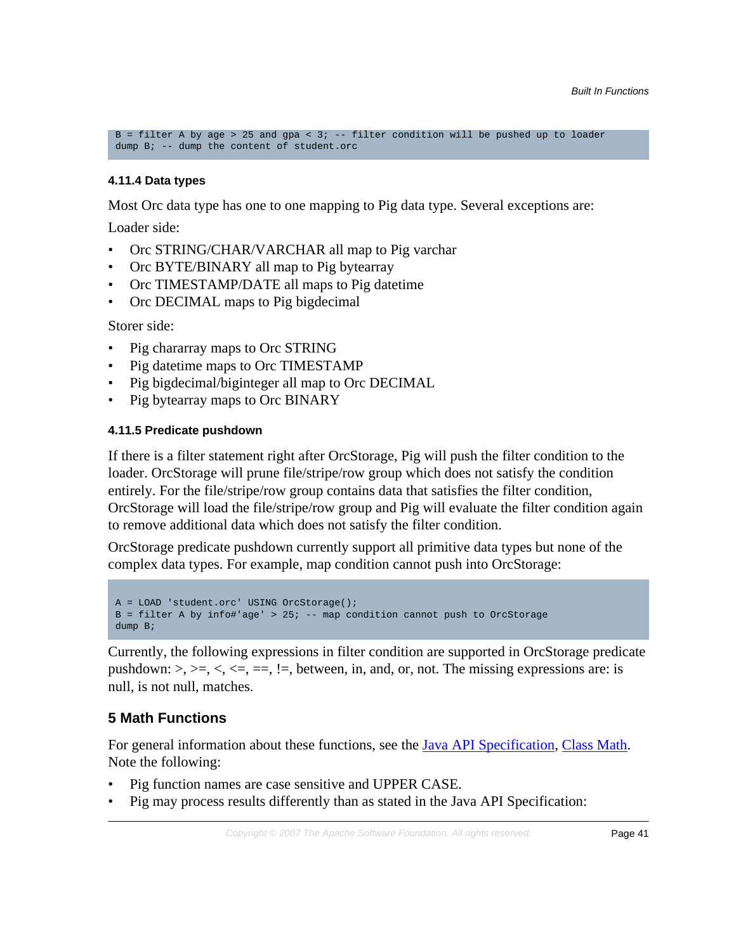B = filter A by age > 25 and gpa < 3; -- filter condition will be pushed up to loader dump B; -- dump the content of student.orc

## **4.11.4 Data types**

Most Orc data type has one to one mapping to Pig data type. Several exceptions are:

Loader side:

- Orc STRING/CHAR/VARCHAR all map to Pig varchar
- Orc BYTE/BINARY all map to Pig bytearray
- Orc TIMESTAMP/DATE all maps to Pig datetime
- Orc DECIMAL maps to Pig bigdecimal

Storer side:

- Pig chararray maps to Orc STRING
- Pig datetime maps to Orc TIMESTAMP
- Pig bigdecimal/biginteger all map to Orc DECIMAL
- Pig bytearray maps to Orc BINARY

# **4.11.5 Predicate pushdown**

If there is a filter statement right after OrcStorage, Pig will push the filter condition to the loader. OrcStorage will prune file/stripe/row group which does not satisfy the condition entirely. For the file/stripe/row group contains data that satisfies the filter condition, OrcStorage will load the file/stripe/row group and Pig will evaluate the filter condition again to remove additional data which does not satisfy the filter condition.

OrcStorage predicate pushdown currently support all primitive data types but none of the complex data types. For example, map condition cannot push into OrcStorage:

```
A = LOAD 'student.orc' USING OrcStorage();
B = filter A by info#'age' > 25; -- map condition cannot push to OrcStorage
dump B;
```
Currently, the following expressions in filter condition are supported in OrcStorage predicate pushdown:  $\geq, \geq, \leq, \leq, \leq, \equiv, \leq$ . between, in, and, or, not. The missing expressions are: is null, is not null, matches.

# **5 Math Functions**

For general information about these functions, see the **Java API Specification**, [Class Math.](http://docs.oracle.com/javase/6/docs/api/java/lang/Math.html) Note the following:

- Pig function names are case sensitive and UPPER CASE.
- Pig may process results differently than as stated in the Java API Specification: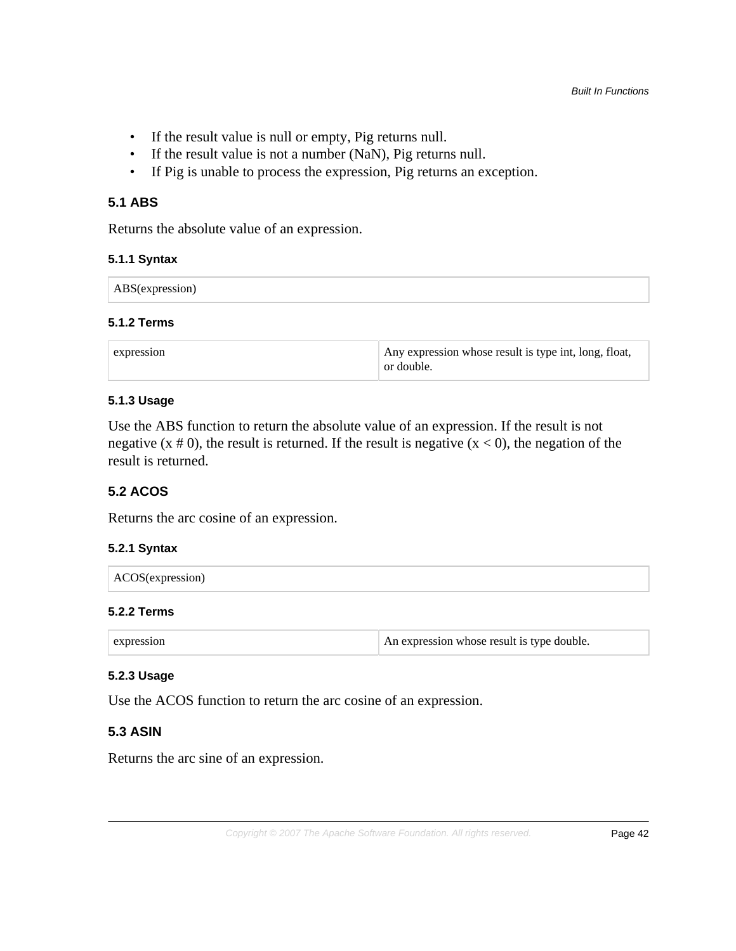- If the result value is null or empty, Pig returns null.
- If the result value is not a number (NaN), Pig returns null.
- If Pig is unable to process the expression, Pig returns an exception.

# **5.1 ABS**

Returns the absolute value of an expression.

## **5.1.1 Syntax**

| $\cdots$ |  |  |
|----------|--|--|
|----------|--|--|

#### **5.1.2 Terms**

| expression | Any expression whose result is type int, long, float,<br>or double. |
|------------|---------------------------------------------------------------------|
|            |                                                                     |

#### **5.1.3 Usage**

Use the ABS function to return the absolute value of an expression. If the result is not negative  $(x \# 0)$ , the result is returned. If the result is negative  $(x < 0)$ , the negation of the result is returned.

## **5.2 ACOS**

Returns the arc cosine of an expression.

# **5.2.1 Syntax**

#### **5.2.2 Terms**

| expression | An expression whose result is type double. |
|------------|--------------------------------------------|
|------------|--------------------------------------------|

## **5.2.3 Usage**

Use the ACOS function to return the arc cosine of an expression.

## **5.3 ASIN**

Returns the arc sine of an expression.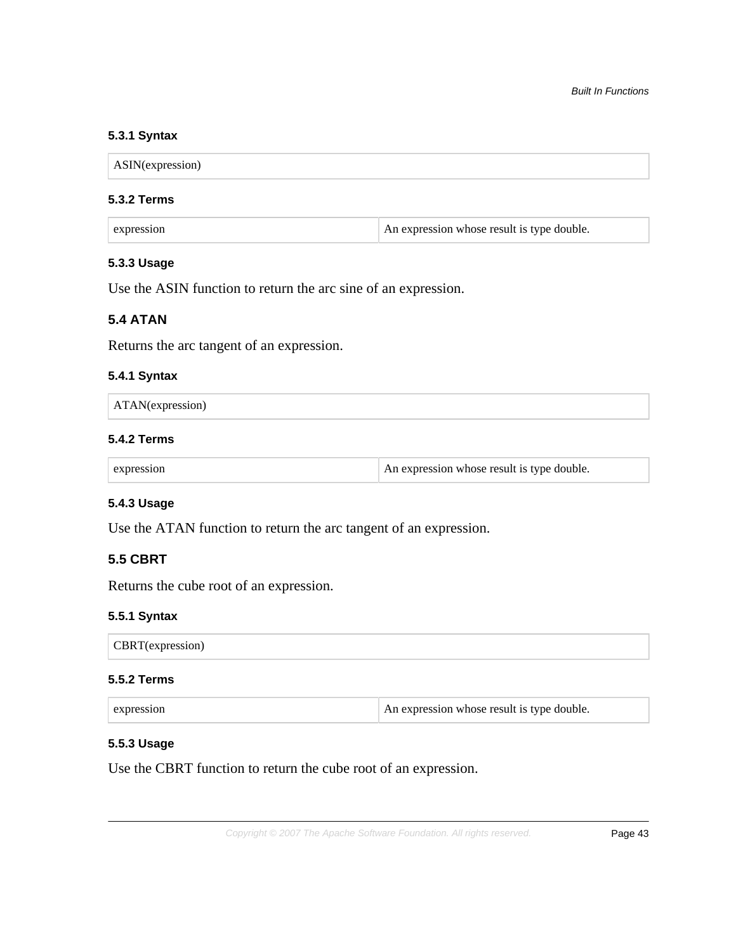## **5.3.1 Syntax**

ASIN(expression)

#### **5.3.2 Terms**

| expression | An expression whose result is type double. |
|------------|--------------------------------------------|
|------------|--------------------------------------------|

# **5.3.3 Usage**

Use the ASIN function to return the arc sine of an expression.

# **5.4 ATAN**

Returns the arc tangent of an expression.

#### **5.4.1 Syntax**

|  | $\vert$ ATAN(expression) |  |  |  |  |  |  |
|--|--------------------------|--|--|--|--|--|--|
|--|--------------------------|--|--|--|--|--|--|

### **5.4.2 Terms**

|  | An expression whose result is type double.<br>expression |  |
|--|----------------------------------------------------------|--|
|--|----------------------------------------------------------|--|

# **5.4.3 Usage**

Use the ATAN function to return the arc tangent of an expression.

# **5.5 CBRT**

Returns the cube root of an expression.

#### **5.5.1 Syntax**

CBRT(expression)

#### **5.5.2 Terms**

| expression | An expression whose result is type double. |
|------------|--------------------------------------------|
|            |                                            |

### **5.5.3 Usage**

Use the CBRT function to return the cube root of an expression.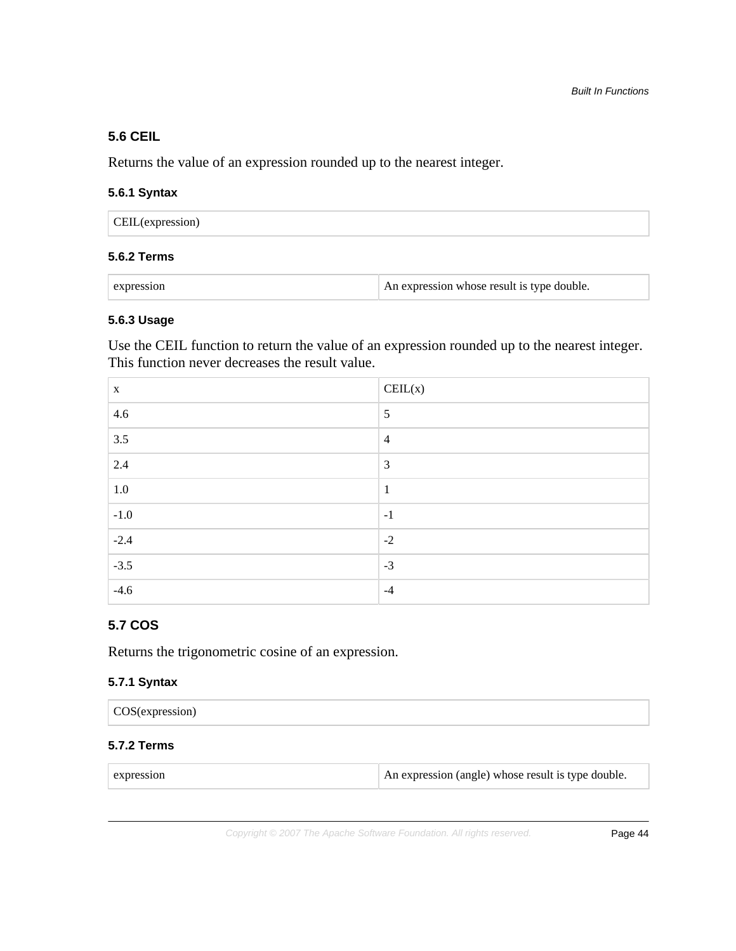# **5.6 CEIL**

Returns the value of an expression rounded up to the nearest integer.

## **5.6.1 Syntax**

| CEIL(expression) |  |  |
|------------------|--|--|
|------------------|--|--|

## **5.6.2 Terms**

| expression | An expression whose result is type double. |
|------------|--------------------------------------------|
|            |                                            |

### **5.6.3 Usage**

Use the CEIL function to return the value of an expression rounded up to the nearest integer. This function never decreases the result value.

| X       | $\text{CEIL}(x)$ |
|---------|------------------|
| 4.6     | 5                |
| 3.5     | $\overline{4}$   |
| 2.4     | 3                |
| $1.0\,$ | $\mathbf{1}$     |
| $-1.0$  | $-1$             |
| $-2.4$  | $-2$             |
| $-3.5$  | $-3$             |
| $-4.6$  | $-4$             |

## **5.7 COS**

Returns the trigonometric cosine of an expression.

#### **5.7.1 Syntax**

| (COS(expression) |  |
|------------------|--|
|------------------|--|

# **5.7.2 Terms**

| expression |
|------------|
|            |
|            |

An expression (angle) whose result is type double.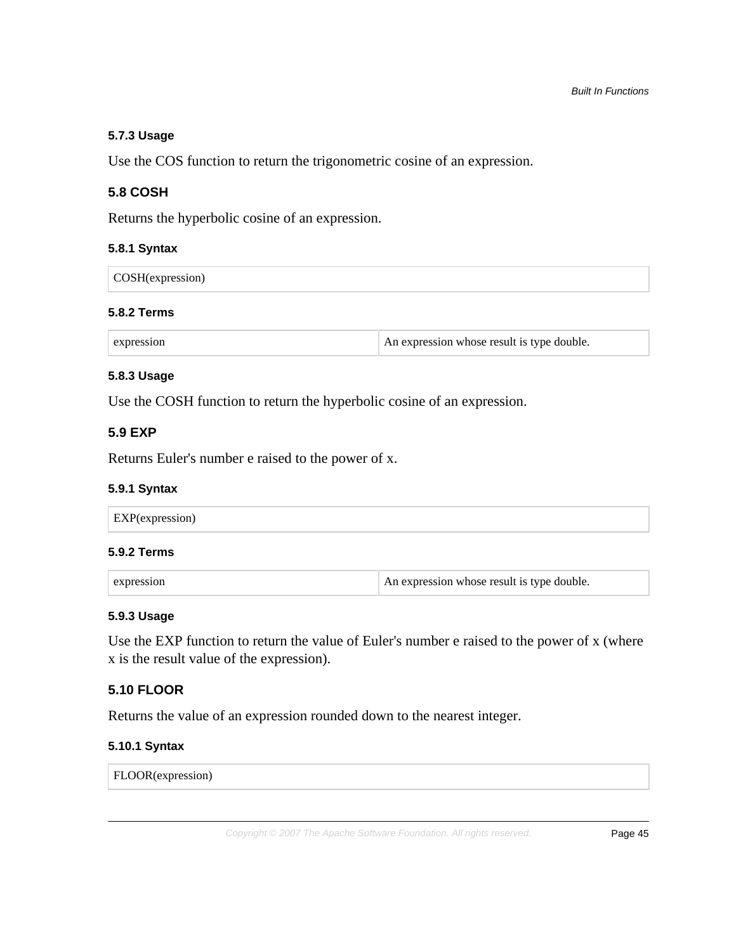# **5.7.3 Usage**

Use the COS function to return the trigonometric cosine of an expression.

## **5.8 COSH**

Returns the hyperbolic cosine of an expression.

#### **5.8.1 Syntax**

| COSH(expression) |  |
|------------------|--|
|------------------|--|

#### **5.8.2 Terms**

## **5.8.3 Usage**

Use the COSH function to return the hyperbolic cosine of an expression.

## **5.9 EXP**

Returns Euler's number e raised to the power of x.

#### **5.9.1 Syntax**

#### **5.9.2 Terms**

| expression | An expression whose result is type double. |
|------------|--------------------------------------------|
|------------|--------------------------------------------|

#### **5.9.3 Usage**

Use the EXP function to return the value of Euler's number e raised to the power of x (where x is the result value of the expression).

# **5.10 FLOOR**

Returns the value of an expression rounded down to the nearest integer.

## **5.10.1 Syntax**

FLOOR(expression)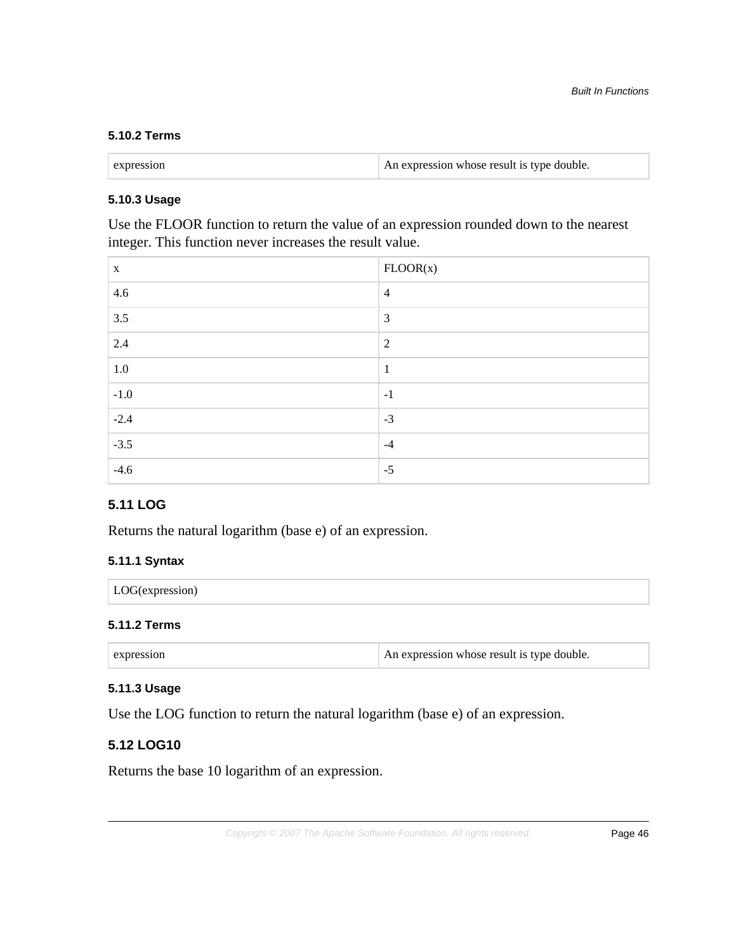# **5.10.2 Terms**

| expression | An expression whose result is type double. |
|------------|--------------------------------------------|
|            |                                            |

## **5.10.3 Usage**

Use the FLOOR function to return the value of an expression rounded down to the nearest integer. This function never increases the result value.

| X       | FLOOR(x)       |
|---------|----------------|
| 4.6     | $\overline{4}$ |
| 3.5     | $\overline{3}$ |
| 2.4     | $\overline{2}$ |
| $1.0\,$ | $\mathbf{1}$   |
| $-1.0$  | $-1$           |
| $-2.4$  | $-3$           |
| $-3.5$  | $-4$           |
| $-4.6$  | $-5$           |

# **5.11 LOG**

Returns the natural logarithm (base e) of an expression.

#### **5.11.1 Syntax**

| LOG(expression<br>$\sim$ 1011 $\sim$<br>$\overline{\phantom{a}}$ |  |
|------------------------------------------------------------------|--|
|------------------------------------------------------------------|--|

# **5.11.2 Terms**

| expression | An expression whose result is type double. |
|------------|--------------------------------------------|
|            |                                            |

#### **5.11.3 Usage**

Use the LOG function to return the natural logarithm (base e) of an expression.

# **5.12 LOG10**

Returns the base 10 logarithm of an expression.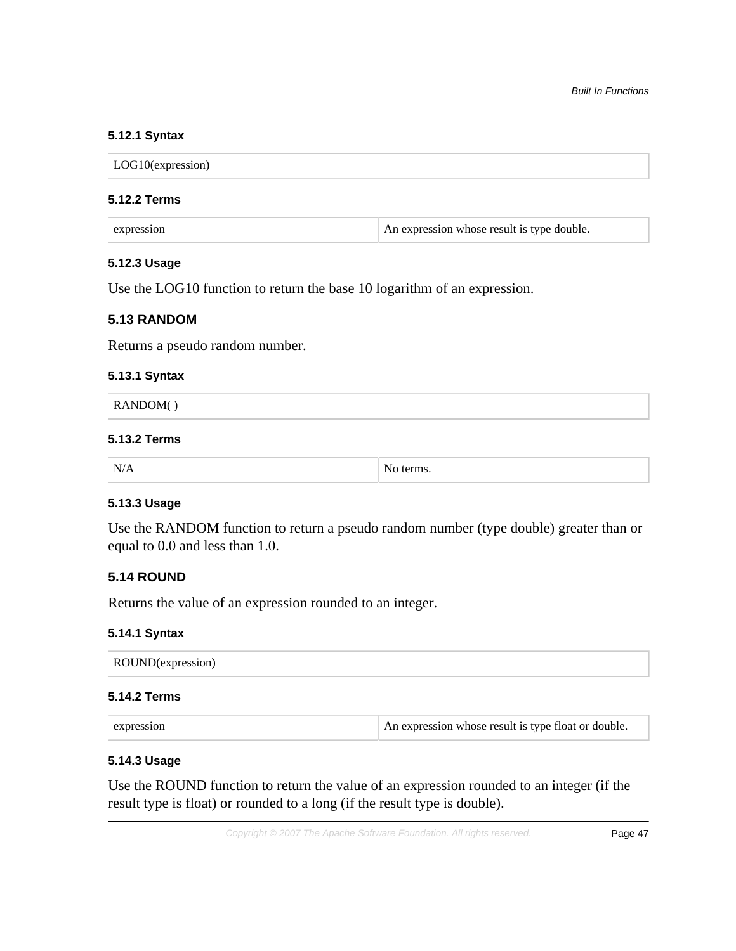## **5.12.1 Syntax**

LOG10(expression)

#### **5.12.2 Terms**

| expression | An expression whose result is type double. |
|------------|--------------------------------------------|
|------------|--------------------------------------------|

## **5.12.3 Usage**

Use the LOG10 function to return the base 10 logarithm of an expression.

## **5.13 RANDOM**

Returns a pseudo random number.

#### **5.13.1 Syntax**

| $\vert$ RANDOM( ) |  |
|-------------------|--|
|                   |  |

# **5.13.2 Terms**

| . N.<br>,,<br>AN / | n |
|--------------------|---|
|--------------------|---|

# **5.13.3 Usage**

Use the RANDOM function to return a pseudo random number (type double) greater than or equal to 0.0 and less than 1.0.

## **5.14 ROUND**

Returns the value of an expression rounded to an integer.

## **5.14.1 Syntax**

| ROUND(expression) |  |  |  |
|-------------------|--|--|--|
|-------------------|--|--|--|

## **5.14.2 Terms**

| $\vert$ expression | An expression whose result is type float or double. |
|--------------------|-----------------------------------------------------|
|--------------------|-----------------------------------------------------|

## **5.14.3 Usage**

Use the ROUND function to return the value of an expression rounded to an integer (if the result type is float) or rounded to a long (if the result type is double).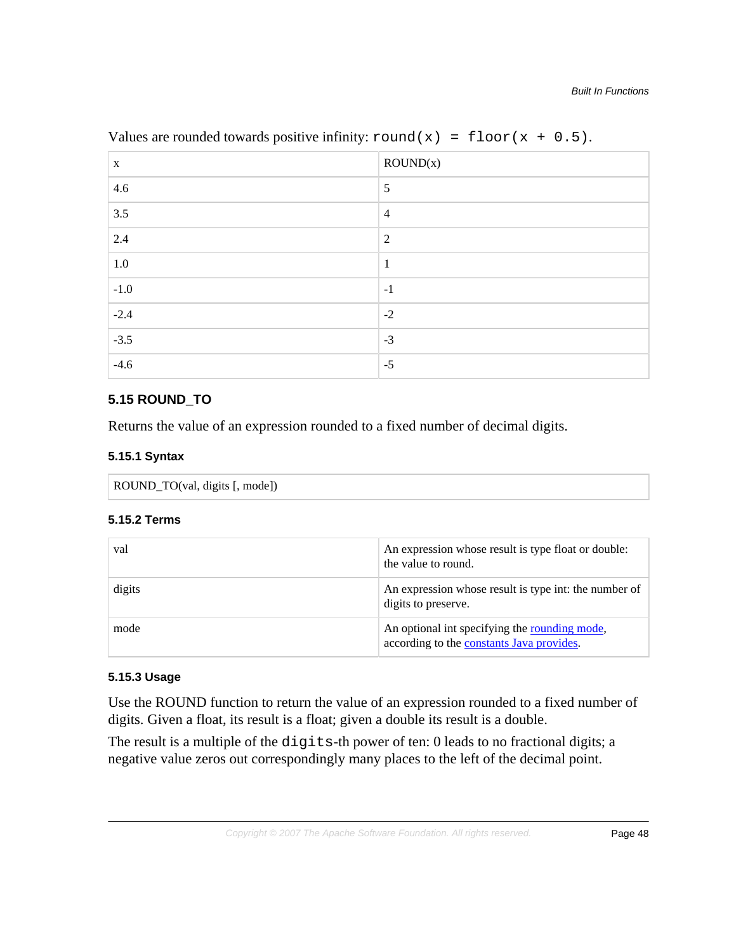| X       | ROUND(x)       |
|---------|----------------|
| 4.6     | 5              |
| 3.5     | $\overline{4}$ |
| 2.4     | $\overline{2}$ |
| $1.0\,$ | $\mathbf{1}$   |
| $-1.0$  | $-1$           |
| $-2.4$  | $-2$           |
| $-3.5$  | $-3$           |
| $-4.6$  | $-5$           |

Values are rounded towards positive infinity:  $round(x) = floor(x + 0.5)$ .

# **5.15 ROUND\_TO**

Returns the value of an expression rounded to a fixed number of decimal digits.

# **5.15.1 Syntax**

```
ROUND_TO(val, digits [, mode])
```
# **5.15.2 Terms**

| val    | An expression whose result is type float or double:<br>the value to round.                 |
|--------|--------------------------------------------------------------------------------------------|
| digits | An expression whose result is type int: the number of<br>digits to preserve.               |
| mode   | An optional int specifying the rounding mode,<br>according to the constants Java provides. |

# **5.15.3 Usage**

Use the ROUND function to return the value of an expression rounded to a fixed number of digits. Given a float, its result is a float; given a double its result is a double.

The result is a multiple of the digits-th power of ten: 0 leads to no fractional digits; a negative value zeros out correspondingly many places to the left of the decimal point.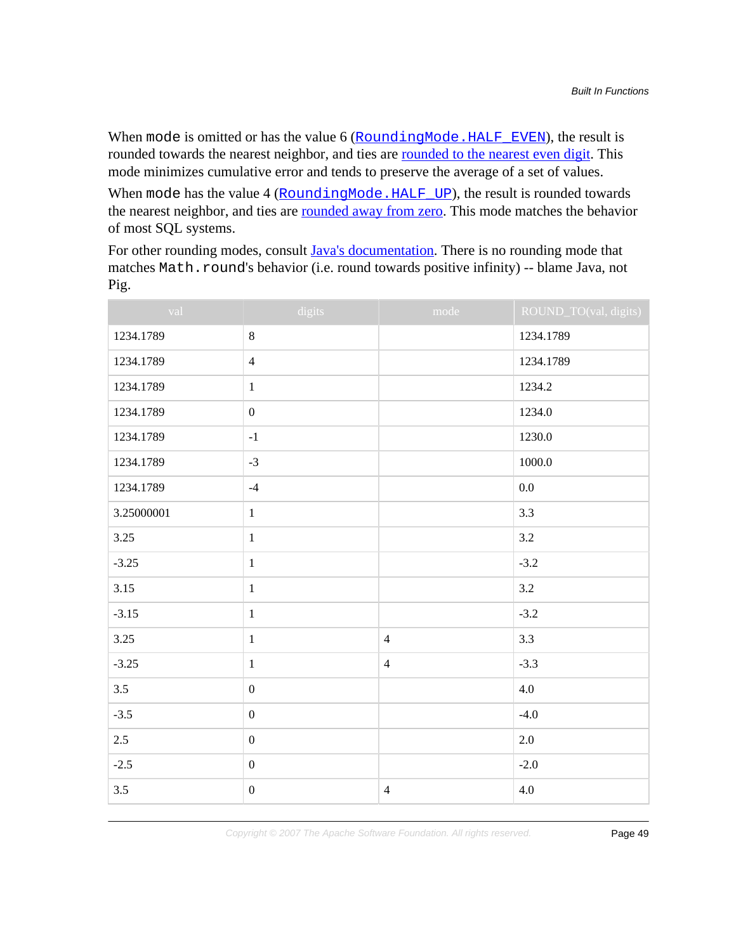When mode is omitted or has the value 6 (RoundingMode. HALF\_EVEN), the result is rounded towards the nearest neighbor, and ties are [rounded to the nearest even digit](https://en.wikipedia.org/wiki/Rounding#Round_half_to_even). This mode minimizes cumulative error and tends to preserve the average of a set of values.

When mode has the value 4 (RoundingMode.HALF UP), the result is rounded towards the nearest neighbor, and ties are **rounded away from zero**. This mode matches the behavior of most SQL systems.

For other rounding modes, consult [Java's documentation](http://docs.oracle.com/javase/7/docs/api/java/math/RoundingMode.html). There is no rounding mode that matches Math.round's behavior (i.e. round towards positive infinity) -- blame Java, not Pig.

| val        | digits                                                | mode           | ROUND_TO(val, digits) |
|------------|-------------------------------------------------------|----------------|-----------------------|
| 1234.1789  | $8\,$                                                 |                | 1234.1789             |
| 1234.1789  | $\overline{4}$                                        |                | 1234.1789             |
| 1234.1789  | $1\,$                                                 |                | 1234.2                |
| 1234.1789  | $\boldsymbol{0}$                                      |                | 1234.0                |
| 1234.1789  | $-1$                                                  |                | 1230.0                |
| 1234.1789  | $-3$                                                  |                | 1000.0                |
| 1234.1789  | $-4$                                                  |                | 0.0                   |
| 3.25000001 | $\,1$                                                 |                | 3.3                   |
| 3.25       | $1\,$                                                 |                | 3.2                   |
| $-3.25$    | $\mathbf{1}% ^{T}=\mathbf{1}_{T}\times\mathbf{1}_{T}$ |                | $-3.2$                |
| 3.15       | $\mathbf 1$                                           |                | 3.2                   |
| $-3.15$    | $\mathbf{1}$                                          |                | $-3.2$                |
| 3.25       | $\mathbf 1$                                           | $\overline{4}$ | 3.3                   |
| $-3.25$    | $1\,$                                                 | $\overline{4}$ | $-3.3$                |
| 3.5        | $\boldsymbol{0}$                                      |                | 4.0                   |
| $-3.5$     | $\boldsymbol{0}$                                      |                | $-4.0$                |
| 2.5        | $\boldsymbol{0}$                                      |                | 2.0                   |
| $-2.5$     | $\boldsymbol{0}$                                      |                | $-2.0$                |
| 3.5        | $\boldsymbol{0}$                                      | $\overline{4}$ | 4.0                   |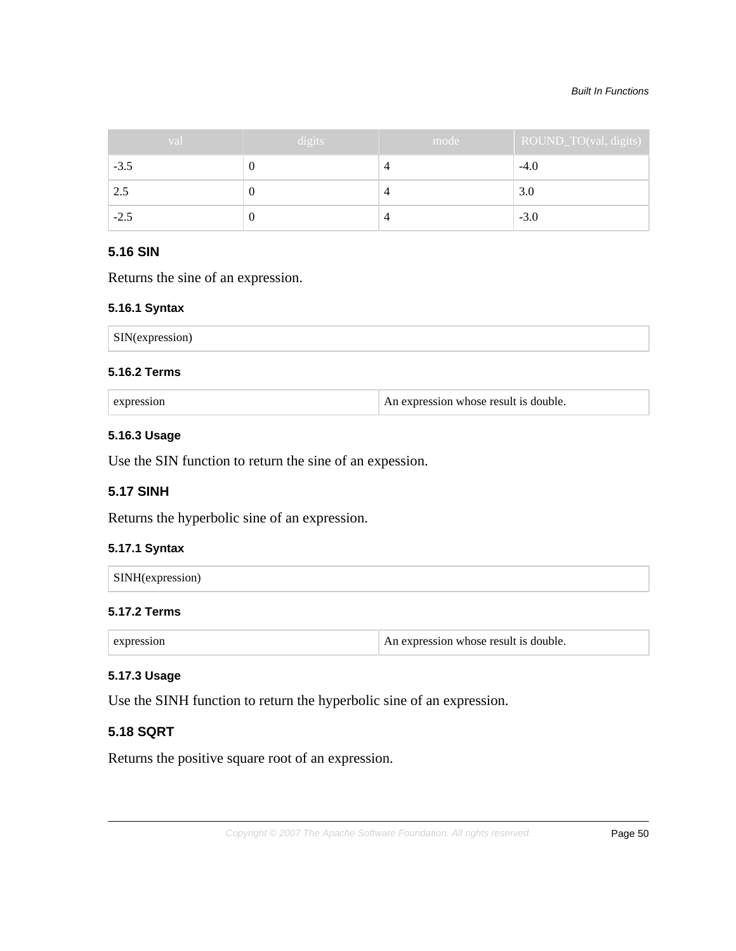#### Built In Functions

| val    | digits | mode | ROUND_TO(val, digits) |
|--------|--------|------|-----------------------|
| $-3.5$ |        | 4    | $-4.0$                |
| 2.5    |        | 4    | 3.0                   |
| $-2.5$ |        | 4    | $-3.0$                |

# **5.16 SIN**

Returns the sine of an expression.

#### **5.16.1 Syntax**

| <b>SIN</b> (expression<br>зан<br>--- |
|--------------------------------------|
|--------------------------------------|

An expression whose result is double.

### **5.16.2 Terms**

## **5.16.3 Usage**

Use the SIN function to return the sine of an expession.

# **5.17 SINH**

Returns the hyperbolic sine of an expression.

## **5.17.1 Syntax**

| $\sum$ SINH(express)<br>51111 |  |  |  |
|-------------------------------|--|--|--|
|                               |  |  |  |

## **5.17.2 Terms**

| $\mathop{\varepsilon}\nolimits$ expression | An expression whose result is double. |
|--------------------------------------------|---------------------------------------|
|--------------------------------------------|---------------------------------------|

# **5.17.3 Usage**

Use the SINH function to return the hyperbolic sine of an expression.

# **5.18 SQRT**

Returns the positive square root of an expression.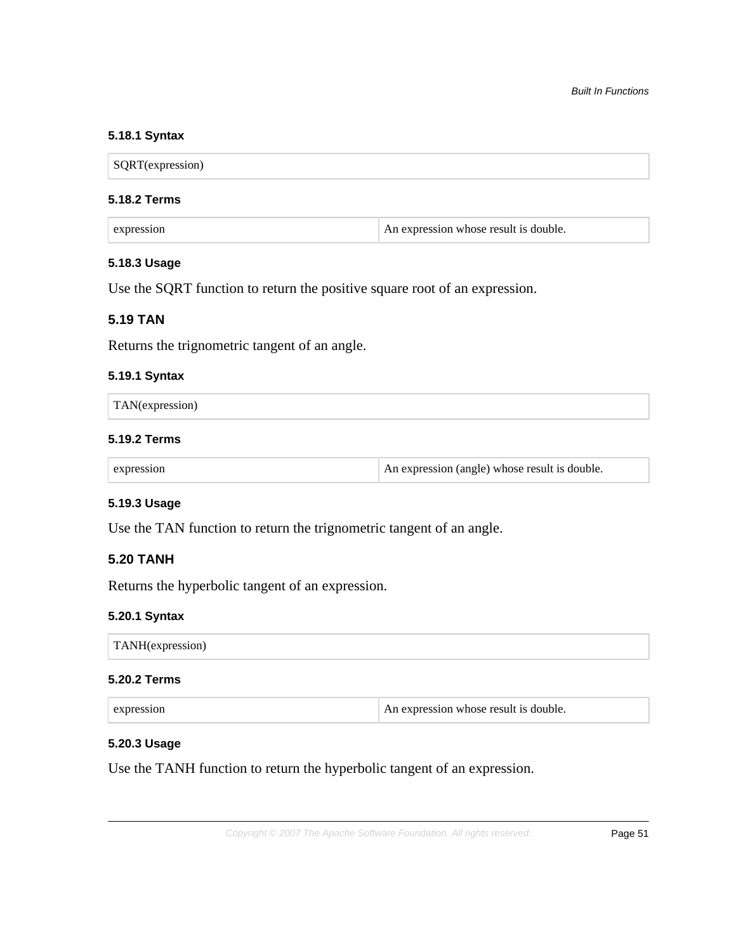## **5.18.1 Syntax**

SQRT(expression)

#### **5.18.2 Terms**

| expression | An expression whose result is double. |
|------------|---------------------------------------|
|------------|---------------------------------------|

#### **5.18.3 Usage**

Use the SQRT function to return the positive square root of an expression.

# **5.19 TAN**

Returns the trignometric tangent of an angle.

#### **5.19.1 Syntax**

| TAN(expression) |  |
|-----------------|--|
|-----------------|--|

## **5.19.2 Terms**

| $\perp$ An expression (angle) whose result is double.<br>expression |
|---------------------------------------------------------------------|
|---------------------------------------------------------------------|

## **5.19.3 Usage**

Use the TAN function to return the trignometric tangent of an angle.

# **5.20 TANH**

Returns the hyperbolic tangent of an expression.

#### **5.20.1 Syntax**

TANH(expression)

## **5.20.2 Terms**

| $\perp$ An expression whose result is double.<br>expression |
|-------------------------------------------------------------|
|-------------------------------------------------------------|

### **5.20.3 Usage**

Use the TANH function to return the hyperbolic tangent of an expression.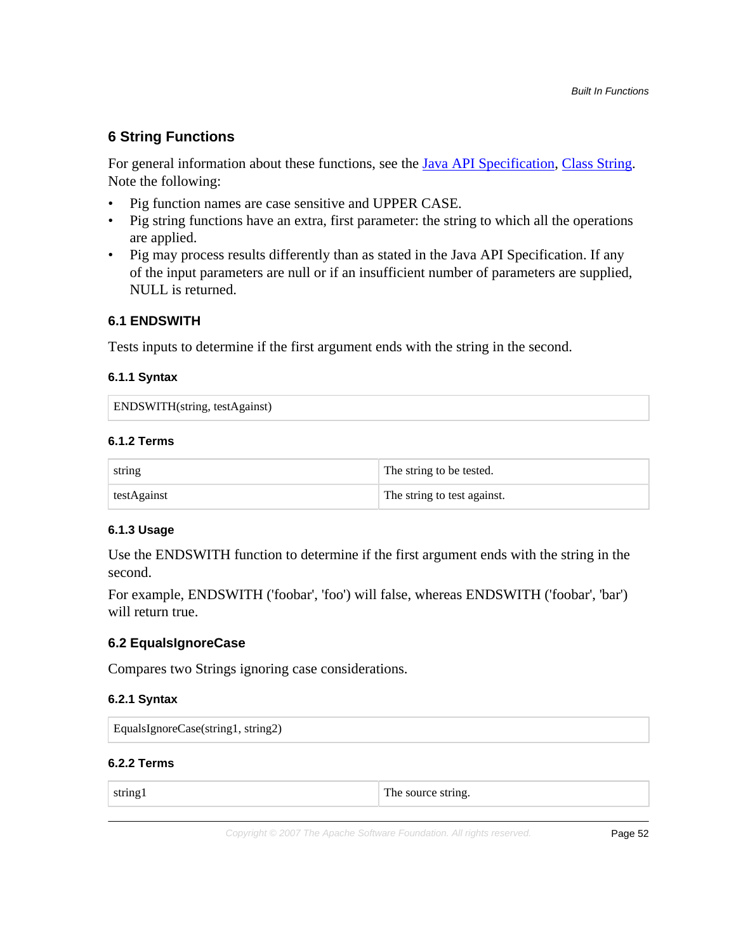# **6 String Functions**

For general information about these functions, see the [Java API Specification,](http://docs.oracle.com/javase/6/docs/api/) [Class String.](http://docs.oracle.com/javase/6/docs/api/java/lang/String.html) Note the following:

- Pig function names are case sensitive and UPPER CASE.
- Pig string functions have an extra, first parameter: the string to which all the operations are applied.
- Pig may process results differently than as stated in the Java API Specification. If any of the input parameters are null or if an insufficient number of parameters are supplied, NULL is returned.

# **6.1 ENDSWITH**

Tests inputs to determine if the first argument ends with the string in the second.

# **6.1.1 Syntax**

ENDSWITH(string, testAgainst)

## **6.1.2 Terms**

| string      | The string to be tested.    |
|-------------|-----------------------------|
| testAgainst | The string to test against. |

## **6.1.3 Usage**

Use the ENDSWITH function to determine if the first argument ends with the string in the second.

For example, ENDSWITH ('foobar', 'foo') will false, whereas ENDSWITH ('foobar', 'bar') will return true.

# **6.2 EqualsIgnoreCase**

Compares two Strings ignoring case considerations.

## **6.2.1 Syntax**

| EqualsIgnoreCase(string1, string2) |  |
|------------------------------------|--|
|------------------------------------|--|

# **6.2.2 Terms**

| $\pm$ ne $\pm$<br>$\sim$ source string.<br>$-0.111$<br>$-$ |  |
|------------------------------------------------------------|--|
|------------------------------------------------------------|--|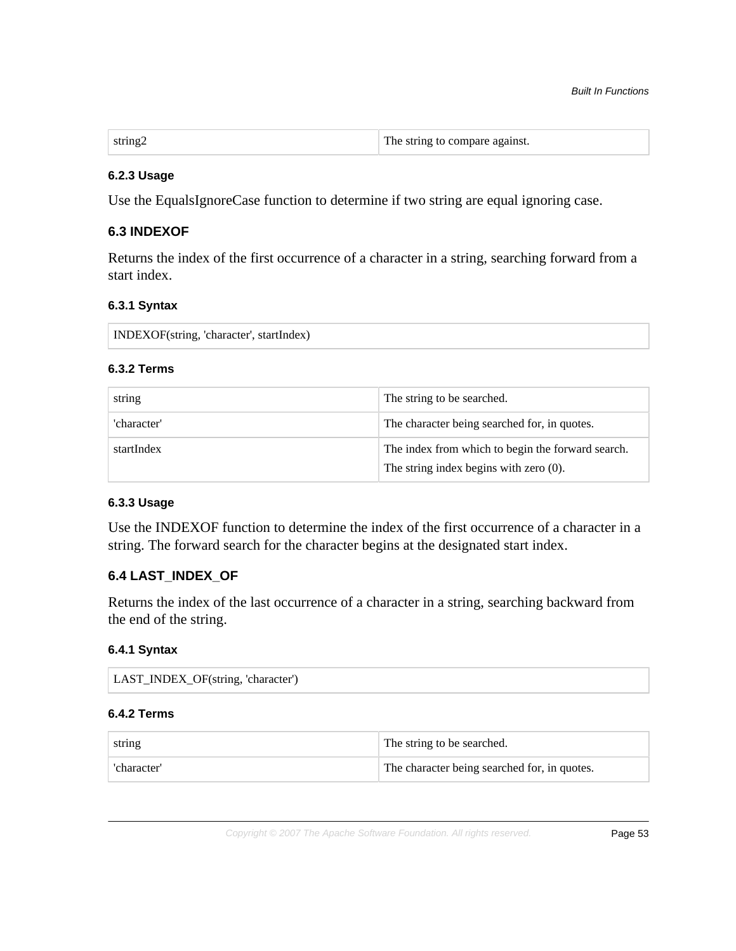#### **6.2.3 Usage**

Use the EqualsIgnoreCase function to determine if two string are equal ignoring case.

## **6.3 INDEXOF**

Returns the index of the first occurrence of a character in a string, searching forward from a start index.

### **6.3.1 Syntax**

INDEXOF(string, 'character', startIndex)

#### **6.3.2 Terms**

| string      | The string to be searched.                                                                  |
|-------------|---------------------------------------------------------------------------------------------|
| 'character' | The character being searched for, in quotes.                                                |
| startIndex  | The index from which to begin the forward search.<br>The string index begins with zero (0). |

## **6.3.3 Usage**

Use the INDEXOF function to determine the index of the first occurrence of a character in a string. The forward search for the character begins at the designated start index.

## **6.4 LAST\_INDEX\_OF**

Returns the index of the last occurrence of a character in a string, searching backward from the end of the string.

#### **6.4.1 Syntax**

| LAST_INDEX_OF(string, 'character') |  |
|------------------------------------|--|
|------------------------------------|--|

### **6.4.2 Terms**

| string      | <sup>1</sup> The string to be searched.      |
|-------------|----------------------------------------------|
| 'character' | The character being searched for, in quotes. |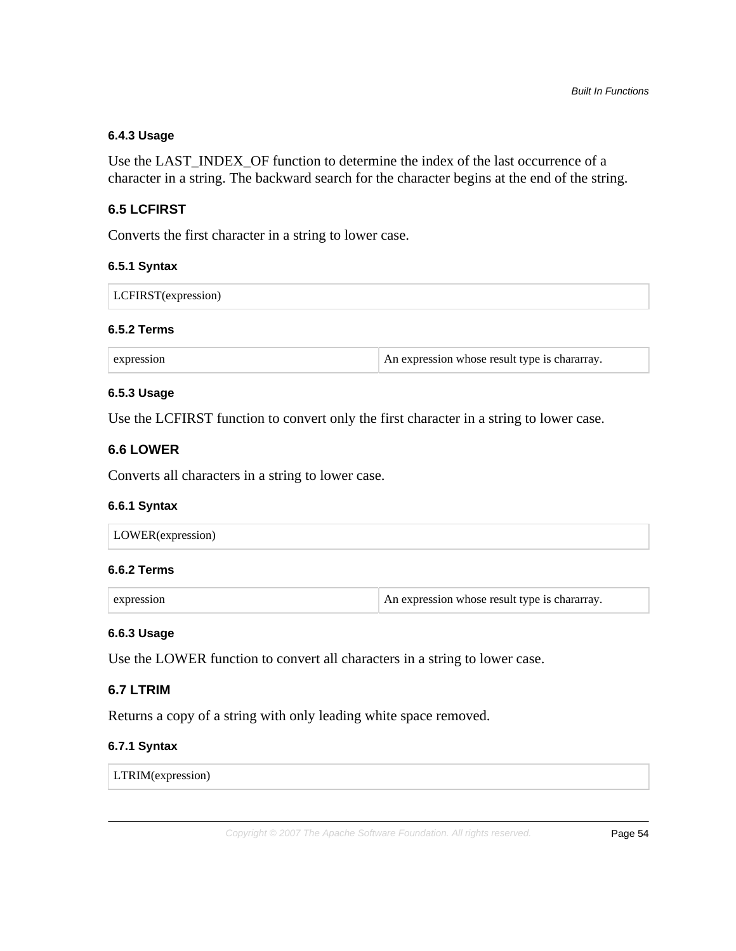## **6.4.3 Usage**

Use the LAST\_INDEX\_OF function to determine the index of the last occurrence of a character in a string. The backward search for the character begins at the end of the string.

## **6.5 LCFIRST**

Converts the first character in a string to lower case.

#### **6.5.1 Syntax**

| LCFIRST(expression) |
|---------------------|
|---------------------|

#### **6.5.2 Terms**

| expression | An expression whose result type is chararray. |
|------------|-----------------------------------------------|
|------------|-----------------------------------------------|

#### **6.5.3 Usage**

Use the LCFIRST function to convert only the first character in a string to lower case.

## **6.6 LOWER**

Converts all characters in a string to lower case.

#### **6.6.1 Syntax**

# **6.6.2 Terms**

| expression | An expression whose result type is chararray. |
|------------|-----------------------------------------------|
|------------|-----------------------------------------------|

#### **6.6.3 Usage**

Use the LOWER function to convert all characters in a string to lower case.

## **6.7 LTRIM**

Returns a copy of a string with only leading white space removed.

## **6.7.1 Syntax**

LTRIM(expression)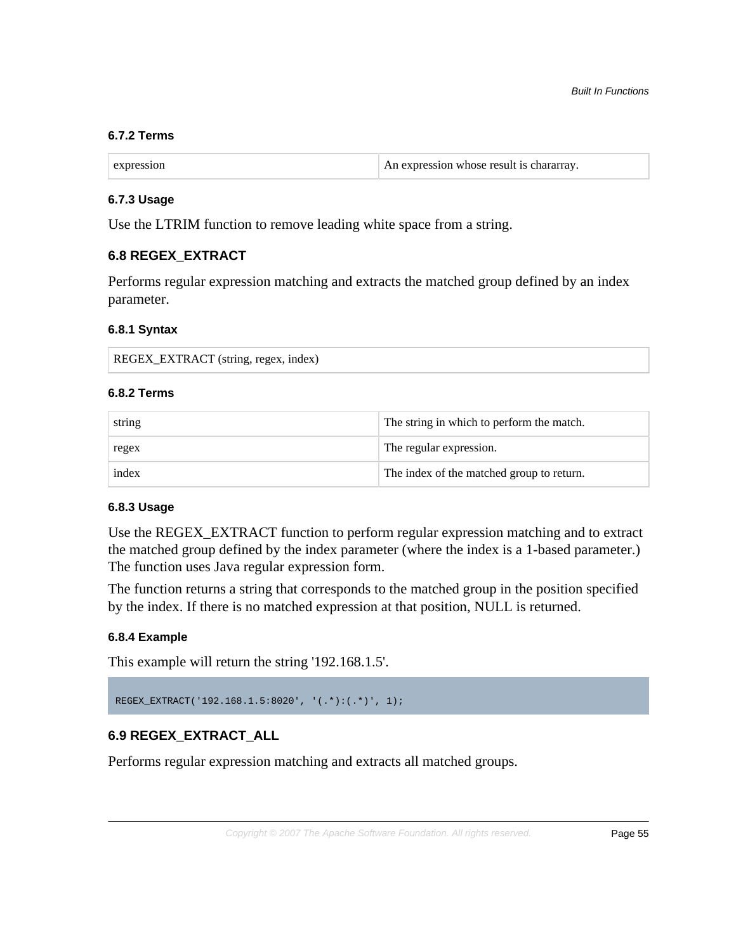#### **6.7.2 Terms**

| expression | An expression whose result is chararray. |
|------------|------------------------------------------|
|            |                                          |

#### **6.7.3 Usage**

Use the LTRIM function to remove leading white space from a string.

## **6.8 REGEX\_EXTRACT**

Performs regular expression matching and extracts the matched group defined by an index parameter.

#### **6.8.1 Syntax**

| REGEX_EXTRACT (string, regex, index) |  |
|--------------------------------------|--|
|--------------------------------------|--|

# **6.8.2 Terms**

| string | The string in which to perform the match. |
|--------|-------------------------------------------|
| regex  | The regular expression.                   |
| index  | The index of the matched group to return. |

#### **6.8.3 Usage**

Use the REGEX\_EXTRACT function to perform regular expression matching and to extract the matched group defined by the index parameter (where the index is a 1-based parameter.) The function uses Java regular expression form.

The function returns a string that corresponds to the matched group in the position specified by the index. If there is no matched expression at that position, NULL is returned.

#### **6.8.4 Example**

This example will return the string '192.168.1.5'.

REGEX\_EXTRACT('192.168.1.5:8020', '(.\*):(.\*)', 1);

# **6.9 REGEX\_EXTRACT\_ALL**

Performs regular expression matching and extracts all matched groups.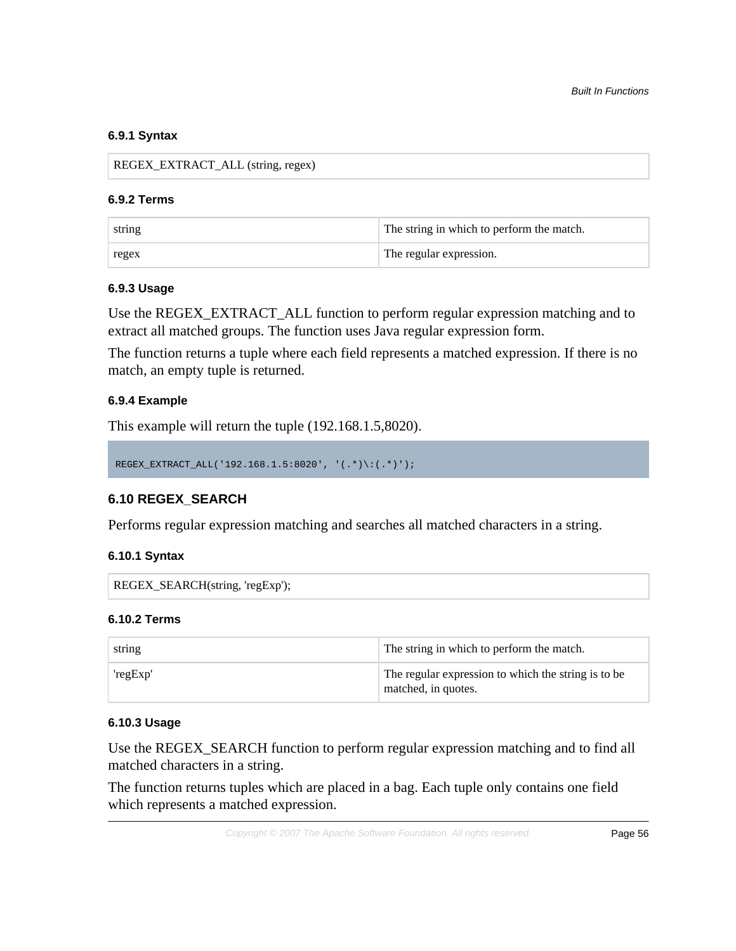#### **6.9.1 Syntax**

REGEX\_EXTRACT\_ALL (string, regex)

#### **6.9.2 Terms**

| string | The string in which to perform the match. |  |
|--------|-------------------------------------------|--|
| regex  | The regular expression.                   |  |

#### **6.9.3 Usage**

Use the REGEX\_EXTRACT\_ALL function to perform regular expression matching and to extract all matched groups. The function uses Java regular expression form.

The function returns a tuple where each field represents a matched expression. If there is no match, an empty tuple is returned.

#### **6.9.4 Example**

This example will return the tuple (192.168.1.5,8020).

```
REGEX_EXTRACT_ALL('192.168.1.5:8020', '(.*)\:(.*)');
```
# **6.10 REGEX\_SEARCH**

Performs regular expression matching and searches all matched characters in a string.

#### **6.10.1 Syntax**

```
REGEX_SEARCH(string, 'regExp');
```
#### **6.10.2 Terms**

| string   | The string in which to perform the match.                                  |  |
|----------|----------------------------------------------------------------------------|--|
| 'regExp' | The regular expression to which the string is to be<br>matched, in quotes. |  |

## **6.10.3 Usage**

Use the REGEX\_SEARCH function to perform regular expression matching and to find all matched characters in a string.

The function returns tuples which are placed in a bag. Each tuple only contains one field which represents a matched expression.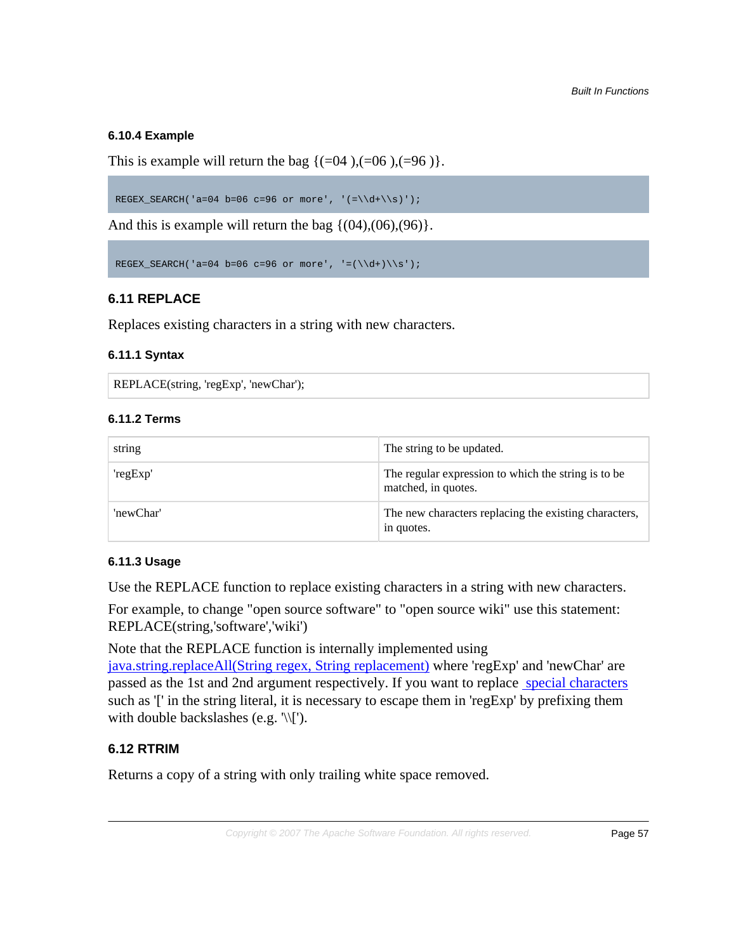# **6.10.4 Example**

This is example will return the bag  $\{(-04), (-06), (-96)\}.$ 

REGEX\_SEARCH('a=04 b=06 c=96 or more', ' $=\\{d+\\s)'\;$ 

And this is example will return the bag  $\{(04),(06),(96)\}.$ 

```
REGEX_SEARCH('a=04 b=06 c=96 or more', '=(\{\dagger\})\
```
# **6.11 REPLACE**

Replaces existing characters in a string with new characters.

## **6.11.1 Syntax**

REPLACE(string, 'regExp', 'newChar');

# **6.11.2 Terms**

| string    | The string to be updated.                                                  |
|-----------|----------------------------------------------------------------------------|
| 'regExp'  | The regular expression to which the string is to be<br>matched, in quotes. |
| 'newChar' | The new characters replacing the existing characters,<br>in quotes.        |

# **6.11.3 Usage**

Use the REPLACE function to replace existing characters in a string with new characters.

For example, to change "open source software" to "open source wiki" use this statement: REPLACE(string,'software','wiki')

Note that the REPLACE function is internally implemented using

[java.string.replaceAll\(String regex, String replacement\)](http://docs.oracle.com/javase/6/docs/api/java/lang/String.html#replaceAll(java.lang.String, java.lang.String)) where 'regExp' and 'newChar' are passed as the 1st and 2nd argument respectively. If you want to replace [special characters](http://docs.oracle.com/javase/6/docs/api/java/util/regex/Pattern.html#bs) such as '[' in the string literal, it is necessary to escape them in 'regExp' by prefixing them with double backslashes (e.g. '\\[').

# **6.12 RTRIM**

Returns a copy of a string with only trailing white space removed.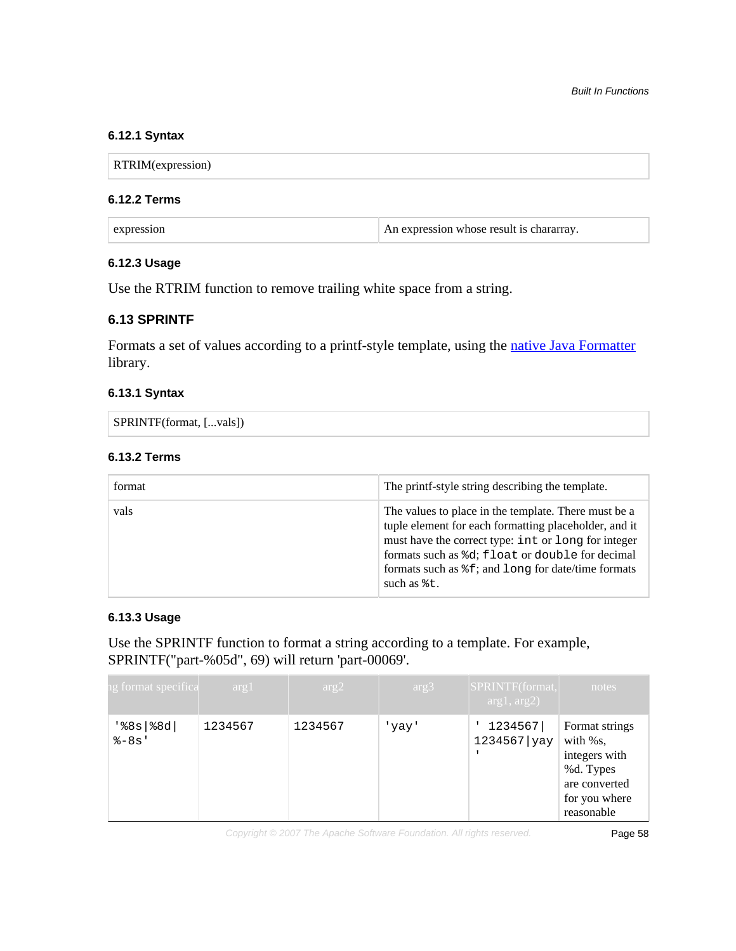## **6.12.1 Syntax**

RTRIM(expression)

### **6.12.2 Terms**

| expression | An expression whose result is chararray. |
|------------|------------------------------------------|
|------------|------------------------------------------|

## **6.12.3 Usage**

Use the RTRIM function to remove trailing white space from a string.

# **6.13 SPRINTF**

Formats a set of values according to a printf-style template, using the [native Java Formatter](http://docs.oracle.com/javase/7/docs/api/java/util/Formatter.html) library.

## **6.13.1 Syntax**

SPRINTF(format, [...vals])

# **6.13.2 Terms**

| format | The printf-style string describing the template.                                                                                                                                                                                                                                                                                             |
|--------|----------------------------------------------------------------------------------------------------------------------------------------------------------------------------------------------------------------------------------------------------------------------------------------------------------------------------------------------|
| vals   | The values to place in the template. There must be a<br>tuple element for each formatting placeholder, and it<br>must have the correct type: int or long for integer<br>formats such as $d$ ; float or double for decimal<br>formats such as $\frac{1}{2}$ f; and $\frac{1}{2}$ ong for date/time formats<br>such as $\text{\textdegree}$ t. |

#### **6.13.3 Usage**

Use the SPRINTF function to format a string according to a template. For example, SPRINTF("part-%05d", 69) will return 'part-00069'.

| ng format specifica            | arg1    | arg2    | arg3  | SPRINTF(format,<br>arg1, arg2) | notes                                                                                                    |
|--------------------------------|---------|---------|-------|--------------------------------|----------------------------------------------------------------------------------------------------------|
| $'s8s$   $\$8d$  <br>$8 - 8s'$ | 1234567 | 1234567 | 'yay' | 1234567<br>1234567 yay         | Format strings<br>with %s,<br>integers with<br>%d. Types<br>are converted<br>for you where<br>reasonable |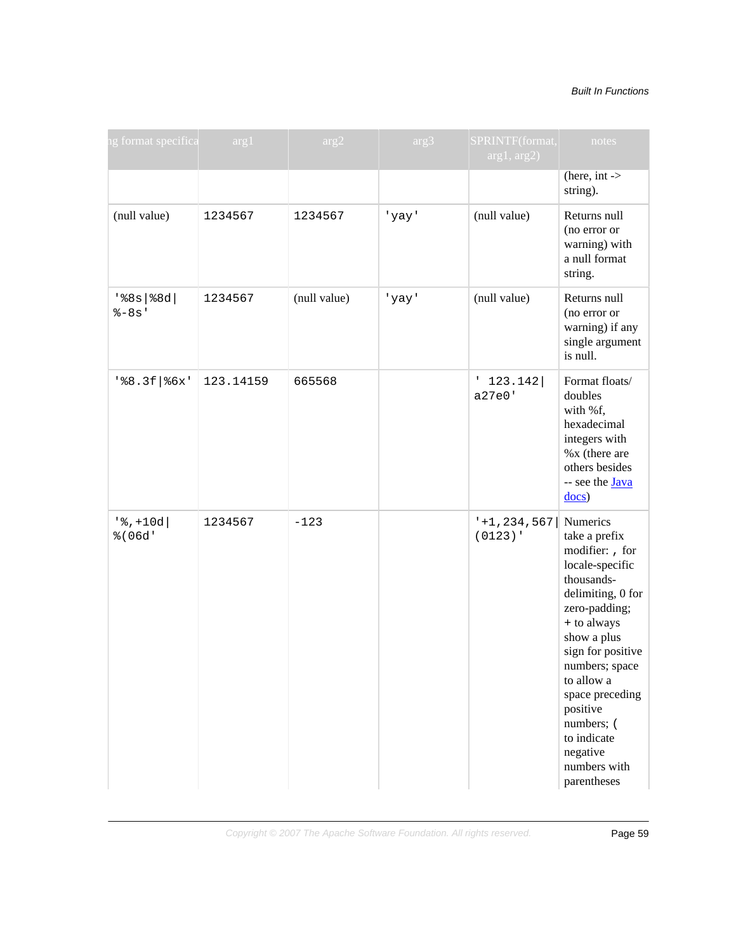#### Built In Functions

| ng format specifica            | arg1      | arg2         | arg3  | SPRINTF(format,<br>arg1, arg2)        | notes                                                                                                                                                                                                                                                                                             |
|--------------------------------|-----------|--------------|-------|---------------------------------------|---------------------------------------------------------------------------------------------------------------------------------------------------------------------------------------------------------------------------------------------------------------------------------------------------|
|                                |           |              |       |                                       | (here, $int \rightarrow$<br>string).                                                                                                                                                                                                                                                              |
| (null value)                   | 1234567   | 1234567      | 'yay' | (null value)                          | Returns null<br>(no error or<br>warning) with<br>a null format<br>string.                                                                                                                                                                                                                         |
| $'s8s$   $\$8d$  <br>$8 - 8s'$ | 1234567   | (null value) | 'yay' | (null value)                          | Returns null<br>(no error or<br>warning) if any<br>single argument<br>is null.                                                                                                                                                                                                                    |
| $'s8.3f$ $s$ 6x'               | 123.14159 | 665568       |       | $'$ 123.142<br>a27e0'                 | Format floats/<br>doubles<br>with %f,<br>hexadecimal<br>integers with<br>%x (there are<br>others besides<br>-- see the <b>Java</b><br>$\frac{docs}{d}$                                                                                                                                            |
| $'$ , +10d<br>% (06d'          | 1234567   | $-123$       |       | $-1$ , 234, 567   Numerics<br>(0123)' | take a prefix<br>modifier: , for<br>locale-specific<br>thousands-<br>delimiting, 0 for<br>zero-padding;<br>+ to always<br>show a plus<br>sign for positive<br>numbers; space<br>to allow a<br>space preceding<br>positive<br>numbers; (<br>to indicate<br>negative<br>numbers with<br>parentheses |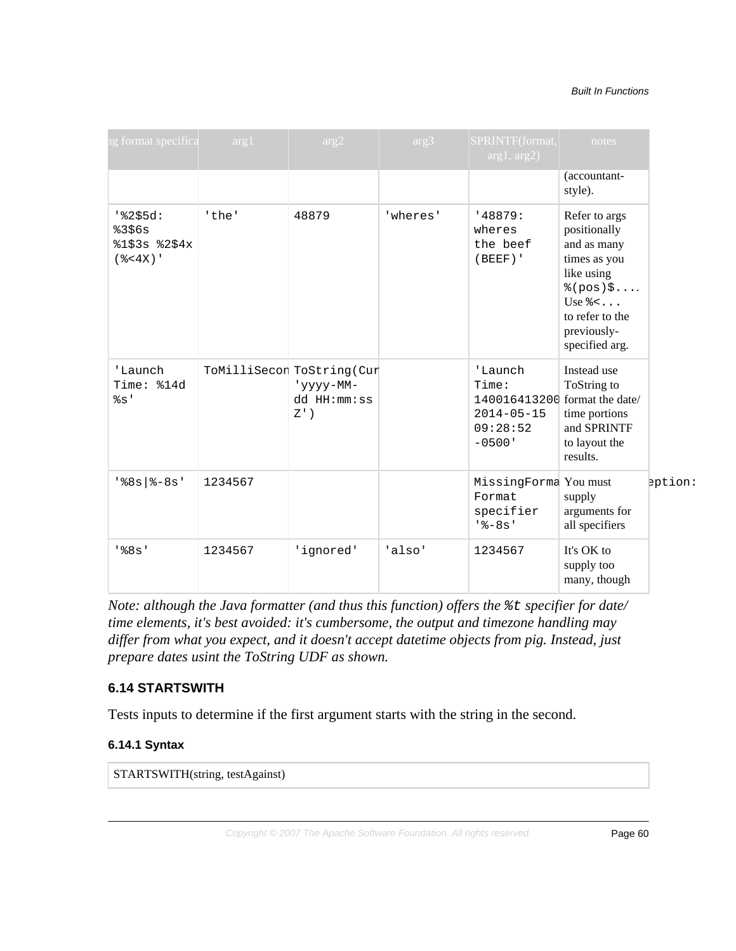#### Built In Functions

| ig format specifica arg1                             |         | arg2                                                             | arg3     | SPRINTF(format,<br>arg1, arg2)                                                               | notes                                                                                                                                                               |         |
|------------------------------------------------------|---------|------------------------------------------------------------------|----------|----------------------------------------------------------------------------------------------|---------------------------------------------------------------------------------------------------------------------------------------------------------------------|---------|
|                                                      |         |                                                                  |          |                                                                                              | (accountant-<br>style).                                                                                                                                             |         |
| $18255d$ :<br>8356s<br>$$1$3s$ $$2$4x$<br>$(*-4X)$ ' | 'the'   | 48879                                                            | 'wheres' | '48879:<br>wheres<br>the beef<br>$(BEEF)$ '                                                  | Refer to args<br>positionally<br>and as many<br>times as you<br>like using<br>$*(pos)$ ;<br>Use $\frac{1}{6}$ <<br>to refer to the<br>previously-<br>specified arg. |         |
| 'Launch<br>Time: %14d<br>$\S$ s'                     |         | ToMilliSecon ToString (Cur<br>'yyyy-MM-<br>dd HH:mm:ss<br>$Z'$ ) |          | 'Launch<br>Time:<br>140016413200 format the date/<br>$2014 - 05 - 15$<br>09:28:52<br>$-0500$ | Instead use<br>ToString to<br>time portions<br>and SPRINTF<br>to layout the<br>results.                                                                             |         |
| $188s$   $8-8s$ '                                    | 1234567 |                                                                  |          | MissingForma You must<br>Format<br>specifier<br>$18 - 8s$                                    | supply<br>arguments for<br>all specifiers                                                                                                                           | eption: |
| $'$ $88s'$                                           | 1234567 | 'ignored'                                                        | 'also'   | 1234567                                                                                      | It's OK to<br>supply too<br>many, though                                                                                                                            |         |

*Note: although the Java formatter (and thus this function) offers the*  $\epsilon$ *t specifier for date/ time elements, it's best avoided: it's cumbersome, the output and timezone handling may differ from what you expect, and it doesn't accept datetime objects from pig. Instead, just prepare dates usint the ToString UDF as shown.*

## **6.14 STARTSWITH**

Tests inputs to determine if the first argument starts with the string in the second.

## **6.14.1 Syntax**

STARTSWITH(string, testAgainst)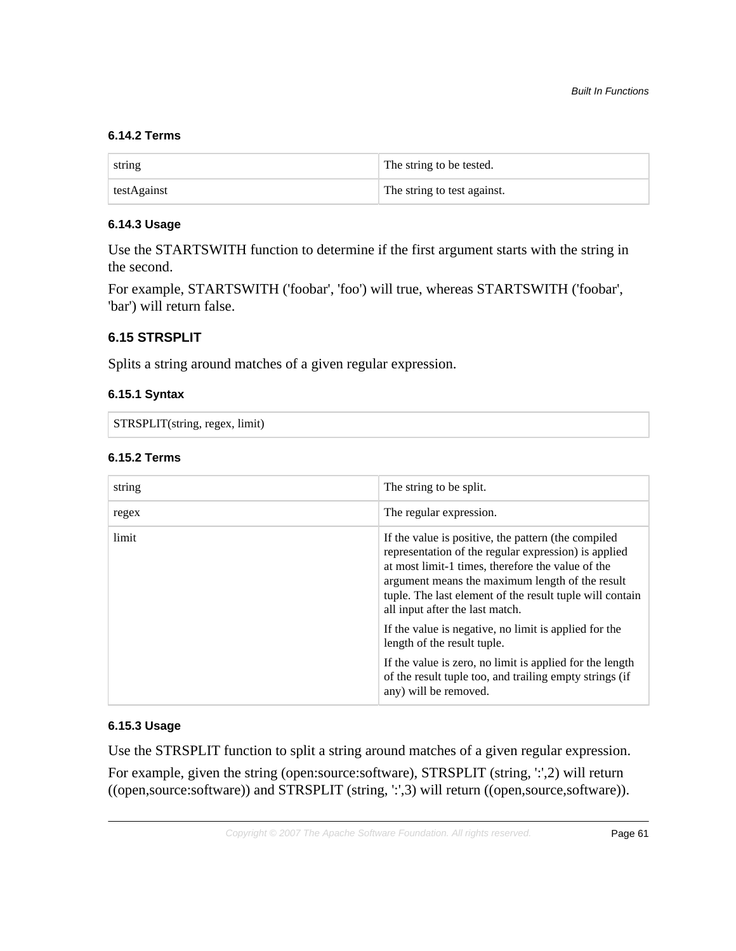# **6.14.2 Terms**

| string      | The string to be tested.    |
|-------------|-----------------------------|
| testAgainst | The string to test against. |

# **6.14.3 Usage**

Use the STARTSWITH function to determine if the first argument starts with the string in the second.

For example, STARTSWITH ('foobar', 'foo') will true, whereas STARTSWITH ('foobar', 'bar') will return false.

# **6.15 STRSPLIT**

Splits a string around matches of a given regular expression.

# **6.15.1 Syntax**

STRSPLIT(string, regex, limit)

## **6.15.2 Terms**

| string | The string to be split.                                                                                                                                                                                                                                                                                            |
|--------|--------------------------------------------------------------------------------------------------------------------------------------------------------------------------------------------------------------------------------------------------------------------------------------------------------------------|
| regex  | The regular expression.                                                                                                                                                                                                                                                                                            |
| limit  | If the value is positive, the pattern (the compiled<br>representation of the regular expression) is applied<br>at most limit-1 times, therefore the value of the<br>argument means the maximum length of the result<br>tuple. The last element of the result tuple will contain<br>all input after the last match. |
|        | If the value is negative, no limit is applied for the<br>length of the result tuple.                                                                                                                                                                                                                               |
|        | If the value is zero, no limit is applied for the length<br>of the result tuple too, and trailing empty strings (if<br>any) will be removed.                                                                                                                                                                       |

## **6.15.3 Usage**

Use the STRSPLIT function to split a string around matches of a given regular expression.

For example, given the string (open:source:software), STRSPLIT (string,  $\because$ ;2) will return ((open,source:software)) and STRSPLIT (string, ':',3) will return ((open,source,software)).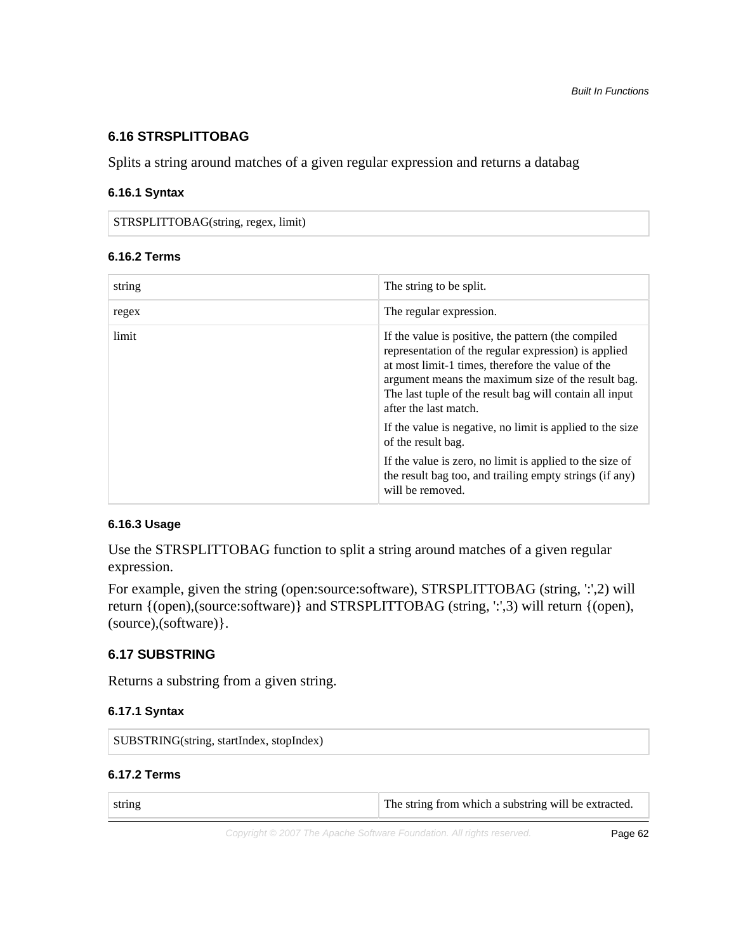# **6.16 STRSPLITTOBAG**

Splits a string around matches of a given regular expression and returns a databag

#### **6.16.1 Syntax**

STRSPLITTOBAG(string, regex, limit)

#### **6.16.2 Terms**

| string | The string to be split.                                                                                                                                                                                                                                                                                    |
|--------|------------------------------------------------------------------------------------------------------------------------------------------------------------------------------------------------------------------------------------------------------------------------------------------------------------|
| regex  | The regular expression.                                                                                                                                                                                                                                                                                    |
| limit  | If the value is positive, the pattern (the compiled<br>representation of the regular expression) is applied<br>at most limit-1 times, therefore the value of the<br>argument means the maximum size of the result bag.<br>The last tuple of the result bag will contain all input<br>after the last match. |
|        | If the value is negative, no limit is applied to the size<br>of the result bag.                                                                                                                                                                                                                            |
|        | If the value is zero, no limit is applied to the size of<br>the result bag too, and trailing empty strings (if any)<br>will be removed.                                                                                                                                                                    |

## **6.16.3 Usage**

Use the STRSPLITTOBAG function to split a string around matches of a given regular expression.

For example, given the string (open:source:software), STRSPLITTOBAG (string,  $\because$ ,2) will return {(open),(source:software)} and STRSPLITTOBAG (string, ':',3) will return {(open), (source),(software)}.

# **6.17 SUBSTRING**

Returns a substring from a given string.

#### **6.17.1 Syntax**

| SUBSTRING(string, startIndex, stopIndex) |
|------------------------------------------|
|                                          |

# **6.17.2 Terms**

| string | The string from which a substring will be extracted. |
|--------|------------------------------------------------------|
|--------|------------------------------------------------------|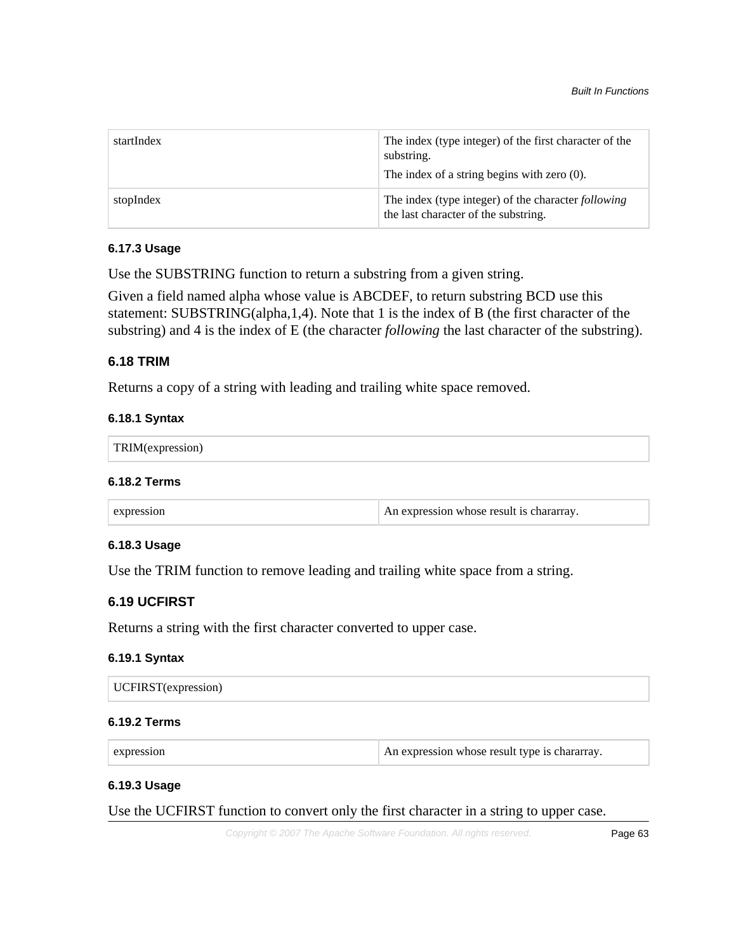| startIndex | The index (type integer) of the first character of the<br>substring.<br>The index of a string begins with zero $(0)$ . |
|------------|------------------------------------------------------------------------------------------------------------------------|
| stopIndex  | The index (type integer) of the character <i>following</i><br>the last character of the substring.                     |

#### **6.17.3 Usage**

Use the SUBSTRING function to return a substring from a given string.

Given a field named alpha whose value is ABCDEF, to return substring BCD use this statement: SUBSTRING(alpha,1,4). Note that 1 is the index of B (the first character of the substring) and 4 is the index of E (the character *following* the last character of the substring).

#### **6.18 TRIM**

Returns a copy of a string with leading and trailing white space removed.

#### **6.18.1 Syntax**

| <b>TRIM</b> (exp.<br>81 O<br>*******<br>$\sim$ |  |  |  |
|------------------------------------------------|--|--|--|
|------------------------------------------------|--|--|--|

#### **6.18.2 Terms**

#### **6.18.3 Usage**

Use the TRIM function to remove leading and trailing white space from a string.

# **6.19 UCFIRST**

Returns a string with the first character converted to upper case.

## **6.19.1 Syntax**

| <b>UCFIRST</b> (expression) |
|-----------------------------|
|-----------------------------|

#### **6.19.2 Terms**

expression An expression An expression whose result type is chararray.

### **6.19.3 Usage**

Use the UCFIRST function to convert only the first character in a string to upper case.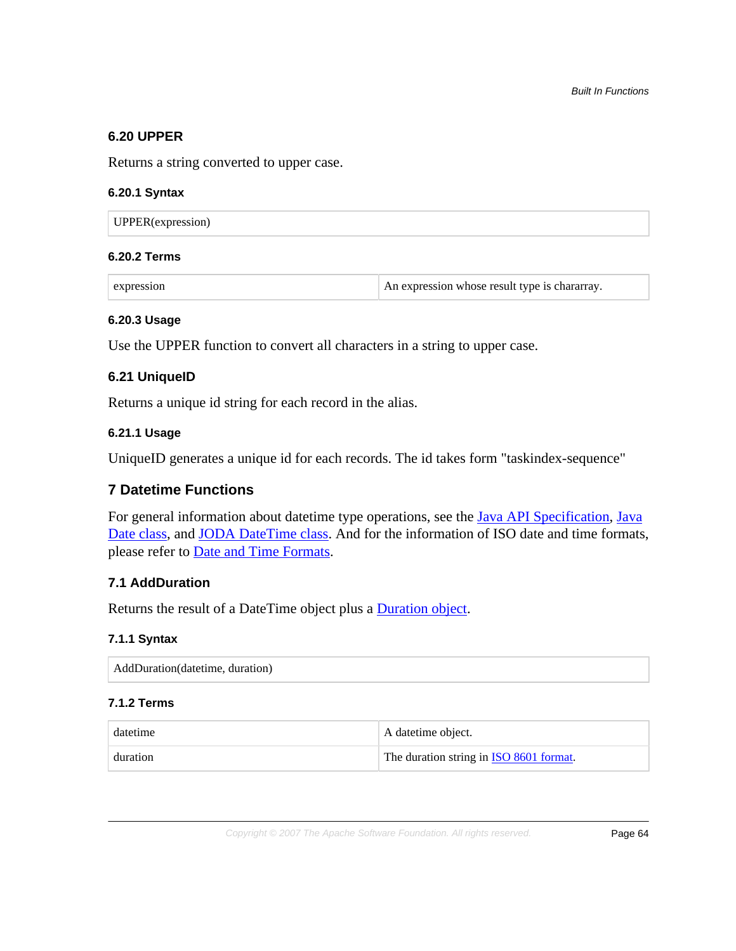## **6.20 UPPER**

Returns a string converted to upper case.

#### **6.20.1 Syntax**

| <b>UPPER</b> (expression) |
|---------------------------|
|---------------------------|

# **6.20.2 Terms**

expression An expression An expression whose result type is chararray.

#### **6.20.3 Usage**

Use the UPPER function to convert all characters in a string to upper case.

# **6.21 UniqueID**

Returns a unique id string for each record in the alias.

## **6.21.1 Usage**

UniqueID generates a unique id for each records. The id takes form "taskindex-sequence"

# **7 Datetime Functions**

For general information about datetime type operations, see the **Java API Specification**, **Java** [Date class,](http://docs.oracle.com/javase/6/docs/api/java/util/Date.html) and [JODA DateTime class](http://joda-time.sourceforge.net/apidocs/index.html). And for the information of ISO date and time formats, please refer to [Date and Time Formats.](http://www.w3.org/TR/NOTE-datetime)

# **7.1 AddDuration**

Returns the result of a DateTime object plus a [Duration object.](http://en.wikipedia.org/wiki/ISO_8601#Durations)

## **7.1.1 Syntax**

AddDuration(datetime, duration)

# **7.1.2 Terms**

| datetime | A datetime object.                              |
|----------|-------------------------------------------------|
| duration | The duration string in <b>ISO 8601 format</b> . |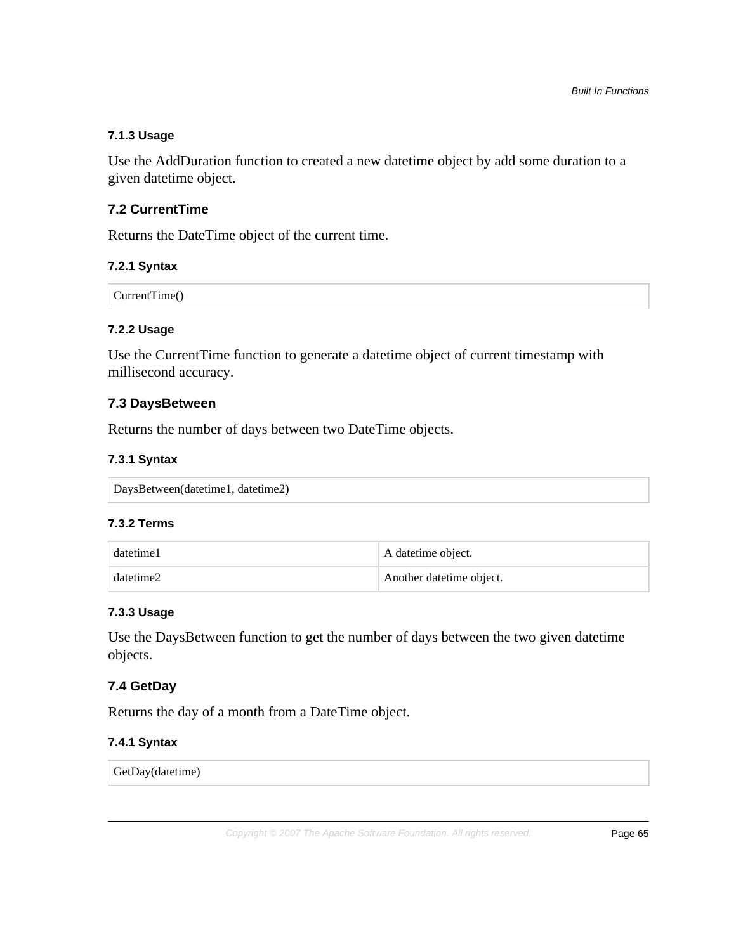## **7.1.3 Usage**

Use the AddDuration function to created a new datetime object by add some duration to a given datetime object.

# **7.2 CurrentTime**

Returns the DateTime object of the current time.

## **7.2.1 Syntax**

CurrentTime()

# **7.2.2 Usage**

Use the CurrentTime function to generate a datetime object of current timestamp with millisecond accuracy.

# **7.3 DaysBetween**

Returns the number of days between two DateTime objects.

# **7.3.1 Syntax**

| DaysBetween(datetime1, datetime2) |  |
|-----------------------------------|--|
|                                   |  |

#### **7.3.2 Terms**

| datetime1 | A datetime object.        |  |
|-----------|---------------------------|--|
| datetime2 | Another date time object. |  |

#### **7.3.3 Usage**

Use the DaysBetween function to get the number of days between the two given datetime objects.

# **7.4 GetDay**

Returns the day of a month from a DateTime object.

## **7.4.1 Syntax**

GetDay(datetime)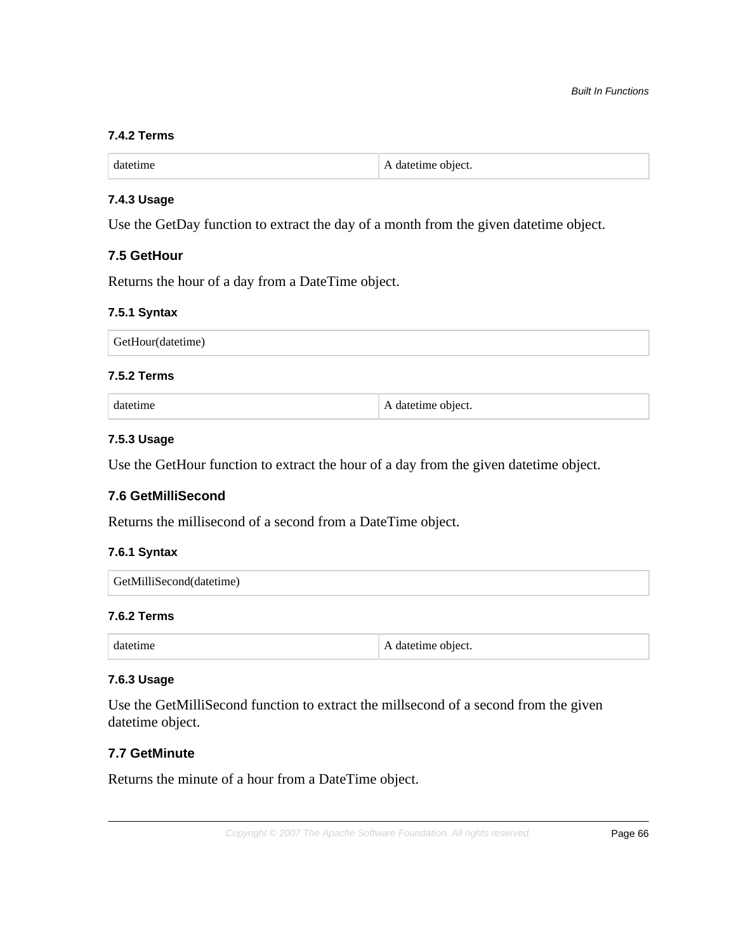#### **7.4.2 Terms**

| datetime | A date time object. |
|----------|---------------------|
|----------|---------------------|

## **7.4.3 Usage**

Use the GetDay function to extract the day of a month from the given datetime object.

## **7.5 GetHour**

Returns the hour of a day from a DateTime object.

#### **7.5.1 Syntax**

| GetHour(datetime) |  |
|-------------------|--|
|-------------------|--|

## **7.5.2 Terms**

datetime  $\blacksquare$  A datetime object.

#### **7.5.3 Usage**

Use the GetHour function to extract the hour of a day from the given datetime object.

## **7.6 GetMilliSecond**

Returns the millisecond of a second from a DateTime object.

## **7.6.1 Syntax**

| GetMilliSecond(datetime) |
|--------------------------|
|                          |

## **7.6.2 Terms**

|  | A date time object. |
|--|---------------------|
|--|---------------------|

#### **7.6.3 Usage**

Use the GetMilliSecond function to extract the millsecond of a second from the given datetime object.

# **7.7 GetMinute**

Returns the minute of a hour from a DateTime object.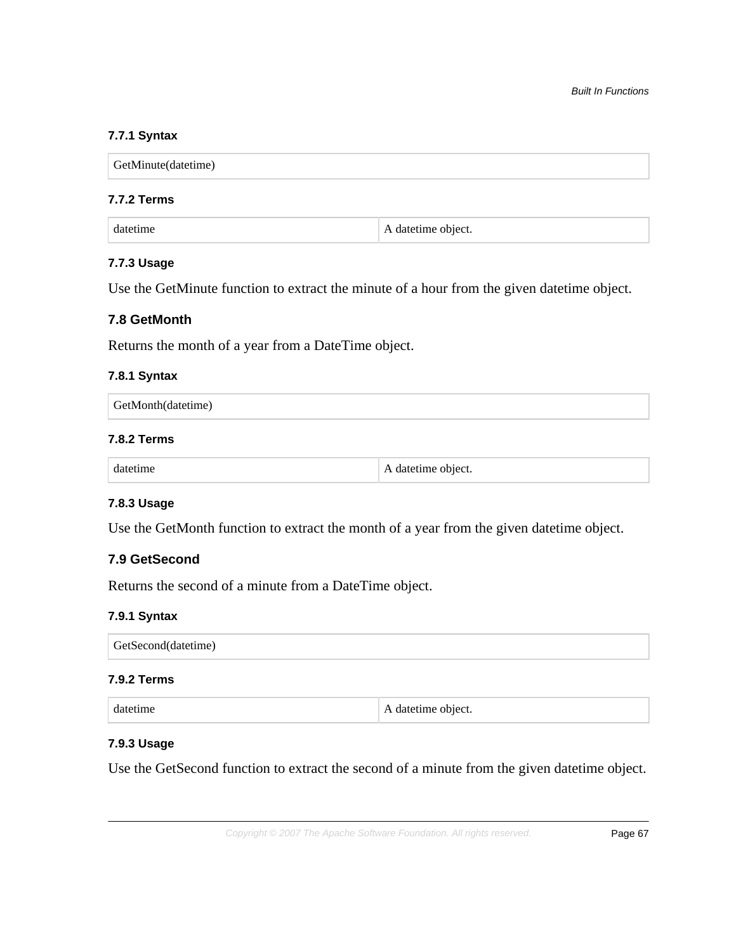# **7.7.1 Syntax**

| GetMinute(datetime) |  |  |
|---------------------|--|--|
|                     |  |  |

# **7.7.2 Terms**

#### **7.7.3 Usage**

Use the GetMinute function to extract the minute of a hour from the given datetime object.

# **7.8 GetMonth**

Returns the month of a year from a DateTime object.

#### **7.8.1 Syntax**

| $\Box$ GetMonth(datetime) |  |  |  |
|---------------------------|--|--|--|
|---------------------------|--|--|--|

## **7.8.2 Terms**

|  | object. |
|--|---------|
|--|---------|

# **7.8.3 Usage**

Use the GetMonth function to extract the month of a year from the given datetime object.

# **7.9 GetSecond**

Returns the second of a minute from a DateTime object.

#### **7.9.1 Syntax**

| GetSecond(datetime) |  |  |
|---------------------|--|--|

#### **7.9.2 Terms**

| datetime | A date time object. |
|----------|---------------------|
|----------|---------------------|

# **7.9.3 Usage**

Use the GetSecond function to extract the second of a minute from the given datetime object.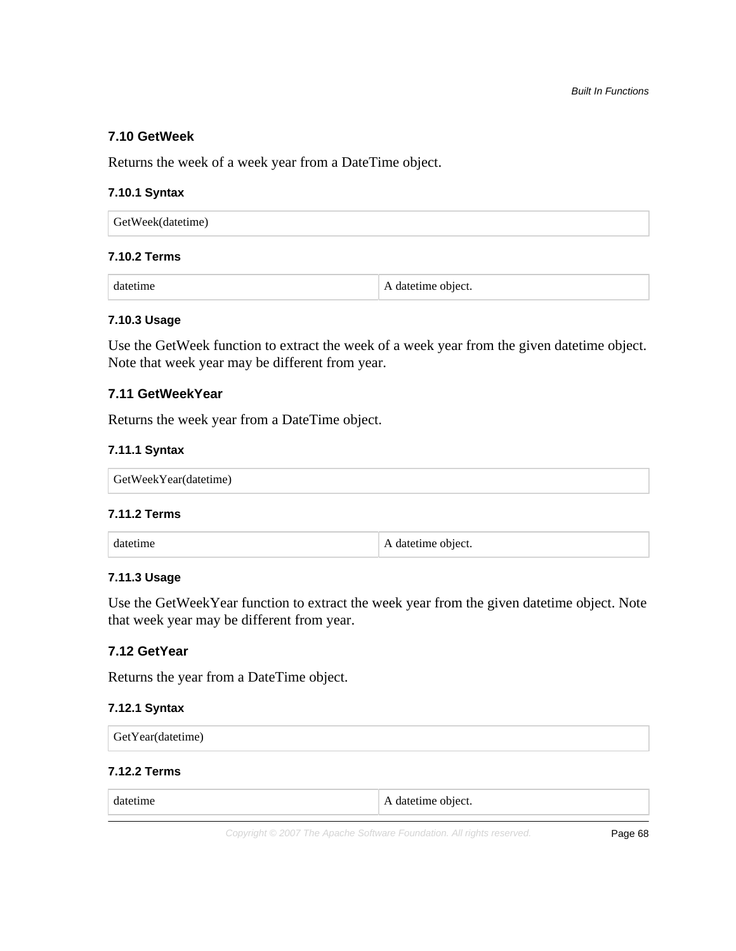## **7.10 GetWeek**

Returns the week of a week year from a DateTime object.

#### **7.10.1 Syntax**

| GetWeek(datetime) |  |  |  |
|-------------------|--|--|--|
|                   |  |  |  |

# **7.10.2 Terms**

datetime  $\blacksquare$  A datetime object.

#### **7.10.3 Usage**

Use the GetWeek function to extract the week of a week year from the given datetime object. Note that week year may be different from year.

# **7.11 GetWeekYear**

Returns the week year from a DateTime object.

#### **7.11.1 Syntax**

#### **7.11.2 Terms**

| datetime | $\perp$ A date time object. |
|----------|-----------------------------|
|----------|-----------------------------|

## **7.11.3 Usage**

Use the GetWeekYear function to extract the week year from the given datetime object. Note that week year may be different from year.

# **7.12 GetYear**

Returns the year from a DateTime object.

## **7.12.1 Syntax**

### **7.12.2 Terms**

| datetime | A date time object. |
|----------|---------------------|
|----------|---------------------|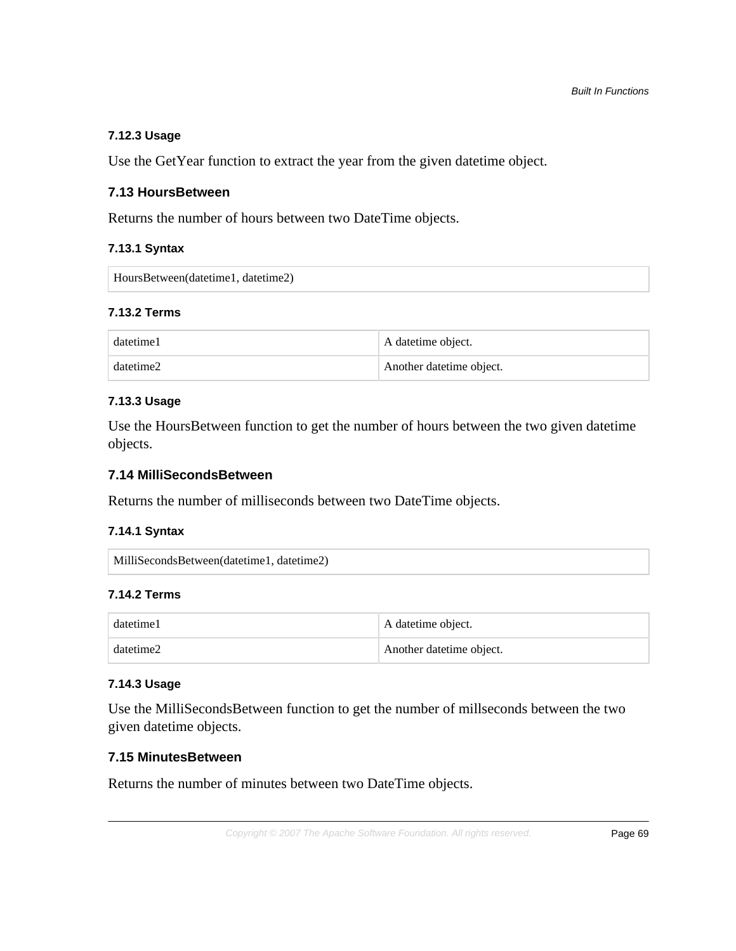# **7.12.3 Usage**

Use the GetYear function to extract the year from the given datetime object.

# **7.13 HoursBetween**

Returns the number of hours between two DateTime objects.

# **7.13.1 Syntax**

HoursBetween(datetime1, datetime2)

# **7.13.2 Terms**

| datetime1 | A datetime object.       |
|-----------|--------------------------|
| datetime2 | Another datetime object. |

# **7.13.3 Usage**

Use the HoursBetween function to get the number of hours between the two given datetime objects.

# **7.14 MilliSecondsBetween**

Returns the number of milliseconds between two DateTime objects.

## **7.14.1 Syntax**

```
MilliSecondsBetween(datetime1, datetime2)
```
# **7.14.2 Terms**

| datetime1 | A date time object.       |
|-----------|---------------------------|
| datetime2 | Another date time object. |

# **7.14.3 Usage**

Use the MilliSecondsBetween function to get the number of millseconds between the two given datetime objects.

# **7.15 MinutesBetween**

Returns the number of minutes between two DateTime objects.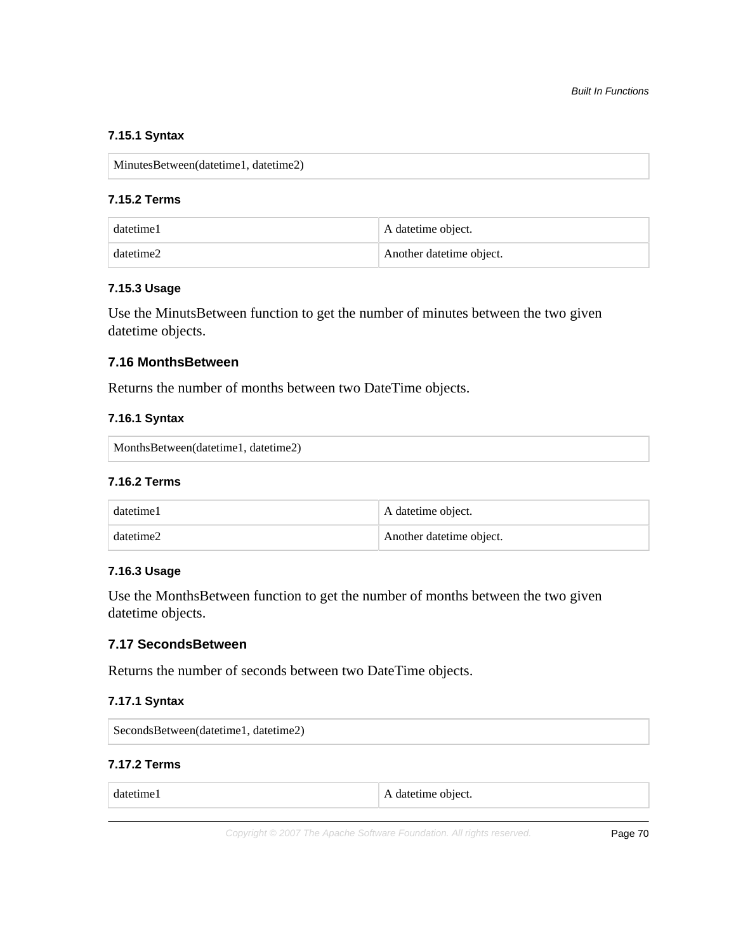# **7.15.1 Syntax**

MinutesBetween(datetime1, datetime2)

# **7.15.2 Terms**

| datetime1 | A datetime object.        |
|-----------|---------------------------|
| datetime2 | Another date time object. |

#### **7.15.3 Usage**

Use the MinutsBetween function to get the number of minutes between the two given datetime objects.

#### **7.16 MonthsBetween**

Returns the number of months between two DateTime objects.

# **7.16.1 Syntax**

MonthsBetween(datetime1, datetime2)

#### **7.16.2 Terms**

| datetime1 | A datetime object.       |
|-----------|--------------------------|
| datetime2 | Another datetime object. |

#### **7.16.3 Usage**

Use the MonthsBetween function to get the number of months between the two given datetime objects.

# **7.17 SecondsBetween**

Returns the number of seconds between two DateTime objects.

## **7.17.1 Syntax**

| SecondsBetween(datetime1, datetime2) |  |
|--------------------------------------|--|
|--------------------------------------|--|

#### **7.17.2 Terms**

| ------     | datetime object.         |
|------------|--------------------------|
| datetime l | $\overline{\phantom{a}}$ |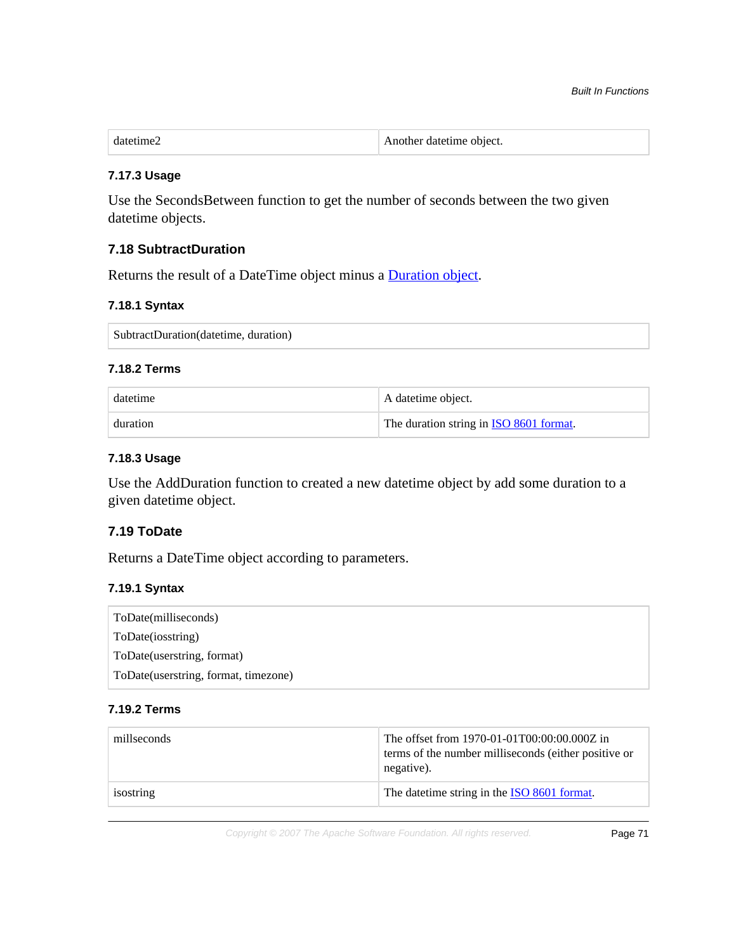| datetime. | Another datetime object. |
|-----------|--------------------------|
|           |                          |

#### **7.17.3 Usage**

Use the SecondsBetween function to get the number of seconds between the two given datetime objects.

# **7.18 SubtractDuration**

Returns the result of a DateTime object minus a [Duration object.](http://en.wikipedia.org/wiki/ISO_8601#Durations)

#### **7.18.1 Syntax**

SubtractDuration(datetime, duration)

#### **7.18.2 Terms**

| datetime | A datetime object.                              |
|----------|-------------------------------------------------|
| duration | The duration string in <b>ISO 8601 format</b> . |

## **7.18.3 Usage**

Use the AddDuration function to created a new datetime object by add some duration to a given datetime object.

# **7.19 ToDate**

Returns a DateTime object according to parameters.

#### **7.19.1 Syntax**

| ToDate(milliseconds)                 |  |
|--------------------------------------|--|
| ToDate(iosstring)                    |  |
| ToDate (userstring, format)          |  |
| ToDate(userstring, format, timezone) |  |

# **7.19.2 Terms**

| millseconds | The offset from 1970-01-01T00:00:00.000Z in<br>terms of the number milliseconds (either positive or<br>negative). |
|-------------|-------------------------------------------------------------------------------------------------------------------|
| isostring   | The date time string in the ISO 8601 format.                                                                      |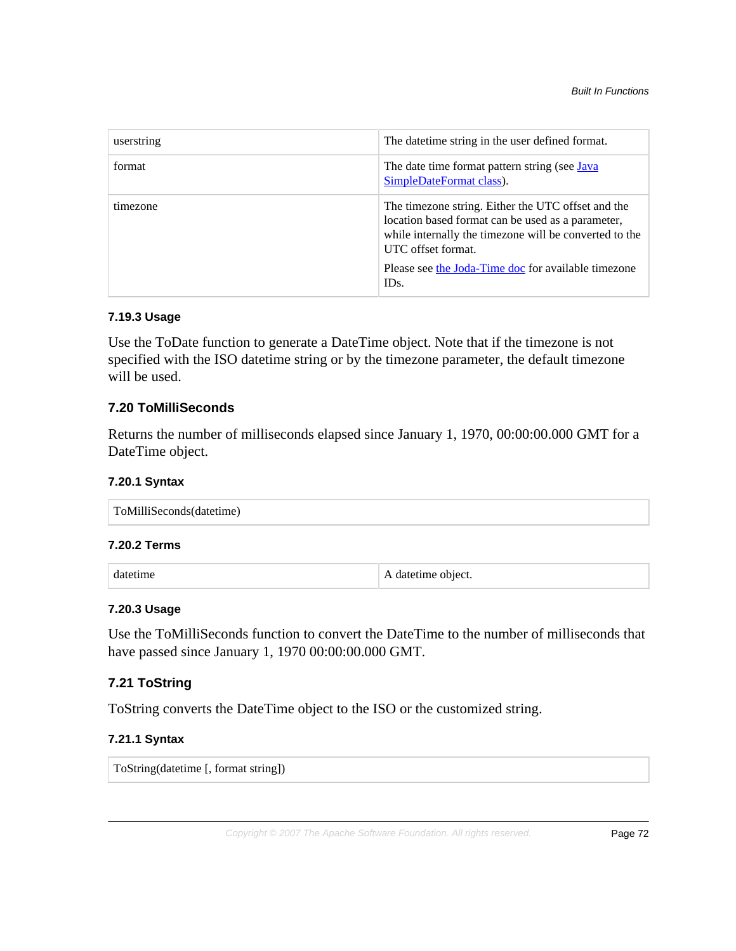| userstring | The date time string in the user defined format.                                                                                                                                                                                                       |
|------------|--------------------------------------------------------------------------------------------------------------------------------------------------------------------------------------------------------------------------------------------------------|
| format     | The date time format pattern string (see Java<br>SimpleDateFormat class).                                                                                                                                                                              |
| timezone   | The timezone string. Either the UTC offset and the<br>location based format can be used as a parameter,<br>while internally the timezone will be converted to the<br>UTC offset format.<br>Please see the Joda-Time doc for available timezone<br>IDs. |

# **7.19.3 Usage**

Use the ToDate function to generate a DateTime object. Note that if the timezone is not specified with the ISO datetime string or by the timezone parameter, the default timezone will be used.

# **7.20 ToMilliSeconds**

Returns the number of milliseconds elapsed since January 1, 1970, 00:00:00.000 GMT for a DateTime object.

## **7.20.1 Syntax**

| ToMilliSeconds(datetime) |  |  |
|--------------------------|--|--|
|                          |  |  |

# **7.20.2 Terms**

datetime A datetime object.

## **7.20.3 Usage**

Use the ToMilliSeconds function to convert the DateTime to the number of milliseconds that have passed since January 1, 1970 00:00:00.000 GMT.

# **7.21 ToString**

ToString converts the DateTime object to the ISO or the customized string.

# **7.21.1 Syntax**

ToString(datetime [, format string])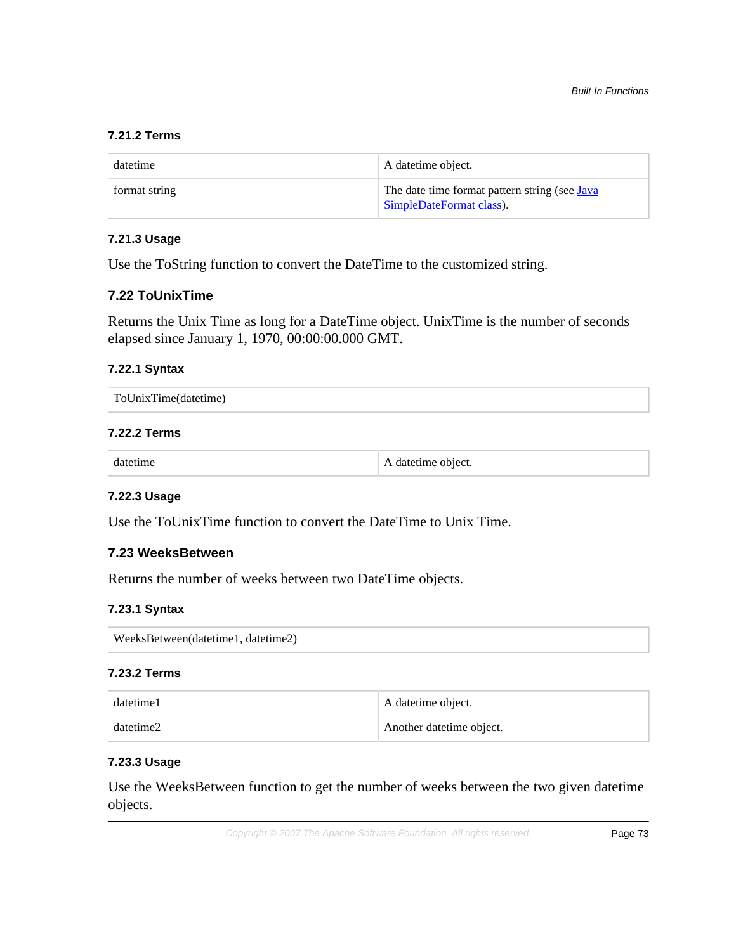# **7.21.2 Terms**

| datetime      | A datetime object.                                                        |
|---------------|---------------------------------------------------------------------------|
| format string | The date time format pattern string (see Java<br>SimpleDateFormat class). |

# **7.21.3 Usage**

Use the ToString function to convert the DateTime to the customized string.

## **7.22 ToUnixTime**

Returns the Unix Time as long for a DateTime object. UnixTime is the number of seconds elapsed since January 1, 1970, 00:00:00.000 GMT.

#### **7.22.1 Syntax**

| ToUnixTime(datetime) |
|----------------------|
|                      |

#### **7.22.2 Terms**

|  | A datetime object. |
|--|--------------------|
|--|--------------------|

## **7.22.3 Usage**

Use the ToUnixTime function to convert the DateTime to Unix Time.

## **7.23 WeeksBetween**

Returns the number of weeks between two DateTime objects.

#### **7.23.1 Syntax**

WeeksBetween(datetime1, datetime2)

## **7.23.2 Terms**

| datetime1 | A datetime object.        |
|-----------|---------------------------|
| datetime2 | Another date time object. |

## **7.23.3 Usage**

Use the WeeksBetween function to get the number of weeks between the two given datetime objects.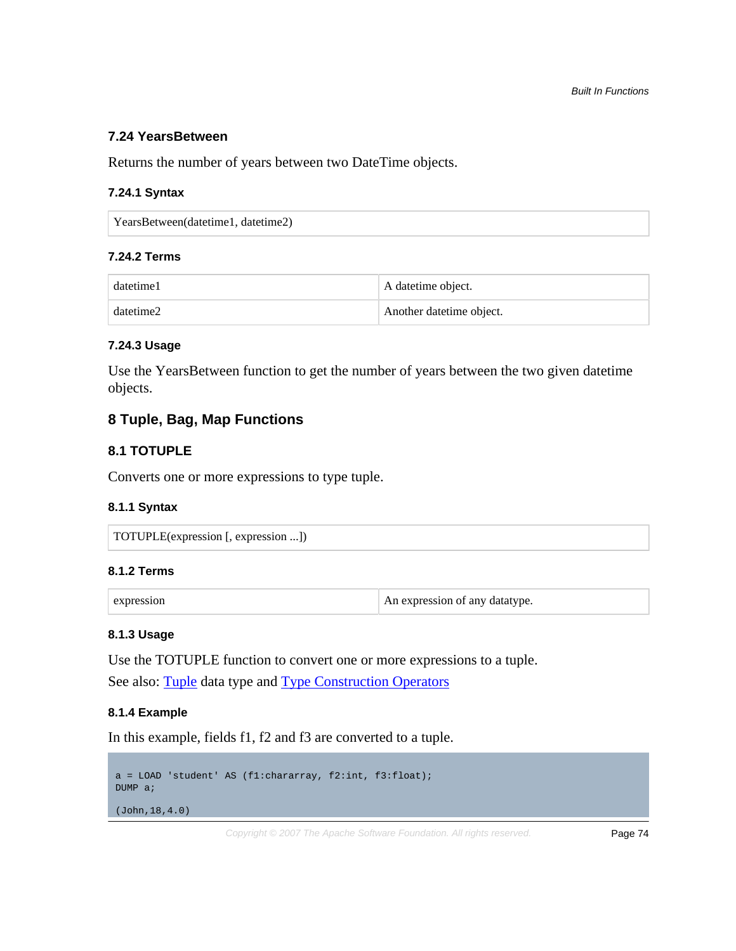## **7.24 YearsBetween**

Returns the number of years between two DateTime objects.

#### **7.24.1 Syntax**

YearsBetween(datetime1, datetime2)

## **7.24.2 Terms**

| datetime1 | A datetime object.       |
|-----------|--------------------------|
| datetime2 | Another datetime object. |

#### **7.24.3 Usage**

Use the YearsBetween function to get the number of years between the two given datetime objects.

# **8 Tuple, Bag, Map Functions**

## **8.1 TOTUPLE**

Converts one or more expressions to type tuple.

#### **8.1.1 Syntax**

TOTUPLE(expression [, expression ...])

#### **8.1.2 Terms**

expression An expression An expression of any datatype.

#### **8.1.3 Usage**

Use the TOTUPLE function to convert one or more expressions to a tuple.

See also: [Tuple](basic.html#tuple) data type and [Type Construction Operators](basic.html#type-construction)

## **8.1.4 Example**

In this example, fields f1, f2 and f3 are converted to a tuple.

```
a = LOAD 'student' AS (f1:chararray, f2:int, f3:float);
DUMP a;
(John,18,4.0)
```
Copyright © 2007 The Apache Software Foundation. All rights reserved. Page 74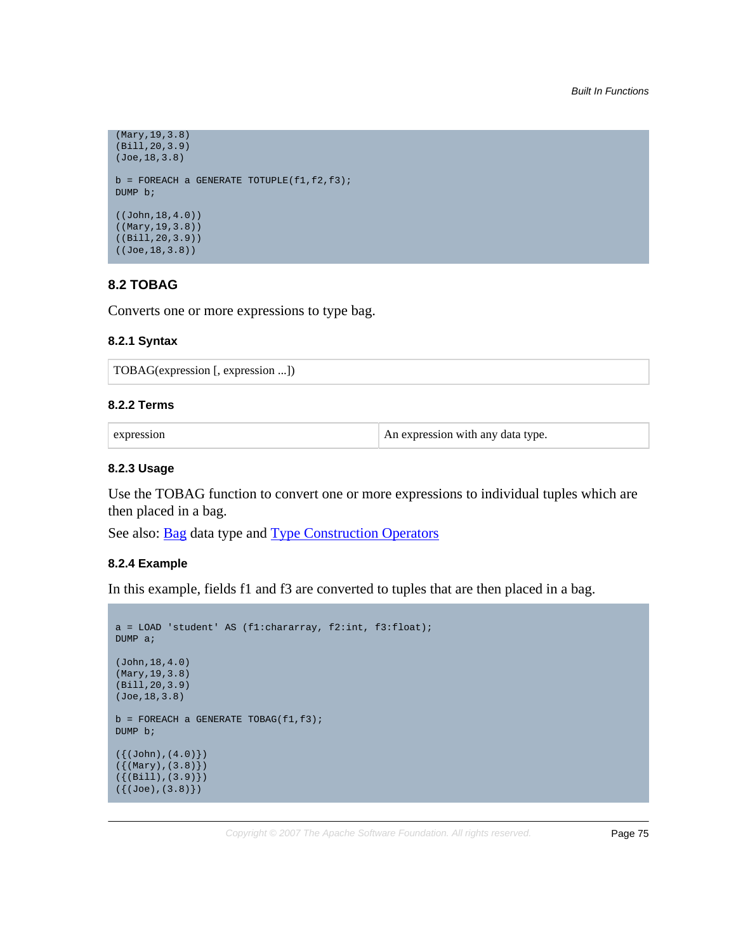```
(Mary,19,3.8)
(Bill,20,3.9)
(Joe,18,3.8)
b = FOREACH a GENERATE TOTUPLE(f1,f2,f3);
DUMP b;
((John,18,4.0))
((Mary,19,3.8))
((Bill,20,3.9))
((Joe,18,3.8))
```
# **8.2 TOBAG**

Converts one or more expressions to type bag.

#### **8.2.1 Syntax**

TOBAG(expression [, expression ...])

#### **8.2.2 Terms**

| expression | An expression with any data type. |
|------------|-----------------------------------|
|------------|-----------------------------------|

#### **8.2.3 Usage**

Use the TOBAG function to convert one or more expressions to individual tuples which are then placed in a bag.

See also: **[Bag](basic.html#bag)** data type and **Type Construction Operators** 

#### **8.2.4 Example**

In this example, fields f1 and f3 are converted to tuples that are then placed in a bag.

```
a = LOAD 'student' AS (f1:chararray, f2:int, f3:float);
DUMP a;
(John,18,4.0)
(Mary,19,3.8)
(Bill,20,3.9)
(Joe,18,3.8)
b = FOREACH a GENERATE TOBAG(f1,f3);
DUMP b;
({(John), (4.0)}({(Mary),(3.8)})
({(Bill),(3.9)})
({(Joe), (3.8)}
```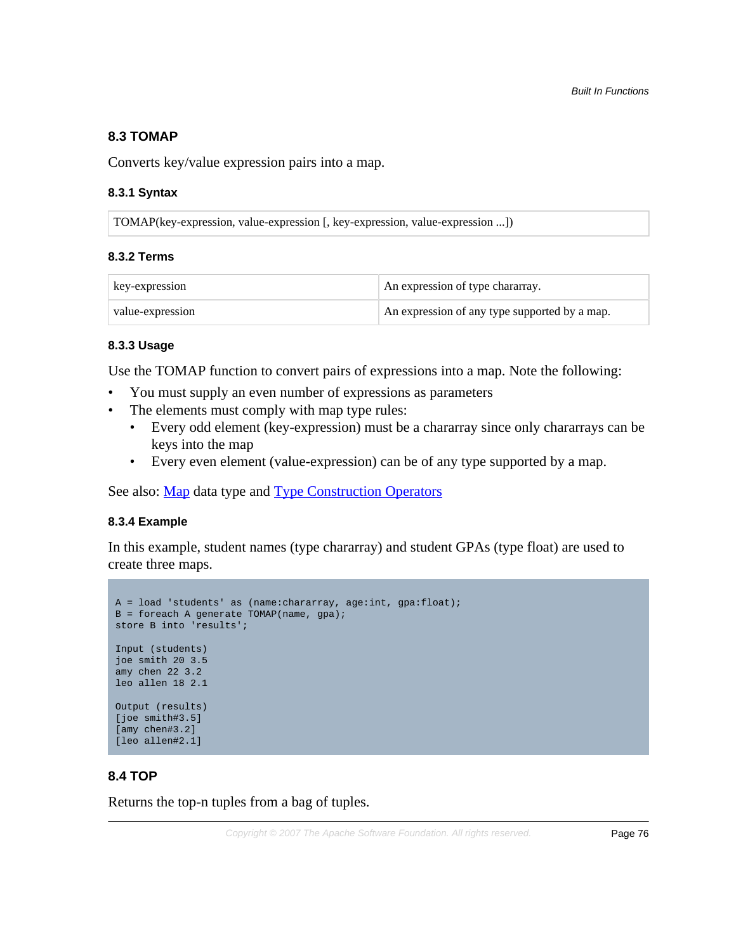## **8.3 TOMAP**

Converts key/value expression pairs into a map.

## **8.3.1 Syntax**

TOMAP(key-expression, value-expression [, key-expression, value-expression ...])

#### **8.3.2 Terms**

| key-expression   | An expression of type chararray.              |
|------------------|-----------------------------------------------|
| value-expression | An expression of any type supported by a map. |

#### **8.3.3 Usage**

Use the TOMAP function to convert pairs of expressions into a map. Note the following:

- You must supply an even number of expressions as parameters
- The elements must comply with map type rules:
	- Every odd element (key-expression) must be a chararray since only chararrays can be keys into the map
	- Every even element (value-expression) can be of any type supported by a map.

See also: [Map](basic.html#map) data type and [Type Construction Operators](basic.html#type-construction)

## **8.3.4 Example**

In this example, student names (type chararray) and student GPAs (type float) are used to create three maps.

```
A = load 'students' as (name:chararray, age:int, gpa:float);
B = foreach A generate TOMAP(name, gpa);
store B into 'results';
Input (students)
joe smith 20 3.5
amy chen 22 3.2
leo allen 18 2.1
Output (results)
[joe smith#3.5]
[amy chen#3.2]
[leo allen#2.1]
```
## **8.4 TOP**

Returns the top-n tuples from a bag of tuples.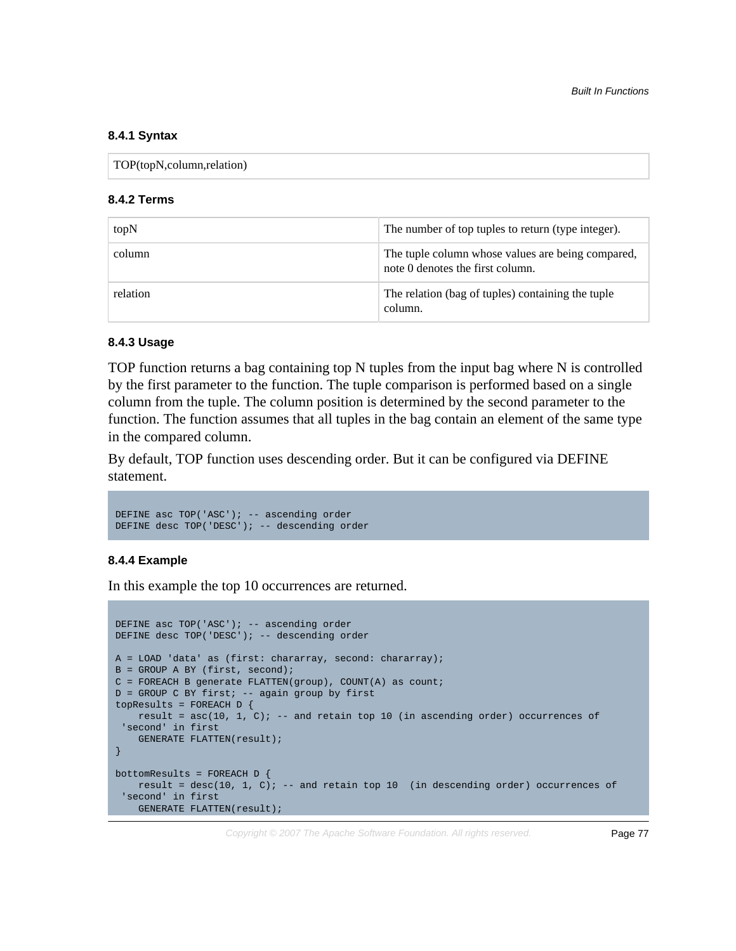#### **8.4.1 Syntax**

| TOP(topN,column,relation) |  |
|---------------------------|--|
|---------------------------|--|

#### **8.4.2 Terms**

| topN     | The number of top tuples to return (type integer).                                    |
|----------|---------------------------------------------------------------------------------------|
| column   | The tuple column whose values are being compared,<br>note 0 denotes the first column. |
| relation | The relation (bag of tuples) containing the tuple<br>column.                          |

#### **8.4.3 Usage**

TOP function returns a bag containing top N tuples from the input bag where N is controlled by the first parameter to the function. The tuple comparison is performed based on a single column from the tuple. The column position is determined by the second parameter to the function. The function assumes that all tuples in the bag contain an element of the same type in the compared column.

By default, TOP function uses descending order. But it can be configured via DEFINE statement.

```
DEFINE asc TOP('ASC'); -- ascending order
DEFINE desc TOP('DESC'); -- descending order
```
#### **8.4.4 Example**

In this example the top 10 occurrences are returned.

```
DEFINE asc TOP('ASC'); -- ascending order
DEFINE desc TOP('DESC'); -- descending order
A = LOAD 'data' as (first: chararray, second: chararray);
B = GROUP A BY (first, second);
C = FOREACH B generate FLATTEN(group), COUNT(A) as count;D = GROUP C BY first; -- again group by first
topResults = FOREACH D {
   result = asc(10, 1, 0); -- and retain top 10 (in ascending order) occurrences of
  'second' in first 
   GENERATE FLATTEN(result);
}
bottomResults = FOREACH D {
   result = desc(10, 1, C); -- and retain top 10 (in descending order) occurrences of
  'second' in first 
  GENERATE FLATTEN(result);
```
Copyright © 2007 The Apache Software Foundation. All rights reserved. Page 77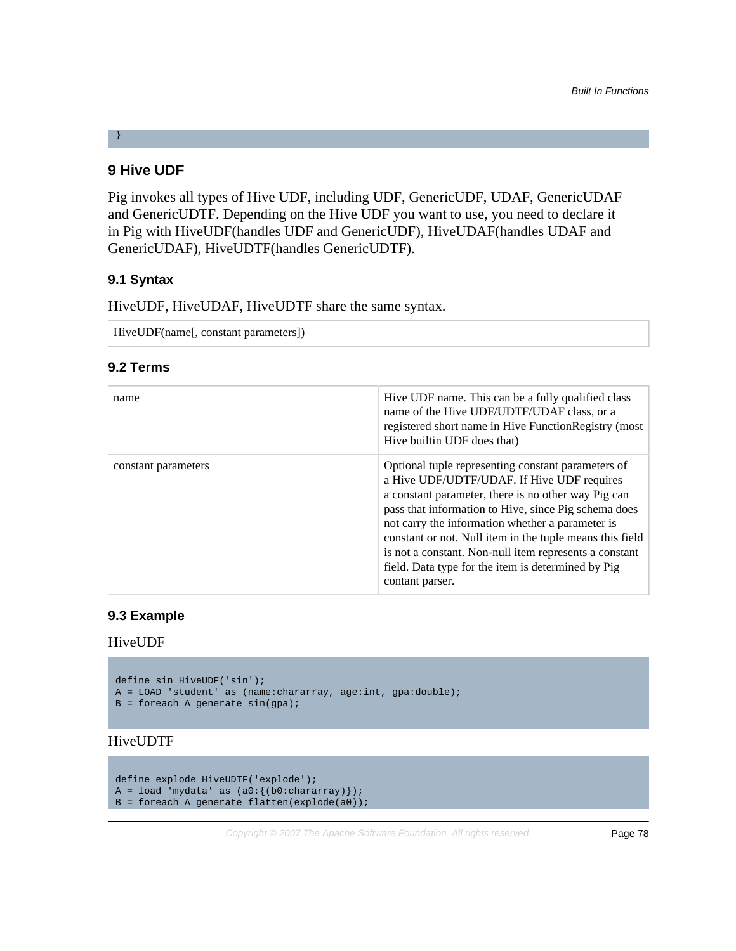# **9 Hive UDF**

}

Pig invokes all types of Hive UDF, including UDF, GenericUDF, UDAF, GenericUDAF and GenericUDTF. Depending on the Hive UDF you want to use, you need to declare it in Pig with HiveUDF(handles UDF and GenericUDF), HiveUDAF(handles UDAF and GenericUDAF), HiveUDTF(handles GenericUDTF).

# **9.1 Syntax**

HiveUDF, HiveUDAF, HiveUDTF share the same syntax.

```
HiveUDF(name[, constant parameters])
```
# **9.2 Terms**

| name                | Hive UDF name. This can be a fully qualified class<br>name of the Hive UDF/UDTF/UDAF class, or a<br>registered short name in Hive FunctionRegistry (most<br>Hive builtin UDF does that)                                                                                                                                                                                                                                                                            |
|---------------------|--------------------------------------------------------------------------------------------------------------------------------------------------------------------------------------------------------------------------------------------------------------------------------------------------------------------------------------------------------------------------------------------------------------------------------------------------------------------|
| constant parameters | Optional tuple representing constant parameters of<br>a Hive UDF/UDTF/UDAF. If Hive UDF requires<br>a constant parameter, there is no other way Pig can<br>pass that information to Hive, since Pig schema does<br>not carry the information whether a parameter is<br>constant or not. Null item in the tuple means this field<br>is not a constant. Non-null item represents a constant<br>field. Data type for the item is determined by Pig<br>contant parser. |

# **9.3 Example**

## HiveUDF

```
define sin HiveUDF('sin');
A = LOAD 'student' as (name:chararray, age:int, gpa:double);
B = foreach A generate sin(gpa);
```
# HiveUDTF

```
define explode HiveUDTF('explode');
A = load 'mydata' as (a0:\{(b0:chararray)\});
B = foreach A generate flatten(explode(a0));
```